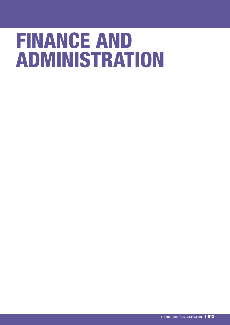# FINANCE AND ADMINISTRATION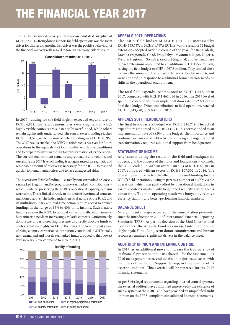# THE FINANCIAL YEAR 2017

The 2017 financial year yielded a consolidated surplus of KCHF 63,104. Strong donor support for field operations was the main driver for this result. Another key driver was the positive behaviour of the financial markets with regard to foreign exchange risk exposure.



In 2017, funding for the field slightly exceeded expenditure by KCHF 6,822. This result demonstrates a worrying trend in which highly visible contexts are substantially overfunded, while others remain significantly underfunded. The sum of excess funding reached KCHF 131,525, while the sum of deficit funding was KCHF 85,968. The 2017 results enabled the ICRC to reinforce its reserves for future operations to the equivalent of two months' worth of expenditures and to prepare to invest in the digital transformation of its operations. The current environment remains unpredictable and volatile, and sustaining the 2017 level of funding is not guaranteed; a pragmatic and reasonable amount of reserves is necessary for the ICRC to respond quickly to humanitarian crises and to face unexpected risks.

The decrease in flexible funding – i.e. totally non-earmarked or loosely earmarked (region- and/or programme-earmarked) contributions – which is vital to preserving the ICRC's operational capacity, remains worrisome. This is linked directly to the issue of overfunded contexts, mentioned above. The independent, neutral nature of the ICRC and its multidisciplinary and real-time action require access to flexible funding, in the range of 35% to 40% of its income. Such flexible funding enables the ICRC to respond in the most efficient manner to humanitarian needs in increasingly volatile contexts. Unfortunately, donors are under increasing pressure to directly allocate funds to contexts that are highly visible in the news. The trend in past years, of rising country-earmarked contributions, continued in 2017; totally non-earmarked and loosely earmarked funds dropped to their lowest level in years (27%, compared to 41% in 2011).



#### APPEALS 2017: OPERATIONS

The initial field budget of KCHF 1,612,078 increased by KCHF 155,737, to KCHF 1,767,815. This was the result of 12 budget extensions adopted over the course of the year: for Bangladesh, Brasilia (regional), Chad, Iraq, Libya, Myanmar, Niger, Nigeria, Pretoria (regional), Somalia, Yaoundé (regional) and Yemen. These budget extensions amounted to an additional CHF 155.7 million, raising the field budget to CHF 1,767.8 million. They totaled close to twice the amount of the budget extensions decided in 2016, and were adopted in response to additional humanitarian needs or shifts in the operational environment.

The total field expenditure amounted to KCHF 1,637,149 in 2017, compared with KCHF 1,462,014 in 2016. The 2017 level of spending corresponds to an implementation rate of 92.6% of the final field budget. Direct contributions to field operations reached KCHF 1,643,970, up 9.0% from 2016.

#### APPEALS 2017: HEADQUARTERS

The final headquarters budget was KCHF 216,719. The actual expenditure amounted to KCHF 214,394. This corresponded to an implementation rate of 98.9% of the budget. The importance and continued expansion of field activities, and ongoing organizational transformations, required additional support from headquarters.

#### STATEMENT OF INCOME

After consolidating the results of the field and headquarters budgets, and the budgets of the funds and foundations it controls, the ICRC ended up with an overall surplus of KCHF 63,104 in 2017, compared with an excess of KCHF 107,302 in 2016. The operating result reflected the effect of increased funding for the ICRC's field operations, owing in part to a number of highly visible operations, which was partly offset by operational limitations in various contexts marked with heightened security and/or access constraints. The non-operating result was buoyed by relative currency stability and better-performing financial markets.

#### BALANCE SHEET

No significant changes occurred in the consolidation perimeter since the introduction in 2001 of International Financial Reporting Standards (IFRS). As per the decision of the 32nd International Conference, the Augusta Fund was merged into the Florence Nightingale Fund. Long-term donor commitments and human resources remained significant drivers in the balance sheet.

#### AUDITORS' OPINION AND INTERNAL CONTROL

In 2017, as an additional move to increase the transparency of its financial processes, the ICRC shared – for the first time – its 2016 management letter, and details on major fraud cases, with members of the Donor Support Group, in the presence of its external auditors. This exercise will be repeated for the 2017 financial statements.

As per Swiss legal requirements regarding internal control systems, the external auditors have confirmed unreservedly the existence of such a system at the ICRC, and have provided an unqualified audit opinion on the IFRS-compliant consolidated financial statements.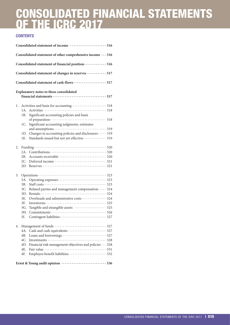# CONSOLIDATED FINANCIAL STATEMENTS OF THE ICRC 2017

# **CONTENTS**

|    |     | Consolidated statement of income  516                                                                                        |  |
|----|-----|------------------------------------------------------------------------------------------------------------------------------|--|
|    |     | Consolidated statement of other comprehensive income  516                                                                    |  |
|    |     | Consolidated statement of financial position ············· 516                                                               |  |
|    |     | Consolidated statement of changes in reserves  517                                                                           |  |
|    |     | Consolidated statement of cash-flows  517                                                                                    |  |
|    |     | Explanatory notes to these consolidated                                                                                      |  |
|    |     |                                                                                                                              |  |
| 1. |     |                                                                                                                              |  |
|    | 1B. | Significant accounting policies and basis                                                                                    |  |
|    | 1C. | Significant accounting judgments, estimates                                                                                  |  |
|    |     |                                                                                                                              |  |
|    | 1E. | 1D. Changes in accounting policies and disclosures · · · · · 519<br>Standards issued but not yet effective ············· 519 |  |
|    |     |                                                                                                                              |  |
| 2. |     |                                                                                                                              |  |
|    | 2A. |                                                                                                                              |  |
|    |     |                                                                                                                              |  |
|    |     |                                                                                                                              |  |
|    |     |                                                                                                                              |  |
| 3. |     |                                                                                                                              |  |
|    | 3A. |                                                                                                                              |  |
|    | 3B. |                                                                                                                              |  |
|    |     | 3C. Related parties and management compensation  524                                                                         |  |
|    |     |                                                                                                                              |  |
|    | 3E. | Overheads and administrative costs 524                                                                                       |  |
|    | 3E. |                                                                                                                              |  |
|    | 3G. | Tangible and intangible assets  525                                                                                          |  |
|    |     |                                                                                                                              |  |
|    | 3I. |                                                                                                                              |  |
| 4. |     |                                                                                                                              |  |
|    | 4A. |                                                                                                                              |  |
|    | 4B. |                                                                                                                              |  |
|    |     |                                                                                                                              |  |
|    |     | 4D. Financial risk management objectives and policies · · · 528                                                              |  |
|    | 4E. |                                                                                                                              |  |
|    | 4F. | Employee benefit liabilities  532                                                                                            |  |
|    |     |                                                                                                                              |  |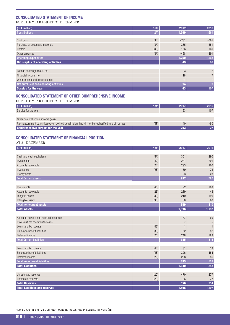#### <span id="page-3-0"></span>CONSOLIDATED STATEMENT OF INCOME

FOR THE YEAR ENDED 31 DECEMBER

| (CHF million)                           | <b>Note</b> | 2017     | 2016            |
|-----------------------------------------|-------------|----------|-----------------|
| <b>Contributions</b>                    | [2A]        | 1,799    | 1,661           |
|                                         |             |          |                 |
| Staff costs                             | [3B]        | $-731$   | $-661$          |
| Purchase of goods and materials         | [3A]        | $-385$   | $-351$          |
| Rentals                                 | [3D]        | $-166$   | $-160$          |
| Other expenses                          | [3A]        | $-468$   | $-391$          |
| <b>Operating expenditure</b>            |             | $-1,750$ | $-1,563$        |
| Net surplus of operating activities     |             | 49       | 98 <sup>1</sup> |
|                                         |             |          |                 |
| Foreign exchange result, net            |             | $-3$     | $\overline{2}$  |
| Financial income, net                   |             | 18       |                 |
| Other income and expenses, net          |             | $-1$     |                 |
| Net surplus of non-operating activities |             | 14       | 9 <sup>°</sup>  |
| <b>Surplus for the year</b>             |             | 63       | 107             |

# CONSOLIDATED STATEMENT OF OTHER COMPREHENSIVE INCOME

| FOR THE YEAR ENDED 31 DECEMBER                                                                        |             |      |       |
|-------------------------------------------------------------------------------------------------------|-------------|------|-------|
| (CHF million)                                                                                         | <b>Note</b> | 2017 | 2016  |
| Surplus for the year                                                                                  |             | 63   | 107   |
|                                                                                                       |             |      |       |
| Other comprehensive income (loss)                                                                     |             |      |       |
| Re-measurement gains (losses) on defined benefit plan that will not be reclassified to profit or loss | [4F]        | 140  | $-80$ |
| <b>Comprehensive surplus for the year</b>                                                             |             | 203  | 27    |

# CONSOLIDATED STATEMENT OF FINANCIAL POSITION

| AT 31 DECEMBER                        |             |                |              |
|---------------------------------------|-------------|----------------|--------------|
| (CHF million)                         | <b>Note</b> | 2017           | 2016         |
|                                       |             |                |              |
| Cash and cash equivalents             | [4A]        | 301            | 290          |
| Investments                           | [4C]        | 231            | 201          |
| Accounts receivable                   | [2B]        | 293            | 200          |
| Inventories                           | [3F]        | 89             | 73           |
| Prepayments                           |             | 23             | 23           |
| <b>Total Current assets</b>           |             | 937            | 787          |
|                                       |             |                |              |
| Investments                           | [4C]        | 92             | 103          |
| Accounts receivable                   | [2B]        | 289            | 48           |
| Tangible assets                       | [3G]        | 210            | 199          |
| Intangible assets                     | [3G]        | 68             | 60           |
| <b>Total Non-current assets</b>       |             | 659            | 410          |
| <b>Total Assets</b>                   |             | 1,596          | 1,197        |
|                                       |             |                |              |
| Accounts payable and accrued expenses |             | 67             | 69           |
| Provisions for operational claims     |             | $\overline{7}$ | 5            |
| Loans and borrowings                  | [4B]        | $\mathbf{1}$   | $\mathbf{1}$ |
| Employee benefit liabilities          | [3B]        | 62             | 52           |
| Deferred income                       | [2C]        | 248            | 188          |
| <b>Total Current liabilities</b>      |             | 385            | 315          |
|                                       |             |                |              |
| Loans and borrowings                  | [4B]        | 31             | 18           |
| Employee benefit liabilities          | [4F]        | 326            | 454          |
| Deferred income                       | [2C]        | 298            | 56           |
| <b>Total Non-current liabilities</b>  |             | 655            | 528          |
| <b>Total Liabilities</b>              |             | 1,040          | 843          |
|                                       |             |                |              |
| Unrestricted reserves                 | [2D]        | 470            | 277          |
| <b>Restricted reserves</b>            | [2D]        | 86             | 77           |
| <b>Total Reserves</b>                 |             | 556            | 354          |
| <b>Total Liabilities and reserves</b> |             | 1,596          | 1,197        |

FIGURES ARE IN CHF MILLION AND ROUNDING RULES ARE PRESENTED IN NOTE [1B]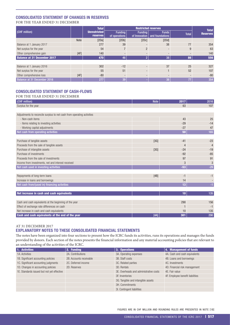#### <span id="page-4-0"></span>CONSOLIDATED STATEMENT OF CHANGES IN RESERVES FOR THE YEAR ENDED 31 DECEMBER

|                                    |             | <b>Total</b>                    |                                 | <b>Restricted reserves</b> |                                                 |              |                                 |
|------------------------------------|-------------|---------------------------------|---------------------------------|----------------------------|-------------------------------------------------|--------------|---------------------------------|
| (CHF million)                      |             | <b>Unrestricted</b><br>reserves | <b>Funding</b><br>of operations | <b>Funding</b>             | <b>Funds</b><br>of Innovation   and foundations | <b>Total</b> | <b>Total</b><br><b>Reserves</b> |
|                                    | <b>Note</b> | [2Da]                           | [2Db]                           | [2Dc]                      | [2Dd]                                           |              |                                 |
| Balance at 1 January 2017          |             | 277                             | 39                              |                            | 38                                              | 77           | 354                             |
| Net surplus for the year           |             | 54                              | $\overline{ }$                  | $\overline{2}$             |                                                 | 9            | 63                              |
| Other comprehensive gain           | [4F]        | 140                             |                                 | -                          |                                                 |              | 140                             |
| <b>Balance at 31 December 2017</b> |             | 470                             | 46                              | $\overline{2}$             | 38                                              | 86           | 556                             |
|                                    |             |                                 |                                 |                            |                                                 |              |                                 |
| Balance at 1 January 2016          |             | 302                             | $-12$                           |                            | 37                                              | 25           | 327                             |
| Net surplus for the year           |             | 55                              | 51                              | $\overline{\phantom{a}}$   |                                                 | 52           | 107                             |
| Other comprehensive loss           | [4F]        | $-80$                           |                                 |                            |                                                 | -            | $-80$                           |
| Balance at 31 December 2016        |             | 277                             | 39                              |                            | 38                                              | 77           | 354                             |

# CONSOLIDATED STATEMENT OF CASH-FLOWS

#### FOR THE YEAR ENDED 31 DECEMBER

| (CHF million)                                                          | <b>Note</b> | 2017  | 2016           |
|------------------------------------------------------------------------|-------------|-------|----------------|
| Surplus for the year                                                   |             | 63    | 107            |
|                                                                        |             |       |                |
| Adjustments to reconcile surplus to net cash from operating activities |             |       |                |
| - Non-cash items                                                       |             | 43    | 25             |
| - Items relating to investing activities                               |             | $-29$ | $-14$          |
| - Working capital adjustments                                          |             | $-27$ | 47             |
| Net cash from operating activities                                     |             | 50    | 165            |
|                                                                        |             |       |                |
| Purchase of tangible assets                                            | [3G]        | $-41$ | $-23$          |
| Proceeds from the sale of tangible assets                              |             | 4     | $\overline{4}$ |
| Purchase of intangible assets                                          | [3G]        | $-24$ | $-19$          |
| Purchase of investments                                                |             | $-92$ | $-85$          |
| Proceeds from the sale of investments                                  |             | 97    | 91             |
| Income from investments, net and interest received                     |             | 3     | 3              |
| Net cash used in investing activities                                  |             | $-53$ | $-29$          |
|                                                                        |             |       |                |
| Repayments of long-term loans                                          | [4B]        | $-1$  | $-1$           |
| Increase in loans and borrowings                                       |             | 14    |                |
| Net cash from/(used in) financing activities                           |             | 13    | $-1$           |
|                                                                        |             |       |                |
| Net increase in cash and cash equivalents                              |             | 10    | 135            |
|                                                                        |             |       |                |
| Cash and cash equivalents at the beginning of the year                 |             | 290   | 156            |
| Effect of exchange rate differences on cash                            |             |       | $-1$           |
| Net increase in cash and cash equivalents                              |             | 10    | 135            |
| Cash and cash equivalents at the end of the year                       | [4A]        | 301   | 290            |

# AT 31 DECEMBER 2017

# EXPLANATORY NOTES TO THESE CONSOLIDATED FINANCIAL STATEMENTS

The notes have been organized into four sections to present how the ICRC funds its activities, runs its operations and manages the funds provided by donors. Each section of the notes presents the financial information and any material accounting policies that are relevant to an understanding of the activities of the ICRC.

| 1. Activities                              | 2. Funding              | 3. Operations                          | 4. Management of funds           |
|--------------------------------------------|-------------------------|----------------------------------------|----------------------------------|
| 1A. Activities                             | 2A. Contributions       | 3A. Operating expenses                 | 4A. Cash and cash equivalents    |
| 1B. Significant accounting policies        | 2B. Accounts receivable | 3B. Staff costs                        | 4B. Loans and borrowings         |
| 1C. Significant accounting judgments       | 2C. Deferred income     | 3C. Related parties                    | 4C. Investments                  |
| 1D. Changes in accounting policies         | 2D. Reserves            | 3D. Rentals                            | 4D. Financial risk management    |
| 1E. Standards issued but not yet effective |                         | 3E. Overheads and administrative costs | 4E. Fair value                   |
|                                            |                         | 3F. Inventories                        | 4F. Employee benefit liabilities |
|                                            |                         | 3G. Tangible and intangible assets     |                                  |
|                                            |                         | 3H. Commitments                        |                                  |
|                                            |                         | 3I. Contingent liabilities             |                                  |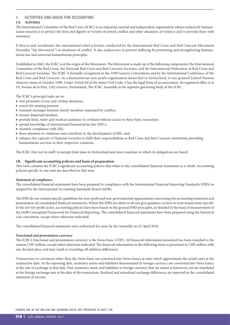# <span id="page-5-0"></span>1. ACTIVITIES AND BASIS FOR ACCOUNTING

# **1A. Activities**

The International Committee of the Red Cross (ICRC) is an impartial, neutral and independent organization whose exclusively humanitarian mission is to protect the lives and dignity of victims of armed conflict and other situations of violence and to provide them with assistance.

It directs and coordinates the international relief activities conducted by the International Red Cross and Red Crescent Movement (hereafter "the Movement") in situations of conflict. It also endeavours to prevent suffering by promoting and strengthening humanitarian law and universal humanitarian principles.

Established in 1863, the ICRC is at the origin of the Movement. The Movement is made up of the following components: the International Committee of the Red Cross, the National Red Cross and Red Crescent Societies, and the International Federation of Red Cross and Red Crescent Societies. The ICRC is formally recognized in the 1949 Geneva Conventions and by the International Conference of the Red Cross and Red Crescent. As a humanitarian non-profit organization domiciled in Switzerland, it was granted United Nations observer status in October 1990. Under Article 60 of the Swiss Civil Code, it has the legal form of an association. Its registered office is at 19, Avenue de la Paix, 1202 Geneva, Switzerland. The ICRC Assembly is the supreme governing body of the ICRC.

The ICRC's principal tasks are to:

- $\triangleright$  visit prisoners of war and civilian detainees;
- $\blacktriangleright$  search for missing persons;
- $\triangleright$  transmit messages between family members separated by conflict;
- $\blacktriangleright$  reunite dispersed families;
- $\blacktriangleright$  provide food, water and medical assistance to civilians without access to these basic necessities;
- $\blacktriangleright$  spread knowledge of international humanitarian law (IHL);
- $\blacktriangleright$  monitor compliance with IHL;
- $\blacktriangleright$  draw attention to violations and contribute to the development of IHL; and
- <sup>X</sup> enhance the capacity of National Societies to fulfil their responsibilities as Red Cross and Red Crescent institutions providing humanitarian services in their respective countries.

The ICRC (but not its staff) is exempt from taxes in Switzerland and most countries in which its delegations are based.

#### **1B. Significant accounting policies and basis of preparation**

This note contains the ICRC's significant accounting policies that relate to the consolidated financial statements as a whole. Accounting policies specific to one note are described in that note.

#### *Statement of compliance*

The consolidated financial statements have been prepared in compliance with the International Financial Reporting Standards (IFRS) as adopted by the International Accounting Standards Board (IASB).

The IFRS do not contain specific guidelines for non-profit and non-governmental organizations concerning the accounting treatment and presentation of consolidated financial statements. Where the IFRS are silent or do not give guidance on how to treat transactions specific to the not-for-profit sector, accounting policies have been based on the general IFRS principles, as detailed in the basis of measurement of the IASB Conceptual Framework for Financial Reporting. The consolidated financial statements have been prepared using the historical cost convention, except when otherwise indicated.

The consolidated financial statements were authorized for issue by the Assembly on 25 April 2018.

#### *Functional and presentation currency*

The ICRC's functional and presentation currency is the Swiss franc (CHF). All financial information presented has been rounded to the nearest CHF million, except when otherwise indicated. The financial information in the following notes is presented in CHF million with one decimal place and may result in rounding-off addition differences.

Transactions in currencies other than the Swiss franc are converted into Swiss francs at rates which approximate the actual rates at the transaction date. At the reporting date, monetary assets and liabilities denominated in foreign currency are converted into Swiss francs at the rate of exchange at that date. Non-monetary assets and liabilities in foreign currency that are stated at historical cost are translated at the foreign exchange rate at the date of the transaction. Realized and unrealized exchange differences are reported in the consolidated statement of income.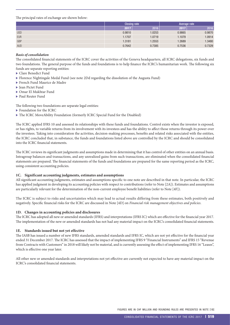<span id="page-6-0"></span>The principal rates of exchange are shown below:

|            | <b>Closing rate</b> |        | Average rate |        |
|------------|---------------------|--------|--------------|--------|
|            | 2017                | 2016   | 2017         | 2016   |
| <b>USD</b> | 0.9810              | 1.0253 | 0.9865       | 0.9870 |
| <b>EUR</b> | 1.1707              | 1.0719 | 1.1079       | 1.0914 |
| GBP        | 1.3181              | 1.2553 | 1.2689       | 1.3480 |
| <b>AUD</b> | 0.7642              | 0.7385 | 0.7536       | 0.7329 |

#### *Basis of consolidation*

The consolidated financial statements of the ICRC cover the activities of the Geneva headquarters, all ICRC delegations, six funds and two foundations. The general purpose of the funds and foundations is to help finance the ICRC's humanitarian work. The following six funds are separate reporting entities:

- ▶ Clare Benedict Fund
- ▶ Florence Nightingale Medal Fund (see note 2Dd regarding the dissolution of the Augusta Fund)
- ▶ French Fund Maurice de Madre
- $\blacktriangleright$  Iean Pictet Fund
- <sup>X</sup> Omar El Mukhtar Fund
- ▶ Paul Reuter Fund

The following two foundations are separate legal entities:

- $\blacktriangleright$  Foundation for the ICRC
- $\blacktriangleright$  The ICRC MoveAbility Foundation (formerly ICRC Special Fund for the Disabled)

The ICRC applied IFRS 10 and assessed its relationships with these funds and foundations. Control exists when the investor is exposed, or has rights, to variable returns from its involvement with its investees and has the ability to affect those returns through its power over the investees. Taking into consideration the activities, decision-making processes, benefits and related risks associated with the entities, the ICRC concluded that, in substance, the funds and foundations listed above are controlled by the ICRC and should be consolidated into the ICRC financial statements.

The ICRC reviews its significant judgments and assumptions made in determining that it has control of other entities on an annual basis. Intragroup balances and transactions, and any unrealized gains from such transactions, are eliminated when the consolidated financial statements are prepared. The financial statements of the funds and foundations are prepared for the same reporting period as the ICRC, using consistent accounting policies.

#### **1C. Significant accounting judgments, estimates and assumptions**

All significant accounting judgments, estimates and assumptions specific to one note are described in that note. In particular, the ICRC has applied judgment in developing its accounting policies with respect to contributions (refer to Note [2A]). Estimates and assumptions are particularly relevant for the determination of the non-current employee benefit liabilities (refer to Note [4F]).

The ICRC is subject to risks and uncertainties which may lead to actual results differing from these estimates, both positively and negatively. Specific financial risks for the ICRC are discussed in Note [4D] on *Financial risk management objectives and policies*.

#### **1D. Changes in accounting policies and disclosures**

The ICRC has adopted all new or amended standards (IFRS) and interpretations (IFRS IC) which are effective for the financial year 2017. The implementation of the new or amended standards has not had any material impact on the ICRC's consolidated financial statements.

#### **1E. Standards issued but not yet effective**

The IASB has issued a number of new IFRS standards, amended standards and IFRS IC, which are not yet effective for the financial year ended 31 December 2017. The ICRC has assessed that the impact of implementing IFRS 9 "Financial Instruments" and IFRS 15 "Revenue from Contracts with Customers" in 2018 will likely not be material, and is currently assessing the effect of implementing IFRS 16 "Leases", which is effective one year later.

All other new or amended standards and interpretations not yet effective are currently not expected to have any material impact on the ICRC's consolidated financial statements.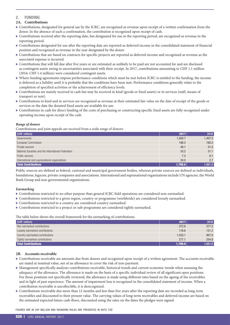## <span id="page-7-0"></span>2. FUNDING

#### **2A. Contributions**

- $\triangleright$  Contributions, designated for general use by the ICRC, are recognized as revenue upon receipt of a written confirmation from the donor. In the absence of such a confirmation, the contribution is recognized upon receipt of cash.
- Contributions received after the reporting date, but designated for use in the reporting period, are recognized as revenue in the reporting period.
- $\triangleright$  Contributions designated for use after the reporting date are reported as deferred income in the consolidated statement of financial position and recognized as revenue in the year designated by the donor.
- Contributions that are based on contracts for specific projects are reported as deferred income and recognized as revenue as the associated expense is incurred.
- $\triangleright$  Contributions that will fall due after five years or are estimated as unlikely to be paid are not accounted for and are disclosed as contingent assets owing to uncertainties associated with their receipt. In 2017, contributions amounting to CHF 1.1 million (2016: CHF 1.4 million) were considered contingent assets.
- $\triangleright$  Where funding agreements impose performance conditions which must be met before ICRC is entitled to the funding, the income is deferred as a liability until it is probable that the conditions have been met. Performance conditions generally relate to the completion of specified activities or the achievement of efficiency levels.
- $\triangleright$  Contributions are mainly received in cash but may be received in kind (goods or fixed assets) or in services (staff, means of transport or rent).
- $\triangleright$  Contributions in kind and in services are recognized as revenue at their estimated fair value on the date of receipt of the goods or services or the date the donated fixed assets are available for use.
- $\triangleright$  Contributions in cash for direct funding of the costs of purchasing or constructing specific fixed assets are fully recognized under operating income upon receipt of the cash.

#### *Range of donors*

Contributions and joint appeals are received from a wide range of donors:

| <b>(CHF million)</b>                                | 2017    | 2016    |
|-----------------------------------------------------|---------|---------|
| Governments                                         | 1,500.7 | 1,407.5 |
| European Commission                                 | 166.2   | 160.2   |
| Private sources                                     | 48.1    | 51.0    |
| National Societies and the International Federation | 53.2    | 31.1    |
| Public sources                                      | 7.3     | 8.1     |
| International and supranational organizations       | 24.0    | 2.7     |
| <b>Total Contributions</b>                          | 1,799.0 | 1,661.0 |

Public sources are defined as federal, cantonal and municipal government bodies, whereas private sources are defined as individuals, foundations, legacies, private companies and associations. International and supranational organizations include UN agencies, the World Bank Group and non-governmental organizations.

#### *Earmarking*

- $\triangleright$  Contributions restricted to no other purpose than general ICRC field operations are considered non-earmarked.
- <sup>X</sup> Contributions restricted to a given region, country or programme (worldwide) are considered loosely earmarked.
- $\blacktriangleright$  Contributions restricted to a country are considered country-earmarked.
- <sup>X</sup> Contributions restricted to a project or sub-programme are considered tightly earmarked.

The table below shows the overall framework for the earmarking of contributions.

| (CHF million)                   | 2017    | 2016              |
|---------------------------------|---------|-------------------|
| Non-earmarked contributions     | 372.6   | 377.5             |
| Loosely earmarked contributions | 116.6   | 121.2             |
| Country-earmarked contributions | 1,033.1 | 907.0             |
| Tightly earmarked contributions | 277.1   | 254.8             |
| <b>Total Contributions</b>      | 1,799.0 | $1,661.0$ $\vert$ |

#### **2B. Accounts receivable**

- Contributions receivable are amounts due from donors and recognized upon receipt of a written agreement. The accounts receivable are stated at nominal value, net of an allowance to cover the risk of non-payment.
- <sup>X</sup> Management specifically analyzes contributions receivable, historical trends and current economic trends when assessing the adequacy of the allowance. The allowance is made on the basis of a specific individual review of all significant open positions. For those positions not specifically reviewed, the allowance is made using different rates based on the ageing of the receivables and in light of past experience. The amount of impairment loss is recognized in the consolidated statement of income. When a contribution receivable is uncollectible, it is derecognized.
- $\triangleright$  Contributions receivable due more than 12 months and less than five years after the reporting date are recorded as long-term receivables and discounted to their present value. The carrying values of long-term receivables and deferred income are based on the estimated expected future cash-flows, discounted using the rates on the dates the pledges were signed.

FIGURES ARE IN CHF MILLION AND ROUNDING RULES ARE PRESENTED IN NOTE [1B]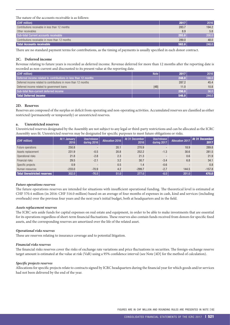<span id="page-8-0"></span>The nature of the accounts receivable is as follows:

| (CHF million)                                   | 2017  | 2016  |
|-------------------------------------------------|-------|-------|
| Contributions receivable in less than 12 months | 283.7 | 194.2 |
| Other receivables                               | 8.9   | 5.8   |
| Sub-total Current accounts receivable           | 293.0 | 200.0 |
| Contributions receivable in more than 12 months | 289.0 | 48.0  |
| <b>Total Accounts receivable</b>                | 582.0 | 248.0 |

There are no standard payment terms for contributions, as the timing of payments is usually specified in each donor contract.

#### **2C. Deferred income**

Revenue relating to future years is recorded as deferred income. Revenue deferred for more than 12 months after the reporting date is recorded as non-current and discounted to its present value at the reporting date.

| (CHF million)                                                   | <b>Note</b> | 2017  | 2016  |
|-----------------------------------------------------------------|-------------|-------|-------|
| Deferred income related to contributions in less than 12 months |             | 248.0 | 188.0 |
| Deferred income related to contributions in more than 12 months |             | 287.2 | 45.4  |
| Deferred income related to government loans                     | [4B]        | 11.0  | 10.8  |
| Sub-total Non-current deferred income                           |             | 298.0 | 56.0  |
| <b>Total Deferred income</b>                                    |             | 546.0 | 244.0 |

#### **2D. Reserves**

Reserves are composed of the surplus or deficit from operating and non-operating activities. Accumulated reserves are classified as either restricted (permanently or temporarily) or unrestricted reserves.

#### **a. Unrestricted reserves**

Unrestricted reserves designated by the Assembly are not subject to any legal or third-party restrictions and can be allocated as the ICRC Assembly sees fit. Unrestricted reserves may be designated for specific purposes to meet future obligations or risks.

| (CHF million)               | At 1 January<br>2016 | Use/release<br>during 2016 | <b>Allocation 2016</b> | At 31 December<br>2016 | Use/release<br>during 2017 | <b>Allocation 2017</b> | At 31 December<br>2017 |
|-----------------------------|----------------------|----------------------------|------------------------|------------------------|----------------------------|------------------------|------------------------|
| Future operations           | 250.8                |                            | 20.1                   | 270.9                  |                            | 18.9                   | 289.8                  |
| Assets replacement          | 231.9                | $-0.5$                     | 20.8                   | 252.2                  | $-1.3$                     | 30.6                   | 281.5                  |
| Operational risks           | 21.8                 | $-2.8$                     | 2.3                    | 21.3                   |                            | 0.6                    | 21.9                   |
| Financial risks             | 29.5                 | $-2.1$                     | 3.2                    | 30.7                   | $-3.4$                     | 6.8                    | 34.1                   |
| Specific projects           | 0.9                  |                            | 0.5                    | 1.4                    | $-0.6$                     |                        | 0.8                    |
| Human resources             | $-233.0$             | $-70.9$                    | 4.2                    | $-299.7$               | $-2.7$                     | 144.5                  | $-157.8$               |
| Total Unrestricted reserves | 302.0                | $-76.0$                    | 51.0                   | 277.0                  | $-8.0$                     | 201.0                  | 470.0                  |

#### *Future operations reserves*

The future operations reserves are intended for situations with insufficient operational funding. The theoretical level is estimated at CHF 570.4 million (in 2016: CHF 516.0 million) based on an average of four months of expenses in cash, kind and services (including overheads) over the previous four years and the next year's initial budget, both at headquarters and in the field.

#### *Assets replacement reserves*

The ICRC sets aside funds for capital expenses on real estate and equipment, in order to be able to make investments that are essential for its operations regardless of short-term financial fluctuations. These reserves also contain funds received from donors for specific fixed assets, and the corresponding reserves are amortized over the life of the related asset.

#### *Operational risks reserves*

These are reserves relating to insurance coverage and to potential litigation.

#### *Financial risks reserves*

The financial risks reserves cover the risks of exchange rate variations and price fluctuations in securities. The foreign-exchange reserve target amount is estimated at the value at risk (VaR) using a 95% confidence interval (see Note [4D] for the method of calculation).

#### *Specific projects reserves*

Allocations for specific projects relate to contracts signed by ICRC headquarters during the financial year for which goods and/or services had not been delivered by the end of the year.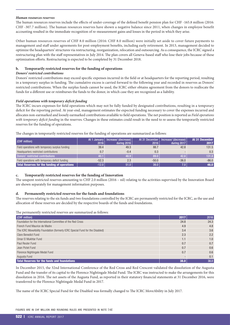#### *Human resources reserves*

The human resources reserves include the effects of under-coverage of the defined benefit pension plan for CHF -165.8 million (2016: CHF -307.7 million). The human resources reserves have shown a negative balance since 2011, when changes in employee benefit accounting resulted in the immediate recognition of re-measurement gains and losses in the period in which they arise.

Other human resources reserves of CHF 8.0 million (2016: CHF 8.0 million) were initially set aside to cover future payments to management and staff under agreements for post-employment benefits, including early retirement. In 2013, management decided to optimize the headquarters' structures via restructuring, reorganization, relocation and outsourcing. As a consequence, the ICRC signed a restructuring plan with the staff representatives in July 2014. The plan covers all Geneva-based staff who lose their jobs because of these optimization efforts. Restructuring is expected to be completed by 31 December 2018.

#### **b. Temporarily restricted reserves for the funding of operations**

#### *Donors' restricted contributions*

Donors' restricted contributions may exceed specific expenses incurred in the field or at headquarters for the reporting period, resulting in a temporary surplus in funding. The cumulative excess is carried forward to the following year and recorded in reserves as Donors' restricted contributions. When the surplus funds cannot be used, the ICRC either obtains agreement from the donors to reallocate the funds for a different use or reimburses the funds to the donor, in which case they are recognized as a liability.

#### *Field operations with temporary deficit funding*

The ICRC incurs expenses for field operations which may not be fully funded by designated contributions, resulting in a temporary deficit for the reporting period. At year-end, management estimates the expected funding necessary to cover the expenses incurred and allocates non-earmarked and loosely earmarked contributions available to field operations. The net position is reported as *Field operations with temporary deficit funding* in the reserves. Changes in these estimates could result in the need to re-assess the temporarily restricted reserves for the funding of operations.

The changes in temporarily restricted reserves for the funding of operations are summarized as follows:

| (CHF million)                                   | At 1 January $ $<br>2016 | lncrease/ (decrease)  <br>during 2016 $ $ | 2016    | At 31 December   Increase/ (decrease)  <br>during 2017 | At 31 December<br>2017 |
|-------------------------------------------------|--------------------------|-------------------------------------------|---------|--------------------------------------------------------|------------------------|
| Field operations with temporary surplus funding | 39.4                     | 49.3                                      | 88.7    | 42.8                                                   | 131.5                  |
| Headquarters restricted contributions           | 0.7                      | $-0.4$                                    | 0.3     |                                                        | 0.3                    |
| Donors' restricted contributions                | 40.1                     | 48.9                                      | 89.0    | 42.8                                                   | 131.8                  |
| Field operations with temporary deficit funding | $-52.3$                  | 2.3                                       | $-50.0$ | $-36.0$                                                | $-86.0$                |
| Total Reserves for the funding of operations    | $-12.0$                  | 51.0                                      | 39.0    | 7.0                                                    | 46.0                   |

#### **c. Temporarily restricted reserves for the funding of Innovation**

The unspent restricted reserves amounting to CHF 2.0 million (2016 – nil) relating to the activities supervised by the Innovation Board are shown separately for management information purposes.

#### **d. Permanently restricted reserves for the funds and foundations**

The reserves relating to the six funds and two foundations controlled by the ICRC are permanently restricted for the ICRC, as the use and allocation of these reserves are decided by the respective boards of the funds and foundations.

The permanently restricted reserves are summarized as follows:

| (CHF million)                                                                 | 2017 | 2016 |
|-------------------------------------------------------------------------------|------|------|
| Foundation for the International Committee of the Red Cross                   | 24.8 | 24.3 |
| French Fund Maurice de Madre                                                  | 4.9  | 4.8  |
| The ICRC MoveAbility Foundation (formerly ICRC Special Fund for the Disabled) | 3.4  | 3.6  |
| <b>Clare Benedict Fund</b>                                                    | 2.3  | 2.2  |
| Omar El Mukhtar Fund                                                          | 1.1  | 1.0  |
| Paul Reuter Fund                                                              | 0.7  | 0.7  |
| Jean Pictet Fund                                                              | 0.7  | 0.6  |
| Florence Nightingale Medal Fund                                               | 0.7  | 0.6  |
| Augusta Fund                                                                  |      | 0.1  |
| Total Reserves for the funds and foundations                                  | 38.0 | 38.0 |

In December 2015, the 32nd International Conference of the Red Cross and Red Crescent validated the dissolution of the Augusta Fund and the transfer of its capital to the Florence Nightingale Medal Fund. The ICRC was instructed to make the arrangements for this dissolution in 2016. The net assets of the Augusta Fund, as reported in their statutory financial statements at 31 December 2016, were transferred to the Florence Nightingale Medal Fund in 2017.

The name of the ICRC Special Fund for the Disabled was formally changed to The ICRC MoveAbility in July 2017.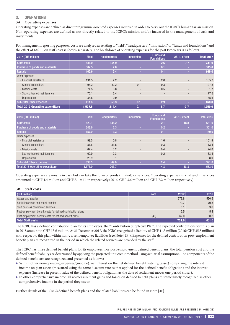# <span id="page-10-0"></span>3. OPERATIONS

# **3A. Operating expenses**

Operating expenses are defined as direct programme-oriented expenses incurred in order to carry out the ICRC's humanitarian mission. Non-operating expenses are defined as not directly related to the ICRC's mission and/or incurred in the management of cash and investments.

For management reporting purposes, costs are analysed as relating to "field", "headquarters", "innovation" or "funds and foundations" and the effect of IAS 19 on staff costs is shown separately. The breakdown of operating expenses for the past two years is as follows:

| 2017 (CHF million)               | <b>Field</b> | <b>Headquarters</b> | <b>Innovation</b>        | Funds and<br><b>Foundations</b> | IAS 19 effect            | <b>Total 2017</b> |
|----------------------------------|--------------|---------------------|--------------------------|---------------------------------|--------------------------|-------------------|
| Staff costs                      | 581.0        | 154.9               |                          | 2.6                             | $-7.7$                   | 731.0             |
| Purchase of goods and materials  | 382.5        | 2.8                 |                          | 0.1                             |                          | 385.0             |
| Rentals                          | 162.6        | 3.4                 |                          | 0.1                             |                          | 166.0             |
| Other expenses                   |              |                     |                          |                                 |                          |                   |
| - Financial assistance           | 131.5        | 2.2                 |                          | 2.0                             |                          | 135.7             |
| - General expenditure            | 95.2         | 32.2                | 0.1                      | 0.3                             | $\overline{\phantom{a}}$ | 127.8             |
| - Mission costs                  | 74.5         | 6.8                 | $\overline{\phantom{0}}$ | 0.5                             | $\overline{\phantom{a}}$ | 81.7              |
| - Sub-contracted maintenance     | 75.1         | 2.4                 | $\overline{\phantom{a}}$ | -                               |                          | 77.5              |
| - Depreciation                   | 35.6         | 9.9                 | -                        |                                 |                          | 45.5              |
| <b>Sub-total Other expenses</b>  | 411.8        | 53.3                | 0.1                      | 2.9                             |                          | 468.0             |
| Total 2017 Operating expenditure | 1,537.6      | 214.4               | 0.1                      | 5.7                             | $-7.7$                   | 1,750.0           |

| 2016 (CHF million)               | <b>Field</b> | <b>Headquarters</b> | <b>Innovation</b> | <b>Funds and</b><br><b>Foundations</b> | <b>IAS 19 effect</b>     | <b>Total 2016</b> |
|----------------------------------|--------------|---------------------|-------------------|----------------------------------------|--------------------------|-------------------|
| Staff costs                      | 529.1        | 148.2               |                   | 2.1                                    | $-18.8$                  | 661.0             |
| Purchase of goods and materials  | 348.6        | (2.3)               |                   | 0.2                                    |                          | 351.0             |
| <b>Rentals</b>                   | 157.0        | 3.3                 |                   | 0.1                                    |                          | 160.0             |
| Other expenses                   |              |                     |                   |                                        |                          |                   |
| - Financial assistance           | 99.5         | 0.8                 | $\sim$            | 1.6                                    |                          | 101.9             |
| - General expenditure            | 81.6         | 31.5                | $\sim$            | 0.3                                    | $\overline{\phantom{a}}$ | 113.4             |
| - Mission costs                  | 67.4         | 6.2                 | $\sim$            | 0.4                                    | -                        | 74.0              |
| - Sub-contracted maintenance     | 60.9         | 2.3                 | $\sim$            | 0.2                                    | -                        | 63.4              |
| - Depreciation                   | 28.9         | 9.1                 |                   |                                        |                          | 38.0              |
| <b>Sub-total Other expenses</b>  | 338.3        | 49.9                |                   | 2.4                                    |                          | 391.0             |
| Total 2016 Operating expenditure | 1,373.0      | 203.7               |                   | 4.8                                    | $-18.8$                  | 1,563.0           |

Operating expenses are mostly in cash but can take the form of goods (in kind) or services. Operating expenses in kind and in services amounted to CHF 4.4 million and CHF 8.1 million respectively (2016: CHF 3.6 million and CHF 7.2 million respectively).

#### **3B. Staff costs**

| (CHF million)                                                | Note | 2017  | 2016  |
|--------------------------------------------------------------|------|-------|-------|
| Wages and salaries                                           |      | 578.8 | 530.5 |
| Social insurance and social benefits                         |      | 79.7  | 70.3  |
| Staff costs as contributed services                          |      | 5.1   | 3.6   |
| Post-employment benefit costs for defined contribution plans |      | 5.5   | 5.4   |
| Post-employment benefit costs for defined benefit plans      | [4F] | 62.0  | 50.8  |
| Total Staff costs                                            |      | 731.0 | 661.0 |

The ICRC has a defined contribution plan for its employees: the "Contribution Suppletive Plan". The expected contributions for this plan in 2018 amount to CHF 13.6 million. At 31 December 2017, the ICRC recognized a liability of CHF 41.3 million (2016: CHF 35.8 million) with respect to this plan within non-current employee liabilities (see Note [4F]). Expenses for the defined contribution post-employment benefit plan are recognized in the period in which the related services are provided by the staff.

The ICRC has three defined benefit plans for its employees. For post-employment defined benefit plans, the total pension cost and the defined benefit liability are determined by applying the projected unit credit method using actuarial assumptions. The components of the defined benefit cost are recognized and presented as follows:

- <sup>X</sup> Within other non-operating expenses/(income): net interest on the net defined benefit liability/(asset) comprising the interest income on plan assets (measured using the same discount rate as that applied for the defined benefit obligation) and the interest expense (increase in present value of the defined benefit obligation as the date of settlement moves one period closer).
- $\blacktriangleright$  In other comprehensive income: all re-measurement gains and losses on defined benefit plans are immediately recognized as other comprehensive income in the period they occur.

Further details of the ICRC's defined benefit plans and the related liabilities can be found in Note [4F].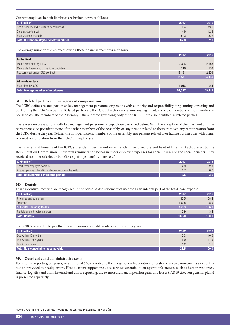<span id="page-11-0"></span>Current employee benefit liabilities are broken down as follows:

| (CHF million)                               | 2017 | 2016 |
|---------------------------------------------|------|------|
| Social security and insurance contributions | 16.4 | 13.1 |
| Salaries due to staff                       | 14.6 | 12.8 |
| Staff vacation accruals                     | 31.3 | 26.2 |
| Total Current employee benefit liabilities  | 62.0 | 52.0 |

The average number of employees during these financial years was as follows:

|                                             | 2017   | 2016    |
|---------------------------------------------|--------|---------|
| In the field                                |        |         |
| Mobile staff hired by ICRC                  | 2,304  | 2 1 4 8 |
| Mobile staff seconded by National Societies | 116    | 108     |
| Resident staff under ICRC contract          | 13,151 | 12,209  |
|                                             | 15,571 | 14,465  |
| At headquarters                             |        |         |
| Staff hired by ICRC                         | 1,016  | 984     |
| <b>Total Average number of employees</b>    | 16,587 | 15,449  |

#### **3C. Related parties and management compensation**

The ICRC defines related parties as key management personnel or persons with authority and responsibility for planning, directing and controlling the ICRC's activities. Related parties are the ICRC directors and senior management, and close members of their families or households. The members of the Assembly – the supreme governing body of the ICRC – are also identified as related parties.

There were no transactions with key management personnel except those described below. With the exception of the president and the permanent vice-president, none of the other members of the Assembly, or any person related to them, received any remuneration from the ICRC during the year. Neither the non-permanent members of the Assembly, nor persons related to or having business ties with them, received remuneration from the ICRC during the year.

The salaries and benefits of the ICRC's president, permanent vice-president, six directors and head of Internal Audit are set by the Remuneration Commission. Their total remuneration below includes employer expenses for social insurance and social benefits. They received no other salaries or benefits (e.g. fringe benefits, loans, etc.).

| (CHF million)                                         | 2017 | 2016 |
|-------------------------------------------------------|------|------|
| Short-term employee benefits                          |      |      |
| Post-employment benefits and other long-term benefits |      |      |
| Total Remuneration of related parties                 |      | 3.6  |

#### **3D. Rentals**

Lease incentives received are recognized in the consolidated statement of income as an integral part of the total lease expense.

| (CHF million)                     | 2017  | 2016  |
|-----------------------------------|-------|-------|
| Premises and equipment            | 62.5  | 58.4  |
| Transport                         | 100.8 | 98.5  |
| <b>Sub-total Operating leases</b> | 163.3 | 156.9 |
| Rentals as contributed services   | 2.9   | 3.4   |
| <b>Total Rentals</b>              | 166.0 | 160.0 |

The ICRC committed to pay the following non-cancellable rentals in the coming years:

| (CHF million)                       | 2017 | 2016              |
|-------------------------------------|------|-------------------|
| Due within 12 months                | 12.3 | 10.0 <sub>1</sub> |
| Due within 2 to 5 years             | 15.0 | 17.9              |
| Due in over 5 years                 |      |                   |
| Total Non-cancellable lease payable | 28.5 | 29.0              |

#### **3E. Overheads and administrative costs**

For internal reporting purposes, an additional 6.5% is added to the budget of each operation for cash and service movements as a contribution provided to headquarters. Headquarters support includes services essential to an operation's success, such as human resources, finance, logistics and IT. In internal and donor reporting, the re-measurement of pension gains and losses (IAS 19 effect on pension plans) is presented separately.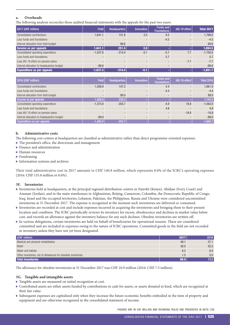# <span id="page-12-0"></span>**a. Overheads**

The following analysis reconciles these audited financial statements with the appeals for the past two years:

| 2017 (CHF million)                         | <b>Field</b> | Headquarters | <b>Innovation</b> | <b>Funds and</b><br><b>Foundations</b> | IAS 19 effect | <b>Total 2017</b> |
|--------------------------------------------|--------------|--------------|-------------------|----------------------------------------|---------------|-------------------|
| Consolidated contributions                 | 1.641.1      | 151.8        | 2.0               | 4.5                                    |               | 1,799.0           |
| Less funds and foundations                 |              |              |                   | $-4.5$                                 |               | $-4.5$            |
| Internal allocation from field budget      |              | 99.6         |                   |                                        |               | 99.6              |
| Income as per appeals                      | 1,641.1      | 251.4        | 2.0               |                                        | ٠             | 1,894.5           |
| Consolidated operating expenditure         | $-1,537.6$   | $-214.4$     | $-0.1$            | $-5.7$                                 | 7.7           | $-1,750.0$        |
| Less funds and foundations                 |              |              |                   | 5.7                                    |               | 5.7               |
| Less IAS 19 effect on pension plans        |              |              |                   |                                        | $-7.7$        | $-7.7$            |
| Internal allocation to headquarters budget | $-99.6$      |              |                   |                                        |               | $-99.6$           |
| <b>Expenditure as per appeals</b>          | $-1,637.2$   | $-214.4$     | $-0.1$            |                                        | ٠             | $-1,851.7$        |

| 2016 (CHF million)                         | <b>Field</b> | Headquarters | <b>Innovation</b> | Funds and<br><b>Foundations</b> | IAS 19 effect | <b>Total 2016</b> |
|--------------------------------------------|--------------|--------------|-------------------|---------------------------------|---------------|-------------------|
| Consolidated contributions                 | 1,508.8      | 147.2        |                   | 4.4                             |               | 1,661.0           |
| Less funds and foundations                 |              |              |                   | $-4.4$                          |               | $-4.4$            |
| Internal allocation from field budget      |              | 89.0         |                   |                                 |               | 89.0              |
| Income as per appeals                      | 1,508.8      | 236.2        |                   |                                 |               | 1,745.0           |
| Consolidated operating expenditure         | $-1.373.0$   | $-203.7$     |                   | $-4.8$                          | 18.8          | $-1,563.0$        |
| Less funds and foundations                 |              |              |                   | 4.8                             |               | 4.8               |
| Less IAS 19 effect on pension plans        |              |              |                   |                                 | $-18.8$       | $-18.8$           |
| Internal allocation to headquarters budget | $-89.0$      |              |                   |                                 |               | $-89.0$           |
| Expenditure as per appeals                 | $-1.462.0$   | $-203.7$     |                   |                                 |               | $-1,665.7$        |

#### **b. Administrative costs**

The following cost centres at headquarters are classified as administrative rather than direct programme-oriented expenses:

- $\blacktriangleright$  The president's office, the directorate and management
- $\blacktriangleright$  Finance and administration
- $\blacktriangleright$  Human resources
- $\blacktriangleright$  Fundraising
- $\blacktriangleright$  Information systems and archives

Their total administrative cost in 2017 amounts to CHF 140.8 million, which represents 8.0% of the ICRC's operating expenses (2016: CHF 135.8 million or 8.6%).

#### **3F. Inventories**

- <sup>X</sup> Inventories held at headquarters, at the principal regional distribution centres in Nairobi (Kenya), Abidjan (Ivory Coast) and Amman (Jordan), and in the main warehouses in Afghanistan, Beijing, Cameroon, Colombia, the Democratic Republic of Congo, Iraq, Israel and the occupied territories, Lebanon, Pakistan, the Philippines, Russia and Ukraine were considered uncommitted inventories at 31 December 2017. The expense is recognized at the moment such inventories are delivered or consumed.
- Inventories are recorded at cost and include expenses incurred in acquiring the inventories and bringing them to their present location and condition. The ICRC periodically reviews its inventory for excess, obsolescence and declines in market value below cost, and records an allowance against the inventory balance for any such declines. Obsolete inventories are written off.
- <sup>X</sup> In various delegations, certain inventories are held on behalf of beneficiaries for operational reasons. These are considered committed and are included in expenses owing to the nature of ICRC operations. Committed goods in the field are not recorded in inventory unless they have not yet been designated.

| (CHF million)                                                 | 2017 | 2016 |
|---------------------------------------------------------------|------|------|
| Medical and physical rehabilitation                           | 49.1 | 27.1 |
| Relief                                                        | 30.5 | 32.2 |
| Water and habitat                                             | 8.2  | 8.5  |
| Other inventories, net of allowances for obsolete inventories | 1.5  | 5.5  |
| <b>Total Inventories</b>                                      | 89.0 | 73.0 |

The allowance for obsolete inventories at 31 December 2017 was CHF 10.9 million (2016: CHF 7.3 million).

#### **3G. Tangible and intangible assets**

 $\blacktriangleright$  Tangible assets are measured on initial recognition at cost.

- $\triangleright$  Contributed assets are either assets funded by contributions in cash for assets, or assets donated in kind, which are recognized at their fair value.
- <sup>X</sup> Subsequent expenses are capitalized only when they increase the future economic benefits embodied in the item of property and equipment and are otherwise recognized in the consolidated statement of income.

FIGURES ARE IN CHF MILLION AND ROUNDING RULES ARE PRESENTED IN NOTE [1B]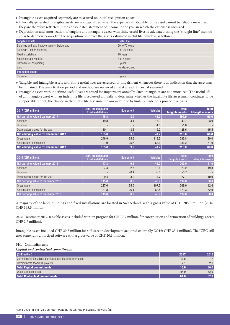- <span id="page-13-0"></span> $\blacktriangleright$  Intangible assets acquired separately are measured on initial recognition at cost.
- Internally generated intangible assets are not capitalized when the expenses attributable to the asset cannot be reliably measured; they are therefore reflected in the consolidated statement of income in the year in which the expense is incurred.
- Depreciation and amortization of tangible and intangible assets with finite useful lives is calculated using the "straight line" method so as to depreciate/amortize the acquisition cost over the asset's estimated useful life, which is as follows:

| Tangible assets                               | <b>Useful life</b> |
|-----------------------------------------------|--------------------|
| Buildings and land improvements - Switzerland | 20 to 70 years     |
| Buildings - other countries                   | 3 to 20 years      |
| Fixed installations                           | 10 years           |
| Equipment and vehicles                        | 5 to 8 years       |
| Hardware (IT equipment)                       | 3 years            |
| Land                                          | Not depreciated    |
| Intangible assets                             |                    |
| Software                                      | 5 years            |

- $\blacktriangleright$  Tangible and intangible assets with finite useful lives are assessed for impairment whenever there is an indication that the asset may be impaired. The amortization period and method are reviewed at least at each financial year-end.
- $\blacktriangleright$  Intangible assets with indefinite useful lives are tested for impairment annually. Such intangibles are not amortized. The useful life of an intangible asset with an indefinite life is reviewed annually to determine whether the indefinite life assessment continues to be supportable. If not, the change in the useful life assessment from indefinite to finite is made on a prospective basis.

| 2017 (CHF million)                  | Land, buildings and<br>fixed installations | Equipment                | <b>Vehicles</b> | <b>Total</b><br><b>Tangible assets</b> | <b>Total</b><br>Intangible assets |
|-------------------------------------|--------------------------------------------|--------------------------|-----------------|----------------------------------------|-----------------------------------|
| Net carrying value 1 January 2017   | 145.8                                      | 8.9                      | 43.9            | 199.0                                  | 60.0                              |
| Additions                           | 19.3                                       | 4.4                      | 17.0            | 40.7                                   | 23.9                              |
| <b>Disposals</b>                    | $\overline{\phantom{a}}$                   | $\overline{\phantom{a}}$ | $-1.0$          | $-1.0$                                 | $\sim$                            |
| Depreciation charge for the year    | $-10.1$                                    | $-3.3$                   | $-15.2$         | $-28.6$                                | $-15.5$                           |
| Net carrying value 31 December 2017 | 155.0                                      | 9.9 <sub>°</sub>         | 44.7            | 210.0                                  | 68.0                              |
| Gross value                         | 246.9                                      | 35.6                     | 113.3           | 395.8                                  | 120.0                             |
| Accumulated depreciation            | $-91.9$                                    | $-25.7$                  | $-68.6$         | $-186.2$                               | $-51.9$                           |
| Net carrying value 31 December 2017 | 155.0                                      | 9.9 <sub>°</sub>         | 44.7            | 210.0                                  | 68.0                              |

| 2016 (CHF million)                  | Land, buildings and<br>fixed installations | Equipment | <b>Vehicles</b> | Total <sup>1</sup><br>Tangible assets | <b>Total</b><br>Intangible assets |
|-------------------------------------|--------------------------------------------|-----------|-----------------|---------------------------------------|-----------------------------------|
| Net carrying value 1 January 2016   | 147.8                                      | 9.2       | 46.2            | 203.0                                 | 51.0                              |
| Additions                           | 7.4                                        | 2.7       | 13.1            | 23.2                                  | 19.3                              |
| <b>Disposals</b>                    | $\overline{\phantom{a}}$                   | $-0.1$    | $-0.6$          | $-0.7$                                | $\sim$                            |
| Depreciation charge for the year    | $-9.4$                                     | $-3.0$    | $-14.7$         | $-27.1$                               | $-10.9$                           |
| Net carrying value 31 December 2016 | 145.8                                      | 8.9       | 43.9            | 199.0                                 | 60.0                              |
| Gross value                         | 227.6                                      | 35.0      | 107.3           | 369.9                                 | 112.6                             |
| Accumulated depreciation            | $-81.8$                                    | $-26.1$   | $-63.4$         | $-171.3$                              | $-52.9$                           |
| Net carrying value 31 December 2016 | 145.8                                      | 8.9       | 43.9            | 199.0                                 | 60.0                              |

A majority of the land, buildings and fixed installations are located in Switzerland, with a gross value of CHF 205.6 million (2016: CHF 195.5 million).

At 31 December 2017, tangible assets included work in progress for CHF 7.7 million, for construction and renovation of buildings (2016: CHF 2.7 million).

Intangible assets included CHF 20.8 million for software in development acquired externally (2016: CHF 23.1 million). The ICRC still uses some fully amortized software with a gross value of CHF 20.3 million.

#### **3H. Commitments**

#### *Capital and contractual commitments*

| (CHF million)                                              | 2017 | 2016 |
|------------------------------------------------------------|------|------|
| Commitments for vehicle purchases and building renovations | 13.5 | 7.7  |
| Commitments toward IT projects                             |      | 2.9  |
| <b>Total Capital commitments</b>                           | 15.6 | 10.6 |
| Open purchase orders                                       | 64.9 | 62.9 |
| <b>Total Contractual commitments</b>                       | 64.9 | 62.9 |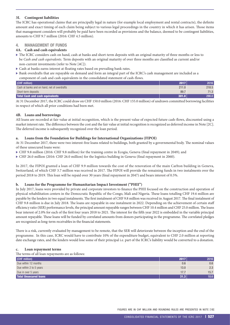#### <span id="page-14-0"></span>**3I. Contingent liabilities**

The ICRC has operational claims that are principally legal in nature (for example local employment and rental contracts), the definite amount and exact timing of each claim being subject to various legal proceedings in the country in which it has arisen. Those items that management considers will probably be paid have been recorded as provisions and the balance, deemed to be contingent liabilities, amounts to CHF 9.7 million (2016: CHF 4.5 million).

#### 4. MANAGEMENT OF FUNDS

#### **4A. Cash and cash equivalents**

- The ICRC considers cash on hand, cash at banks and short-term deposits with an original maturity of three months or less to be *Cash and cash equivalents*. Term deposits with an original maturity of over three months are classified as current and/or non-current investments (refer to Note [4C]).
- $\triangleright$  Cash at banks earns interest at floating rates based on prevailing bank rates.
- $\blacktriangleright$  Bank overdrafts that are repayable on demand and form an integral part of the ICRC's cash management are included as a component of cash and cash equivalents in the consolidated statement of cash-flows.

| (CHF million)                                | 2017  | 2016  |
|----------------------------------------------|-------|-------|
| Cash at banks and on hand, net of overdrafts | 211.0 | 218.5 |
| Short-term deposits                          | 89.7  | 71.3  |
| Total Cash and cash equivalents              | 301.0 | 290.0 |

At 31 December 2017, the ICRC could draw on CHF 150.0 million (2016: CHF 155.0 million) of undrawn committed borrowing facilities in respect of which all prior conditions had been met.

#### **4B. Loans and borrowings**

All loans are recorded at fair value at initial recognition, which is the present value of expected future cash-flows, discounted using a market interest rate. The difference between the cost and the fair value at initial recognition is recognized as deferred income in Note [2C]. The deferred income is subsequently recognized over the loan period.

#### **a. Loans from the Foundation for Buildings for International Organizations (FIPOI)**

At 31 December 2017, there were two interest-free loans related to buildings, both granted by a governmental body. The nominal values of these unsecured loans were:

- <sup>X</sup> CHF 9.8 million (2016: CHF 9.8 million) for the training centre in Ecogia, Geneva (final repayment in 2049); and
- ▶ CHF 26.0 million (2016: CHF 26.0 million) for the logistics building in Geneva (final repayment in 2060).

In 2017, the FIPOI granted a loan of CHF 9.9 million towards the cost of the renovation of the main Carlton building in Geneva, Switzerland, of which CHF 3.7 million was received in 2017. The FIPOI will provide the remaining funds in two instalments over the period 2018 to 2019. This loan will be repaid over 30 years (final repayment in 2047) and bears interest of 0.5%.

#### **b. Loans for the Programme for Humanitarian Impact Investment ("PHII")**

In July 2017, loans were provided by private and corporate investors to finance the PHII focused on the construction and operation of physical rehabilitation centers in the Democratic Republic of the Congo, Mali and Nigeria. These loans totalling CHF 19.6 million are payable by the lenders in two equal instalments. The first instalment of CHF 9.8 million was received in August 2017. The final instalment of CHF 9.8 million is due in July 2018. The loans are repayable in one instalment in 2022. Depending on the achievement of certain staff efficiency ratio (SER) performance levels, the principal amount repayable ranges between CHF 10.4 million and CHF 25.0 million. The loans bear interest of 2.0% for each of the first four years 2018 to 2021. The interest for the fifth year 2022 is embedded in the variable principal amount repayable. These loans will be funded by correlated amounts from donors participating in the programme. The correlated pledges are recognized as long-term receivables in the financial statements.

There is a risk, currently evaluated by management to be remote, that the SER will deteriorate between the inception and the end of the programme. In this case, ICRC would have to contribute 10% of the expenditure budget, equivalent to CHF 2.0 million at reporting date exchange rates, and the lenders would lose some of their principal i.e. part of the ICRC's liability would be converted to a donation.

#### **c. Loan repayment terms**

The terms of all loan repayments are as follows:

| (CHF million)                | 2017 | 2016 |
|------------------------------|------|------|
| Due within 12 months         | 0.6  | 0.6  |
| Due within 2 to 5 years      | 13.0 | 2.3  |
| Due in over 5 years          | 17.7 | 15.7 |
| <b>Total Unsecured loans</b> | 31.3 | 18.6 |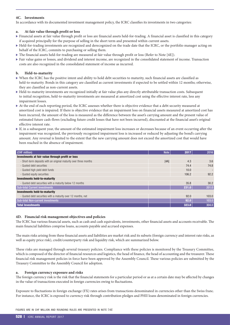#### <span id="page-15-0"></span>**4C. Investments**

In accordance with its documented investment management policy, the ICRC classifies its investments in two categories:

#### **a. At fair value through profit or loss**

- <sup>X</sup> Financial assets at fair value through profit or loss are financial assets held-for-trading. A financial asset is classified in this category if acquired principally for the purpose of selling in the short term and presented within current assets.
- Held-for-trading investments are recognized and derecognized on the trade date that the ICRC, or the portfolio manager acting on behalf of the ICRC, commits to purchasing or selling them.
- The financial assets held-for-trading are measured at fair value through profit or loss (Refer to Note [4E]).
- Fair value gains or losses, and dividend and interest income, are recognized in the consolidated statement of income. Transaction costs are also recognized in the consolidated statement of income as incurred.

#### **b. Held-to-maturity**

- $\triangleright$  When the ICRC has the positive intent and ability to hold debt securities to maturity, such financial assets are classified as held-to-maturity. Bonds in this category are classified as current investments if expected to be settled within 12 months; otherwise, they are classified as non-current assets.
- Held-to-maturity investments are recognized initially at fair value plus any directly attributable transaction costs. Subsequent to initial recognition, held-to-maturity investments are measured at amortized cost using the effective interest rate, less any impairment losses.
- At the end of each reporting period, the ICRC assesses whether there is objective evidence that a debt security measured at amortized cost is impaired. If there is objective evidence that an impairment loss on financial assets measured at amortized cost has been incurred, the amount of the loss is measured as the difference between the asset's carrying amount and the present value of estimated future cash-flows (excluding future credit losses that have not been incurred), discounted at the financial asset's original effective interest rate.
- If, in a subsequent year, the amount of the estimated impairment loss increases or decreases because of an event occurring after the impairment was recognized, the previously recognized impairment loss is increased or reduced by adjusting the bond's carrying amount. Any reversal is limited to the extent that the new carrying amount does not exceed the amortized cost that would have been reached in the absence of impairment.

| (CHF million)                                                     | <b>Note</b> | 2017  | 2016                     |
|-------------------------------------------------------------------|-------------|-------|--------------------------|
| Investments at fair value through profit or loss                  |             |       |                          |
| - Short-term deposits with an original maturity over three months | [AA]        | 4.3   | 3.6                      |
| - Quoted debt securities                                          |             | 74.4  | 74.8                     |
| - Quoted high yield debt funds                                    |             | 10.0  | $\overline{\phantom{a}}$ |
| - Quoted equity securities                                        |             | 106.2 | 92.2                     |
| <b>Investments held-to-maturity</b>                               |             |       |                          |
| - Quoted debt securities with a maturity below 12 months          |             | 35.8  | 30.2                     |
| <b>Sub-total Current investments</b>                              |             | 231.0 | 201.0                    |
| <b>Investments held-to-maturity</b>                               |             |       |                          |
| - Quoted debt securities with a maturity over 12 months, net      |             | 92.0  | 103.0                    |
| <b>Sub-total Non-current investments</b>                          |             | 92.0  | 103.0                    |
| <b>Total Investments</b>                                          |             | 323.0 | 304.0                    |

#### **4D. Financial risk management objectives and policies**

The ICRC has various financial assets, such as cash and cash equivalents, investments, other financial assets and accounts receivable. The main financial liabilities comprise loans, accounts payable and accrued expenses.

The main risks arising from these financial assets and liabilities are market risk and its subsets (foreign currency and interest rate risks, as well as equity price risk), credit/counterparty risk and liquidity risk, which are summarized below.

These risks are managed through several treasury policies. Compliance with these policies is monitored by the Treasury Committee, which is composed of the director of financial resources and logistics, the head of finance, the head of accounting and the treasurer. These financial risk management policies in force have been approved by the Assembly Council. These various policies are submitted by the Treasury Committee to the Assembly Council for adoption.

#### **a. Foreign currency exposure and risks**

The foreign currency risk is the risk that the financial statements for a particular period or as at a certain date may be affected by changes in the value of transactions executed in foreign currencies owing to fluctuations.

Exposure to fluctuations in foreign exchange (FX) rates arises from transactions denominated in currencies other than the Swiss franc. For instance, the ICRC is exposed to currency risk through contribution pledges and PHII loans denominated in foreign currencies.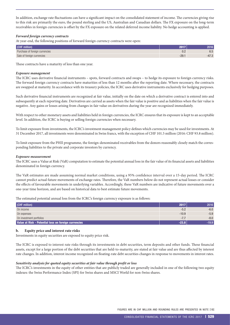In addition, exchange rate fluctuations can have a significant impact on the consolidated statement of income. The currencies giving rise to this risk are primarily the euro, the pound sterling and the US, Australian and Canadian dollars. The FX exposure on the long-term receivables in foreign currencies is offset by the FX exposure on the related deferred income liability. No hedge accounting is applied.

#### *Forward foreign currency contracts*

At year-end, the following positions of forward foreign currency contracts were open:

| (CHF million)                  | 2017    | 2016    |
|--------------------------------|---------|---------|
| Purchase of foreign currencies | U.Z     | 6.5     |
| Sale of foreign currencies     | $-29.1$ | $-47.3$ |

These contracts have a maturity of less than one year.

#### *Exposure management*

The ICRC uses derivative financial instruments – spots, forward contracts and swaps – to hedge its exposure to foreign currency risks. The forward foreign currency contracts have maturities of less than 12 months after the reporting date. Where necessary, the contracts are swapped at maturity. In accordance with its treasury policies, the ICRC uses derivative instruments exclusively for hedging purposes.

Such derivative financial instruments are recognized at fair value, initially on the date on which a derivative contract is entered into and subsequently at each reporting date. Derivatives are carried as assets when the fair value is positive and as liabilities when the fair value is negative. Any gains or losses arising from changes in fair value on derivatives during the year are recognized immediately.

With respect to other monetary assets and liabilities held in foreign currencies, the ICRC ensures that its exposure is kept to an acceptable level. In addition, the ICRC is buying or selling foreign currencies when necessary.

To limit exposure from investments, the ICRC's investment management policy defines which currencies may be used for investments. At 31 December 2017, all investments were denominated in Swiss francs, with the exception of CHF 101.5 million (2016: CHF 93.8 million).

To limit exposure from the PHII programme, the foreign-denominated receivables from the donors reasonably closely match the corresponding liabilities to the private and corporate investors by currency.

#### *Exposure measurement*

The ICRC uses a Value at Risk (VaR) computation to estimate the potential annual loss in the fair value of its financial assets and liabilities denominated in foreign currency.

The VaR estimates are made assuming normal market conditions, using a 95% confidence interval over a 15-day period. The ICRC cannot predict actual future movements of exchange rates. Therefore, the VaR numbers below do not represent actual losses or consider the effects of favourable movements in underlying variables. Accordingly, these VaR numbers are indicative of future movements over a one-year time horizon, and are based on historical data to best estimate future movements.

The estimated potential annual loss from the ICRC's foreign currency exposure is as follows:

| (CHF million)                                        | 2017    | 2016    |
|------------------------------------------------------|---------|---------|
| On income                                            | $-5.2$  | $-6.0$  |
| On expenses                                          | $-10.9$ | $-5.9$  |
| On investment portfolios                             | $-7.7$  | $-8.0$  |
| Value at Risk - Potential loss on foreign currencies |         | $-19.9$ |

#### **b. Equity price and interest rate risks**

Investments in equity securities are exposed to equity price risk.

The ICRC is exposed to interest rate risks through its investments in debt securities, term deposits and other funds. These financial assets, except for a large portion of the debt securities that are held-to-maturity, are stated at fair value and are thus affected by interest rate changes. In addition, interest income recognized on floating-rate debt securities changes in response to movements in interest rates.

#### *Sensitivity analysis for quoted equity securities at fair value through profit or loss*

The ICRC's investments in the equity of other entities that are publicly traded are generally included in one of the following two equity indexes: the Swiss Performance Index (SPI) for Swiss shares and MSCI World for non-Swiss shares.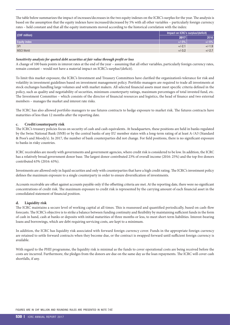The table below summarizes the impact of increases/decreases in the two equity indexes on the ICRC's surplus for the year. The analysis is based on the assumption that the equity indexes have increased/decreased by 5% with all other variables – particularly foreign currency rates – held constant and that all the equity instruments moved according to the historical correlation with the index:

| (CHF million)       | Impact on ICRC's surplus/(deficit) |          |  |
|---------------------|------------------------------------|----------|--|
|                     | 2017                               | 2016     |  |
| <b>Equity index</b> | $+/-5\%$                           | $+/-5%$  |  |
| <b>SPI</b>          | $+/-2.1$                           | $+/-1.9$ |  |
| <b>MSCI World</b>   | $+/-3.2$                           | $+/-2.7$ |  |

#### *Sensitivity analysis for quoted debt securities at fair value through profit or loss*

A change of 100 basis points in interest rates at the end of the year – assuming that all other variables, particularly foreign currency rates, remain constant – would not have a material impact on ICRC's surplus/(deficit).

To limit this market exposure, the ICRC's Investment and Treasury Committees have clarified the organization's tolerance for risk and volatility in investment guidelines based on investment management policy. Portfolio managers are required to trade all investments at stock exchanges handling large volumes and with market makers. All selected financial assets must meet specific criteria defined in the policy, such as quality and negotiability of securities, minimum counterparty ratings, maximum percentages of total invested fund, etc. The Investment Committee – which consists of the director of financial resources and logistics, the head of finance and two external members – manages the market and interest rate risks.

The ICRC has also allowed portfolio managers to use futures contracts to hedge exposure to market risk. The futures contracts have maturities of less than 12 months after the reporting date.

#### **c. Credit/counterparty risk**

The ICRC's treasury policies focus on security of cash and cash equivalents. At headquarters, these positions are held in banks regulated by the Swiss National Bank (SNB) or by the central banks of any EU member states with a long-term rating of at least A-/A3 (Standard & Poor's and Moody's). In 2017, the number of bank counterparties did not change. For field positions, there is no significant exposure to banks in risky countries.

ICRC receivables are mostly with governments and government agencies, where credit risk is considered to be low. In addition, the ICRC has a relatively broad government donor base. The largest donor contributed 23% of overall income (2016: 25%) and the top five donors contributed 63% (2016: 63%).

Investments are allowed only in liquid securities and only with counterparties that have a high credit rating. The ICRC's investment policy defines the maximum exposure to a single counterparty in order to ensure diversification of investments.

Accounts receivable are offset against accounts payable only if the offsetting criteria are met. At the reporting date, there were no significant concentrations of credit risk. The maximum exposure to credit risk is represented by the carrying amount of each financial asset in the consolidated statement of financial position.

#### **d. Liquidity risk**

The ICRC maintains a secure level of working capital at all times. This is reassessed and quantified periodically, based on cash-flow forecasts. The ICRC's objective is to strike a balance between funding continuity and flexibility by maintaining sufficient funds in the form of cash in hand, cash at banks or deposits with initial maturities of three months or less, to meet short-term liabilities. Interest-bearing loans and borrowings, which are debt requiring servicing costs, are kept to a minimum.

In addition, the ICRC has liquidity risk associated with forward foreign currency cover. Funds in the appropriate foreign currency are retained to settle forward contracts when they become due, or the contract is swapped forward until sufficient foreign currency is available.

With regard to the PHII programme, the liquidity risk is minimal as the funds to cover operational costs are being received before the costs are incurred. Furthermore, the pledges from the donors are due on the same day as the loan repayments. The ICRC will cover cash shortfalls, if any.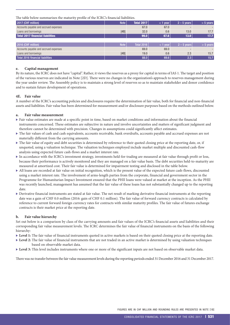<span id="page-18-0"></span>The table below summarizes the maturity profile of the ICRC's financial liabilities.

| 2017 (CHF million)                    | <b>Note</b> | <b>Total 2017</b> | $<$ 1 year | $2 - 5$ years | $> 5$ years              |
|---------------------------------------|-------------|-------------------|------------|---------------|--------------------------|
| Accounts payable and accrued expenses |             | 67.0              | 67.0       |               | $\overline{\phantom{0}}$ |
| Loans and borrowings                  | [4B]        | 32.0              | 0.6        | 13.0          | 17.7                     |
| Total 2017 financial liabilities      |             | 99.0              | 67.6       | 13.0          | 17.7                     |
|                                       |             |                   |            |               |                          |
| 2016 (CHF million)                    | <b>Note</b> | <b>Total 2016</b> | $<$ 1 year | $2 - 5$ years | $> 5$ years              |
| Accounts payable and accrued expenses |             | 69.0              | 69.0       |               | $\sim$                   |
| Loans and borrowings                  | [4B]        | 19.0              | 0.6        | 2.3           | 15.7                     |
| Total 2016 financial liabilities      |             | 88.0              | 69.6       | 2.3           | 15.7                     |

#### **e. Capital management**

By its nature, the ICRC does not have "capital". Rather, it views the reserves as a proxy for capital in terms of IAS 1. The target and position of the various reserves are indicated in Note [2D]. There were no changes in the organization's approach to reserves management during the year under review. The Assembly policy is to maintain a strong level of reserves so as to maintain stakeholder and donor confidence and to sustain future development of operations.

#### **4E. Fair value**

A number of the ICRC's accounting policies and disclosures require the determination of fair value, both for financial and non-financial assets and liabilities. Fair value has been determined for measurement and/or disclosure purposes based on the methods outlined below.

#### **a. Fair value measurement**

- Fair value estimates are made at a specific point in time, based on market conditions and information about the financial instruments concerned. These estimates are subjective in nature and involve uncertainties and matters of significant judgment and therefore cannot be determined with precision. Changes in assumptions could significantly affect estimates.
- The fair values of cash and cash equivalents, accounts receivable, bank overdrafts, accounts payable and accrued expenses are not materially different from the carrying amounts.
- The fair value of equity and debt securities is determined by reference to their quoted closing price at the reporting date, or, if unquoted, using a valuation technique. The valuation techniques employed include market multiple and discounted cash-flow analysis using expected future cash-flows and a market interest rate.
- In accordance with the ICRC's investment strategy, investments held-for-trading are measured at fair value through profit or loss, because their performance is actively monitored and they are managed on a fair value basis. The debt securities held-to-maturity are measured at amortized cost. Their fair value is determined for impairment testing and disclosed in the table below.
- All loans are recorded at fair value on initial recognition, which is the present value of the expected future cash-flows, discounted using a market interest rate. The involvement of arms-length parties from the corporate, financial and government sector in the Programme for Humanitarian Impact Investment ensured that the PHII loans were valued at market at the inception. As the PHII was recently launched, management has assumed that the fair value of these loans has not substantially changed up to the reporting date.
- Derivative financial instruments are stated at fair value. The net result of marking derivative financial instruments at the reporting date was a gain of CHF 0.0 million (2016: gain of CHF 0.1 million). The fair value of forward currency contracts is calculated by reference to current forward foreign currency rates for contracts with similar maturity profiles. The fair value of futures exchange contracts is their market price at the reporting date.

#### **b. Fair value hierarchy**

Set out below is a comparison by class of the carrying amounts and fair values of the ICRC's financial assets and liabilities and their corresponding fair value measurement levels. The ICRC determines the fair value of financial instruments on the basis of the following hierarchy:

- Evel 1: The fair value of financial instruments quoted in active markets is based on their quoted closing price at the reporting date.
- ▶ Level 2: The fair value of financial instruments that are not traded in an active market is determined by using valuation techniques based on observable market data.
- ▶ Level 3: This level includes instruments where one or more of the significant inputs are not based on observable market data.

There was no transfer between the fair value measurement levels during the reporting periods ended 31 December 2016 and 31 December 2017.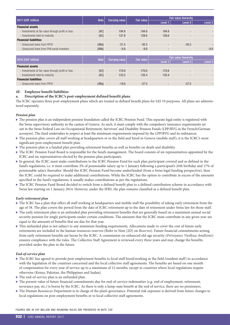<span id="page-19-0"></span>

| 2017 (CHF million)                                 | <b>Note</b> |                       | <b>Fair value</b> | Fair value hierarchy     |                          |                    |
|----------------------------------------------------|-------------|-----------------------|-------------------|--------------------------|--------------------------|--------------------|
|                                                    |             | <b>Carrying value</b> |                   | Level 1                  | Level 2                  | Level 3            |
| <b>Financial assets</b>                            |             |                       |                   |                          |                          |                    |
| - Investments at fair value through profit or loss | [4C]        | 194.9                 | 194.9             | 194.9                    | $\overline{\phantom{a}}$ |                    |
| - Investments held-to-maturity                     | [4C]        | 127.8                 | 128.6             | 128.6                    |                          |                    |
| <b>Financial liabilities</b>                       |             |                       |                   |                          |                          |                    |
| - Unsecured Joans from FIPOL                       | [4Ba]       | $-21.5$               | $-30.3$           | $\overline{\phantom{a}}$ | $-30.3$                  |                    |
| - Unsecured loans from PHII social investors       | [4Bb]       | $-9.8$                | $-9.8$            | $\overline{\phantom{a}}$ |                          | $-9.8$             |
|                                                    |             |                       |                   |                          |                          |                    |
| 2016 (CHF million)                                 | <b>Note</b> | <b>Carrying value</b> | <b>Fair value</b> |                          | Fair value hierarchy     |                    |
|                                                    |             |                       |                   | Level 1                  | Level 2                  | Level <sub>3</sub> |
| <b>Financial assets</b>                            |             |                       |                   |                          |                          |                    |
| - Investments at fair value through profit or loss | [4C]        | 170.6                 | 170.6             | 170.6                    | $\overline{\phantom{0}}$ |                    |
| - Investments held-to-maturity                     | [4C]        | 133.2                 | 135.4             | 135.4                    | $\sim$                   |                    |
| <b>Financial liabilities</b>                       |             |                       |                   |                          |                          |                    |
| - Unsecured Joans from FIPOI                       | [4Ba]       | $-18.6$               | $-27.5$           | $\overline{\phantom{a}}$ | $-27.5$                  |                    |

# **4F. Employee benefit liabilities**

#### **a. Description of the ICRC's post-employment defined benefit plans**

The ICRC operates three post-employment plans which are treated as defined benefit plans for IAS 19 purposes. All plans are administered separately.

#### *Pension plan*

- The pension plan is an independent pension foundation called the ICRC Pension Fund. This separate legal entity is registered with the Swiss supervisory authority in the canton of Geneva. As such, it must comply with the compulsory insurance requirements set out in the Swiss Federal Law on Occupational Retirement, Survivors' and Disability Pension Funds (LPP/BVG in the French/German acronym). The fund undertakes to respect at least the minimum requirements imposed by the LPP/BVG and its ordinances.
- The pension plan covers all staff working at headquarters or in the field and hired in Geneva (mobile staff); it is the ICRC's most significant post-employment benefit plan.
- The pension plan is a funded plan providing retirement benefits as well as benefits on death and disability.
- The ICRC Pension Fund Board is responsible for the fund's management. The board consists of six representatives appointed by the ICRC and six representatives elected by the pension plan participants.
- In general, the ICRC must make contributions to the ICRC Pension Fund for each plan participant covered and as defined in the fund's regulations, i.e. it must contribute 2% of pensionable salary up to 1 January following a participant's 24th birthday and 17% of pensionable salary thereafter. Should the ICRC Pension Fund become underfunded (from a Swiss legal funding perspective), then the ICRC could be required to make additional contributions. While the ICRC has the option to contribute in excess of the amounts specified in the fund's regulations, it usually makes contributions as per the regulations.
- The ICRC Pension Fund Board decided to switch from a defined benefit plan to a defined contribution scheme in accordance with Swiss law starting on 1 January 2014. However, under the IFRS, the plan remains classified as a defined benefit plan.

#### *Early retirement plan*

- The ICRC has a plan that offers all staff working at headquarters and mobile staff the possibility of taking early retirement from the age of 58. The plan covers the period from the date of ICRC retirement up to the date of retirement under Swiss law for those staff.
- The early retirement plan is an unfunded plan providing retirement benefits that are generally based on a maximum annual social security pension for single participants under certain conditions. The amounts that the ICRC must contribute in any given year are equal to the amounts of benefits that are due for that year.
- $\blacktriangleright$  This unfunded plan is not subject to any minimum funding requirements. Allocations made to cover the cost of future early retirements are included in the human resources reserves (Refer to Note [2D] on *Reserves*). Future financial commitments arising from early retirement benefits are borne by the ICRC. A commission on enhanced old-age security (*Prévoyance Vieillesse Améliorée*) ensures compliance with the rules. The Collective Staff Agreement is reviewed every three years and may change the benefits provided under the plan in the future.

#### *End-of-service plan*

- ▶ The ICRC has agreed to provide post-employment benefits to local staff hired/working in the field (resident staff) in accordance with the legislation of the countries concerned and the local collective staff agreements. The benefits are based on one month of compensation for every year of service up to a maximum of 12 months, except in countries where local regulations require otherwise (Kenya, Pakistan, the Philippines and Sudan).
- $\blacktriangleright$  The end-of-service plan is an unfunded plan.
- The present value of future financial commitments due for end-of-service indemnities (e.g. end of employment, retirement, severance pay, etc.) is borne by the ICRC. As there is only a lump-sum benefit at the end of service, there are no pensioners.
- The Human Resources Department is in charge of the plan's governance. Potential risk exposure is derived from future changes to local regulations on post-employment benefits or to local collective staff agreements.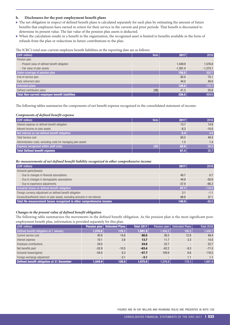#### **b. Disclosures for the post-employment benefit plans**

- The net obligation in respect of defined benefit plans is calculated separately for each plan by estimating the amount of future benefits that employees have earned in return for their service in the current and prior periods. That benefit is discounted to determine its present value. The fair value of the pension plan assets is deducted.
- <sup>X</sup> When the calculation results in a benefit to the organization, the recognized asset is limited to benefits available in the form of refunds from the plan or reductions in future contributions to the plan.

The ICRC's total non-current employee benefit liabilities at the reporting date are as follows:

| (CHF million)                                  | <b>Note</b> | 2017       | 2016       |
|------------------------------------------------|-------------|------------|------------|
| Pension plan                                   |             |            |            |
| - Present value of defined benefit obligation  |             | 1.549.9    | 1,576.8    |
| - Fair value of plan assets                    |             | $-1,391.4$ | $-1,274.1$ |
| Under-coverage of pension plan                 |             | 158.5      | 302.7      |
| End-of-service plan                            |             | 82.0       | 75.1       |
| Early retirement plan                          |             | 44.0       | 40.0       |
| <b>Unfunded plans</b>                          |             | 126.0      | 115.1      |
| Defined contribution plans                     | [3B]        | 41.3       | 35.8       |
| Total Non-current employee benefit liabilities |             | 326.0      | 454.0      |

The following tables summarize the components of net benefit expense recognized in the consolidated statement of income:

#### *Components of defined benefit expense*

| (CHF million)                                                  | <b>Note</b> | 2017   | 2016    |
|----------------------------------------------------------------|-------------|--------|---------|
| Interest expense on defined benefit obligation                 |             | 13.7   | 14.9    |
| Interest income on plan assets                                 |             | $-8.3$ | $-10.0$ |
| Net interest on net defined benefit obligation                 |             | 5.4    | 4.9     |
| <b>Total Service cost</b>                                      |             | 60.5   | 49.4    |
| Administration costs, excluding costs for managing plan assets |             | 1.5    | 1.4     |
| <b>Expense recognized within staff costs</b>                   | [3B]        | 62.0   | 50.8    |
| <b>Total Defined benefit expense</b>                           |             | 67.4   | 55.7    |

#### *Re-measurements of net defined benefit liability recognized in other comprehensive income*

| (CHF million)                                                                  | 2017    | 2016     |
|--------------------------------------------------------------------------------|---------|----------|
| Actuarial gains/(losses):                                                      |         |          |
| - Due to changes in financial assumptions                                      | 40.7    | 0.7      |
| - Due to changes in demographic assumptions                                    | 44.9    | $-50.9$  |
| - Due to experience adjustments                                                | $-37.9$ | $-66.3$  |
| Actuarial losses on defined benefit obligation                                 | 47.7    | $-116.5$ |
| Foreign currency adjustment on defined benefit obligation                      | 3.1     | $-1.1$   |
| Excess/(Insufficient) return on plan assets, excluding amounts in net interest | 88.8    | 37.1     |
| Total Re-measurement losses recognized in other comprehensive income           | 140.0   | $-80.0$  |

#### *Changes in the present value of defined benefit obligation*

The following table summarizes the movements in the defined benefit obligation. As the pension plan is the most significant postemployment benefit plan, information is provided separately for this plan.

| (CHF million)                             |                          | <b>Pension plan   Unfunded Plans  </b> | <b>Total 2017</b>     | Pension plan | <b>Unfunded Plans</b>    | <b>Total 2016</b> |
|-------------------------------------------|--------------------------|----------------------------------------|-----------------------|--------------|--------------------------|-------------------|
| Defined benefit obligation at 1 January   | 1,576.8                  | 115.1                                  | 1,691.9               | 1,458.2      | 100.5                    | 1,558.7           |
| Current service cost                      | 45.9                     | 14.6                                   | 60.5                  | 36.5         | 12.9                     | 49.4              |
| Interest expense                          | 10.1                     | 3.6                                    | 13.7                  | 11.7         | 3.3                      | 15.0              |
| Employee contributions                    | 24.0                     |                                        | 24.0                  | 22.7         | $\overline{\phantom{a}}$ | 22.7              |
| Net benefits paid                         | $-52.9$                  | $-10.5$                                | $-63.4$               | $-62.2$      | $-9.3$                   | $-71.5$           |
| Actuarial losses/(gains)                  | $-54.0$                  | 6.3                                    | $-47.7$               | 109.9        | 6.6                      | 116.5             |
| Foreign exchange adjustment               | $\overline{\phantom{a}}$ | $-3.1$                                 | $-3.1$                |              | 1.1                      | 1.1               |
| Defined benefit obligation at 31 December | 1.549.9                  | 126.0                                  | $1,675.9$ $\parallel$ | 1.576.8      | 115.1                    | 1,691.9           |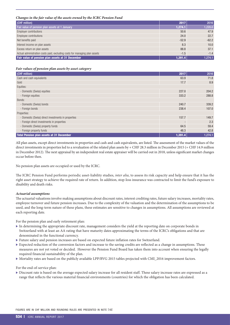#### *Changes in the fair value of the assets owned by the ICRC Pension Fund*

| (CHF million)                                                              | 2017    | 2016    |
|----------------------------------------------------------------------------|---------|---------|
| Fair value of pension plan assets at 1 January                             | 1,274.1 | 1,220.0 |
| <b>Employer contributions</b>                                              | 50.6    | 47.9    |
| Employee contributions                                                     | 24.0    | 22.7    |
| Net benefits paid                                                          | $-52.9$ | $-62.2$ |
| Interest income on plan assets                                             | 8.3     | 10.0    |
| Excess return on plan assets                                               | 88.8    | 37.1    |
| Actual administration costs paid, excluding costs for managing plan assets | $-1.5$  | $-1.4$  |
| Fair value of pension plan assets at 31 December                           | 1,391.4 | 1,274.1 |

#### *Fair values of pension plan assets by asset category*

| (CHF million)                                       | 2017    | 2016    |
|-----------------------------------------------------|---------|---------|
| Cash and cash equivalents                           | 63.9    | 71.8    |
| Gold                                                | 17.7    | 8.9     |
| Equities:                                           |         |         |
| - Domestic (Swiss) equities                         | 227.0   | 204.2   |
| - Foreign equities                                  | 333.2   | 288.8   |
| Bonds:                                              |         |         |
| - Domestic (Swiss) bonds                            | 240.7   | 339.2   |
| - Foreign bonds                                     | 238.4   | 107.0   |
| Properties:                                         |         |         |
| - Domestic (Swiss) direct investments in properties | 157.7   | 149.7   |
| - Foreign direct investments in properties          |         | 2.3     |
| - Domestic (Swiss) property funds                   | 64.5    | 59.4    |
| - Foreign property funds                            | 48.3    | 42.8    |
| Total Pension plan assets at 31 December            | 1,391.4 | 1,274.1 |

All plan assets, except direct investments in properties and cash and cash equivalents, are listed. The assessment of the market values of the direct investments in properties led to a revaluation of the related plan assets by + CHF 28.3 million in December 2015 (+ CHF 14.9 million in December 2012). The next appraisal by an independent real estate appraiser will be carried out in 2018, unless significant market changes occur before then.

No pension plan assets are occupied or used by the ICRC.

The ICRC Pension Fund performs periodic asset-liability studies, *inter alia*, to assess its risk capacity and help ensure that it has the right asset strategy to achieve the required rate of return. In addition, stop-loss insurance was contracted to limit the fund's exposure to disability and death risks.

#### *Actuarial assumptions*

The actuarial valuations involve making assumptions about discount rates, interest crediting rates, future salary increases, mortality rates, employee turnover and future pension increases. Due to the complexity of the valuation and the determination of the assumptions to be used, and the long-term nature of these plans, these estimates are sensitive to changes in assumptions. All assumptions are reviewed at each reporting date.

For the pension plan and early retirement plan:

- $\triangleright$  In determining the appropriate discount rate, management considers the yield at the reporting date on corporate bonds in Switzerland with at least an AA rating that have maturity dates approximating the terms of the ICRC's obligations and that are denominated in the functional currency.
- <sup>X</sup> Future salary and pension increases are based on expected future inflation rates for Switzerland.
- Expected reduction of the conversion factors and increase to the saving credits are reflected as a change in assumptions. These measures are not yet voted or decided. However the Pension Fund Board has taken them into account when ensuring the legally required financial sustainability of the plan.
- ▶ Mortality rates are based on the publicly available LPP/BVG 2015 tables projected with CMI\_2016 improvement factors.

#### For the end-of-service plan:

 $\triangleright$  Discount rate is based on the average expected salary increase for all resident staff. These salary increase rates are expressed as a range that reflects the various material financial environments (countries) for which the obligation has been calculated.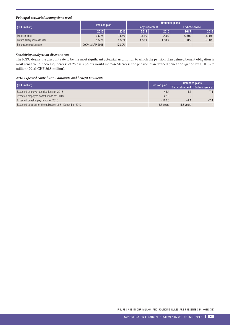### *Principal actuarial assumptions used*

|                             |                 |          | <b>Unfunded plans</b>   |       |       |                |
|-----------------------------|-----------------|----------|-------------------------|-------|-------|----------------|
| (CHF million)               | Pension plan    |          | <b>Early retirement</b> |       |       | End-of-service |
| 2017                        | 2016            | 2017     | 2016                    | 2017  | 2016  |                |
| Discount rate               | 0.69%           | 0.66%    | 0.51%                   | 0.48% | 5.00% | 5.00%          |
| Future salary increase rate | $1.50\%$        | $1.50\%$ | $1.50\%$                | 1.50% | 5.00% | 5.00%          |
| Employee rotation rate      | 200% x LPP 2015 | 17.80%   |                         |       |       |                |

#### *Sensitivity analysis on discount rate*

The ICRC deems the discount rate to be the most significant actuarial assumption to which the pension plan defined benefit obligation is most sensitive. A decrease/increase of 25 basis points would increase/decrease the pension plan defined benefit obligation by CHF 52.7 million (2016: CHF 56.8 million).

#### *2018 expected contribution amounts and benefit payments*

| (CHF million)                                            | Unfunded plans<br>Pension plan |                                          |        |
|----------------------------------------------------------|--------------------------------|------------------------------------------|--------|
|                                                          |                                | <b>Early retirement</b>   End-of-service |        |
| Expected employer contributions for 2018                 | 48.4                           | 4.4                                      | 7.4    |
| Expected employee contributions for 2018                 | 22.8                           |                                          |        |
| Expected benefits payments for 2018                      | $-100.0$                       | $-4.4$                                   | $-7.4$ |
| Expected duration for the obligation at 31 December 2017 | 13.7 years                     | 5.8 years                                |        |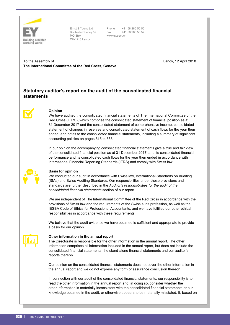<span id="page-23-0"></span>

Ernst & Young Ltd Route de Chancy 59 P.O. Box CH-1213 Lancy

Phone +41 58 286 56 56 Fax +41 58 286 56 57 www.ey.com/ch

To the Assembly of **The International Committee of the Red Cross, Geneva** Lancy, 12 April 2018

# **Statutory auditor's report on the audit of the consolidated financial statements**



# **Opinion**

We have audited the consolidated financial statements of The International Committee of the Red Cross (ICRC), which comprise the consolidated statement of financial position as at 31 December 2017 and the consolidated statement of comprehensive income, consolidated statement of changes in reserves and consolidated statement of cash flows for the year then ended, and notes to the consolidated financial statements, including a summary of significant accounting policies on pages 515 to 535.

In our opinion the accompanying consolidated financial statements give a true and fair view of the consolidated financial position as at 31 December 2017, and its consolidated financial performance and its consolidated cash flows for the year then ended in accordance with International Financial Reporting Standards (IFRS) and comply with Swiss law.



#### **Basis for opinion**

We conducted our audit in accordance with Swiss law, International Standards on Auditing (ISAs) and Swiss Auditing Standards. Our responsibilities under those provisions and standards are further described in the *Auditor's responsibilities for the audit of the consolidated financial statements* section of our report.

We are independent of The International Committee of the Red Cross in accordance with the provisions of Swiss law and the requirements of the Swiss audit profession, as well as the IESBA Code of Ethics for Professional Accountants, and we have fulfilled our other ethical responsibilities in accordance with these requirements.

We believe that the audit evidence we have obtained is sufficient and appropriate to provide a basis for our opinion.

# **Other information in the annual report**

The Directorate is responsible for the other information in the annual report. The other information comprises all information included in the annual report, but does not include the consolidated financial statements, the stand-alone financial statements and our auditor's reports thereon.

Our opinion on the consolidated financial statements does not cover the other information in the annual report and we do not express any form of assurance conclusion thereon.

In connection with our audit of the consolidated financial statements, our responsibility is to read the other information in the annual report and, in doing so, consider whether the other information is materially inconsistent with the consolidated financial statements or our knowledge obtained in the audit, or otherwise appears to be materially misstated. If, based on

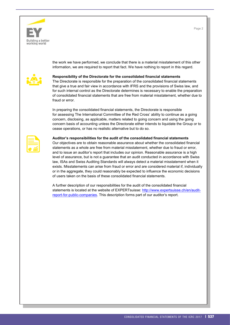



the work we have performed, we conclude that there is a material misstatement of this other information, we are required to report that fact. We have nothing to report in this regard.



#### **Responsibility of the Directorate for the consolidated financial statements**

The Directorate is responsible for the preparation of the consolidated financial statements that give a true and fair view in accordance with IFRS and the provisions of Swiss law, and for such internal control as the Directorate determines is necessary to enable the preparation of consolidated financial statements that are free from material misstatement, whether due to fraud or error.

In preparing the consolidated financial statements, the Directorate is responsible for assessing The International Committee of the Red Cross' ability to continue as a going concern, disclosing, as applicable, matters related to going concern and using the going concern basis of accounting unless the Directorate either intends to liquidate the Group or to cease operations, or has no realistic alternative but to do so.

## **Auditor's responsibilities for the audit of the consolidated financial statements** Our objectives are to obtain reasonable assurance about whether the consolidated financial statements as a whole are free from material misstatement, whether due to fraud or error, and to issue an auditor's report that includes our opinion. Reasonable assurance is a high level of assurance, but is not a guarantee that an audit conducted in accordance with Swiss

law, ISAs and Swiss Auditing Standards will always detect a material misstatement when it exists. Misstatements can arise from fraud or error and are considered material if, individually or in the aggregate, they could reasonably be expected to influence the economic decisions of users taken on the basis of these consolidated financial statements.

A further description of our responsibilities for the audit of the consolidated financial statements is located at the website of EXPERTsuisse: http://www.expertsuisse.ch/en/auditreport-for-public-companies. This description forms part of our auditor's report.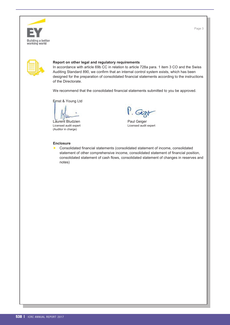

Page 3

| ____ |  |  |
|------|--|--|
|      |  |  |
|      |  |  |

#### **Report on other legal and regulatory requirements**

In accordance with article 69b CC in relation to article 728a para. 1 item 3 CO and the Swiss Auditing Standard 890, we confirm that an internal control system exists, which has been designed for the preparation of consolidated financial statements according to the instructions of the Directorate.

We recommend that the consolidated financial statements submitted to you be approved.

Ernst & Young Ltd

Licensed audit expert Licensed audit expert (Auditor in charge)

Laurent Bludzien einer Staat von Berger von Deutscheiden Paul Geiger<br>Licensed audit expert von Deutsche Paul Licensed audit expert

#### **Enclosure**

 Consolidated financial statements (consolidated statement of income, consolidated statement of other comprehensive income, consolidated statement of financial position, consolidated statement of cash flows, consolidated statement of changes in reserves and notes)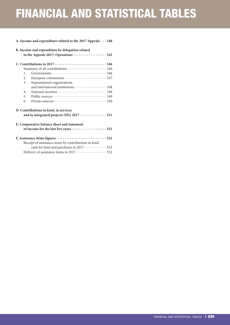# FINANCIAL AND STATISTICAL TABLES

#### **[A. Income and expenditure related to the 2017 Appeals · · ·](#page-27-0) 540**

|    | B. Income and expenditure by delegation related<br>to the Appeals 2017: Operations  542 |
|----|-----------------------------------------------------------------------------------------|
|    |                                                                                         |
|    |                                                                                         |
| 1. |                                                                                         |
| 2. |                                                                                         |
| 3. | Supranational organizations                                                             |
|    |                                                                                         |
| 4. |                                                                                         |
| 5. |                                                                                         |
| 6. |                                                                                         |
|    | D. Contributions in kind, in services                                                   |
|    | and to integrated projects (IPs) 2017  551                                              |
|    | E. Comparative balance sheet and statement                                              |
|    | of income for the last five years  552                                                  |
|    |                                                                                         |
|    | Receipt of assistance items by contributions in kind,                                   |
|    | cash for kind and purchases in 2017  552                                                |
|    | Delivery of assistance items in 2017  552                                               |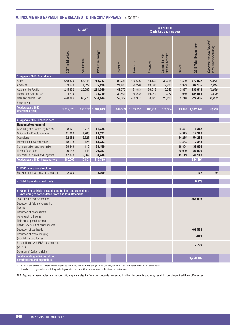# <span id="page-27-0"></span>A. INCOME AND EXPENDITURE RELATED TO THE 2017 APPEALS (in KCHF)

|                                                                                                                        |                        | <b>BUDGET</b> |                                                           |            |                        |            | <b>EXPENDITURE</b><br>(Cash, kind and services) |         |                                    |                                                          |
|------------------------------------------------------------------------------------------------------------------------|------------------------|---------------|-----------------------------------------------------------|------------|------------------------|------------|-------------------------------------------------|---------|------------------------------------|----------------------------------------------------------|
|                                                                                                                        | Initial budget<br>2017 | dments<br>ă   | <b>budget</b><br>Final<br>$\mathbf{L}$<br>$\overline{20}$ | Protection | sistance<br><b>Asi</b> | Prevention | Cooperation with<br>National Societies          | General | Expenditur<br><b>Total</b><br>2017 | Overheads (already included<br>in the total expenditure) |
| 1. Appeals 2017: Operations                                                                                            |                        |               |                                                           |            |                        |            |                                                 |         |                                    |                                                          |
| Africa                                                                                                                 | 648,870                | 63,844        | 712,713                                                   | 93,781     | 480,606                | 58,132     | 39,918                                          | 4,590   | 677,027                            | 41,095                                                   |
| Americas                                                                                                               | 83,670                 | 1,527         | 85,198                                                    | 24,480     | 29,228                 | 19,393     | 7,730                                           | 1,323   | 82,155                             | 5,014                                                    |
| Asia and the Pacific                                                                                                   | 245,952                | 25,088        | 271,040                                                   | 41,575     | 131,813                | 36,618     | 16,746                                          | 3,897   | 230,649                            | 13,989                                                   |
| Europe and Central Asia                                                                                                | 134,719                |               | 134,719                                                   | 30,401     | 65,222                 | 19,042     | 9,277                                           | 970     | 124,913                            | 7,600                                                    |
| Near and Middle East                                                                                                   | 498,866                | 65,278        | 564,144                                                   | 59,302     | 402,967                | 30,725     | 26,693                                          | 2,718   | 522,405                            | 31,862                                                   |
| Stock in kind                                                                                                          |                        |               |                                                           |            |                        |            |                                                 |         |                                    |                                                          |
| Total Appeals 2017:<br>Operations (field)                                                                              | 1,612,078              |               | 155,737 1,767,815                                         | 249,539    | 1,109,837              | 163,911    | 100,364                                         |         | $13,498$ 1,637,149                 | 99,560                                                   |
| 2. Appeals 2017: Headquarters                                                                                          |                        |               |                                                           |            |                        |            |                                                 |         |                                    |                                                          |
| <b>Headquarters general</b>                                                                                            |                        |               |                                                           |            |                        |            |                                                 |         |                                    |                                                          |
| Governing and Controlling Bodies                                                                                       | 8,521                  | 2,715         | 11,236                                                    |            |                        |            |                                                 | 10,447  | 10,447                             |                                                          |
| Office of the Director-General                                                                                         | 11,806                 | 1,765         | 13,571                                                    |            |                        |            |                                                 | 14,315  | 14,315                             |                                                          |
| Operations                                                                                                             | 52,352                 | 2,323         | 54,676                                                    |            |                        |            |                                                 | 54,285  | 54,285                             |                                                          |
| International Law and Policy                                                                                           |                        | 125           |                                                           |            |                        |            |                                                 | 17,454  |                                    |                                                          |
|                                                                                                                        | 18,118                 |               | 18,243                                                    |            |                        |            |                                                 |         | 17,454                             |                                                          |
| Communication and Information                                                                                          | 39,349                 | 110           | 39,459                                                    |            |                        |            |                                                 | 38,864  | 38,864                             |                                                          |
| Human Resources                                                                                                        | 29,142                 | 144           | 29,287                                                    |            |                        |            |                                                 | 29,909  | 29,909                             |                                                          |
| Financial Resources and Logistics                                                                                      | 47,379                 | 2,869         | 50,248                                                    |            |                        |            |                                                 | 49,119  | 49,119                             |                                                          |
| Total Appeals 2017: Headquarters                                                                                       | 206,668                | 10,051        | 216,719                                                   |            |                        |            |                                                 |         | 214,394                            |                                                          |
| 3. ICRC Innovation Structure                                                                                           |                        |               |                                                           |            |                        |            |                                                 |         |                                    |                                                          |
| Ecosystem innovation & collaboration                                                                                   | 2,000                  |               | 2,000                                                     |            |                        |            |                                                 |         | 177                                | 29                                                       |
|                                                                                                                        |                        |               |                                                           |            |                        |            |                                                 |         |                                    |                                                          |
| 4. Total foundations and funds                                                                                         |                        |               |                                                           |            |                        |            |                                                 |         | 6,373                              |                                                          |
|                                                                                                                        |                        |               |                                                           |            |                        |            |                                                 |         |                                    |                                                          |
| 5. Operating activities-related contributions and expenditure<br>(According to consolidated profit and loss statement) |                        |               |                                                           |            |                        |            |                                                 |         |                                    |                                                          |
| Total income and expenditure                                                                                           |                        |               |                                                           |            |                        |            |                                                 |         | 1,858,093                          |                                                          |
| Deduction of field non-operating                                                                                       |                        |               |                                                           |            |                        |            |                                                 |         |                                    |                                                          |
| income                                                                                                                 |                        |               |                                                           |            |                        |            |                                                 |         |                                    |                                                          |
| Deduction of headquarters                                                                                              |                        |               |                                                           |            |                        |            |                                                 |         |                                    |                                                          |
| non-operating income                                                                                                   |                        |               |                                                           |            |                        |            |                                                 |         |                                    |                                                          |
| Field out of period income                                                                                             |                        |               |                                                           |            |                        |            |                                                 |         |                                    |                                                          |
| Headquarters out of period income                                                                                      |                        |               |                                                           |            |                        |            |                                                 |         |                                    |                                                          |
| Deduction of overheads                                                                                                 |                        |               |                                                           |            |                        |            |                                                 |         | $-99,589$                          |                                                          |
| Deduction of cross-charging                                                                                            |                        |               |                                                           |            |                        |            |                                                 |         |                                    |                                                          |
| (foundations and funds)                                                                                                |                        |               |                                                           |            |                        |            |                                                 |         | $-671$                             |                                                          |
| Reconciliation with IFRS requirements                                                                                  |                        |               |                                                           |            |                        |            |                                                 |         |                                    |                                                          |
| (IAS 19)                                                                                                               |                        |               |                                                           |            |                        |            |                                                 |         | $-7,700$                           |                                                          |
| Donation of Carlton building*                                                                                          |                        |               |                                                           |            |                        |            |                                                 |         |                                    |                                                          |
| Total operating activities related                                                                                     |                        |               |                                                           |            |                        |            |                                                 |         |                                    |                                                          |
| contributions and expenditure                                                                                          |                        |               |                                                           |            |                        |            |                                                 |         | 1,750,132                          |                                                          |

\* In 2017, the canton of Geneva formally gave to the ICRC the main building named Carlton, which has been the seat of the ICRC since 1946. It has been recognized as a building fully depreciated, hence with a value of zero in the financial statements.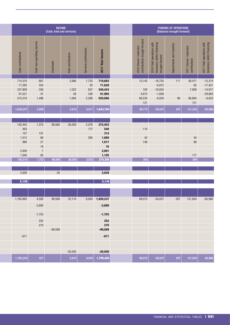| INCOME<br>(Cash, kind and services) |                              |           |                       |                        |                    |  |                                                          |                                                                              | FUNDING OF OPERATIONS<br>(Balances brought forward) |                                          |                                                           |
|-------------------------------------|------------------------------|-----------|-----------------------|------------------------|--------------------|--|----------------------------------------------------------|------------------------------------------------------------------------------|-----------------------------------------------------|------------------------------------------|-----------------------------------------------------------|
| Cash contributions                  | non-operating income<br>Cash | Overheads | contributions<br>Kind | Services contributions | 2017 Total Income  |  | 2016 Donors' restricted<br>contributions brought forward | 2016 Field operations with<br>temporary deficit financing<br>brought forward | Adjustments and transfers                           | 2017 Donors' restricted<br>contributions | 2017 Field operations with<br>temporary deficit financing |
| 714,316                             | 667                          |           | 2,966                 | 1,733                  | 719,682            |  | 15,145                                                   | $-16,755$                                                                    | 111                                                 | 56,471                                   | $-15,314$                                                 |
| 71,283                              | 324                          |           |                       | $20\,$                 | 71,628             |  |                                                          | $-6,812$                                                                     |                                                     | 82                                       | $-17,421$                                                 |
| 237,909                             | 356                          |           | 1,522                 | 637                    | 240,424            |  | 100                                                      | $-16,834$                                                                    |                                                     | 7,958                                    | $-14,917$                                                 |
| 91,521                              | 47                           |           | $59\,$                | 338                    | 91,965             |  | 4,873                                                    | $-1,608$                                                                     |                                                     |                                          | $-29,683$                                                 |
| 515,218                             | 1,496                        |           | 1,064                 | 2,288                  | 520,066            |  | 68,532<br>$121$                                          | $-8,029$                                                                     | $96\,$                                              | 66,894<br>121                            | $-8,633$                                                  |
| 1,630,247                           | 2,890                        |           | 5,610                 | 5,017                  | 1,643,764          |  | 88,772                                                   | $-50,037$                                                                    | 207                                                 | 131,525                                  | $-85,968$                                                 |
|                                     |                              |           |                       |                        |                    |  |                                                          |                                                                              |                                                     |                                          |                                                           |
| 142,442                             | 1,375                        | 99,560    | 26,500                | 2,576                  | 272,453            |  |                                                          |                                                                              |                                                     |                                          |                                                           |
| 363                                 |                              |           |                       | 177                    | 540                |  | $110$                                                    |                                                                              |                                                     |                                          |                                                           |
| 157                                 | 157                          |           |                       |                        | 314                |  |                                                          |                                                                              |                                                     |                                          |                                                           |
| 1,512                               | $68\,$                       |           |                       | 280                    | 1,860              |  | $42\,$                                                   |                                                                              |                                                     | $44\,$                                   |                                                           |
| 996                                 | 21                           |           |                       |                        | 1,017              |  | 148                                                      |                                                                              |                                                     | ${\bf 88}$                               |                                                           |
| 2,000                               | $16\,$<br>$\overline{1}$     |           |                       |                        | $16$<br>2,001      |  |                                                          |                                                                              |                                                     |                                          |                                                           |
| 1,040                               | 65                           |           |                       |                        | 1,105              |  |                                                          |                                                                              |                                                     | $177$                                    |                                                           |
| 148,510                             | 1,703                        | 99,560    | 26,500                | 3,033                  | 279,306            |  | 300                                                      |                                                                              |                                                     | $\overline{309}$                         |                                                           |
|                                     |                              |           |                       |                        |                    |  |                                                          |                                                                              |                                                     |                                          |                                                           |
| 2,000                               |                              | 29        |                       |                        | 2,029              |  |                                                          |                                                                              |                                                     |                                          |                                                           |
| 5,138                               |                              |           |                       |                        | $\overline{5,138}$ |  |                                                          |                                                                              |                                                     |                                          |                                                           |
|                                     |                              |           |                       |                        |                    |  |                                                          |                                                                              |                                                     |                                          |                                                           |
| 1,785,895                           | 4,593                        | 99,589    | 32,110                |                        | 8,050 1,930,237    |  | 89,072                                                   | $-50,037$                                                                    | 207                                                 | 131,834                                  | $-85,968$                                                 |
|                                     | $-2,890$                     |           |                       |                        | $-2,890$           |  |                                                          |                                                                              |                                                     |                                          |                                                           |
|                                     | $-1,703$                     |           |                       |                        | $-1,703$           |  |                                                          |                                                                              |                                                     |                                          |                                                           |
|                                     | 252<br>270                   |           |                       |                        | 252                |  |                                                          |                                                                              |                                                     |                                          |                                                           |
|                                     |                              |           |                       |                        | <b>270</b>         |  |                                                          |                                                                              |                                                     |                                          |                                                           |
|                                     |                              | $-99,589$ |                       |                        | $-99,589$          |  |                                                          |                                                                              |                                                     |                                          |                                                           |
| $-671$                              |                              |           |                       |                        | $-671$             |  |                                                          |                                                                              |                                                     |                                          |                                                           |
|                                     |                              |           |                       |                        |                    |  |                                                          |                                                                              |                                                     |                                          |                                                           |
|                                     |                              |           | $-26,500$             |                        | $-26,500$          |  |                                                          |                                                                              |                                                     |                                          |                                                           |
| 1,785,224                           | 521                          |           | 5,610                 |                        | $8,050$ 1,799,405  |  | 89,072                                                   | $-50,037$                                                                    | 207                                                 | 131,834                                  | $-85,968$                                                 |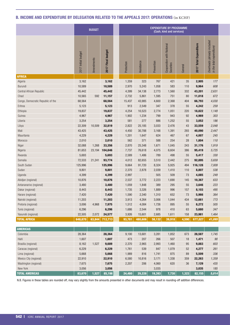# <span id="page-29-0"></span>B. INCOME AND EXPENDITURE BY DELEGATION RELATED TO THE APPEALS 2017: OPERATIONS (in KCHF)

|                                   |                     | <b>BUDGET</b>    |                                                              |            |            |            | <b>EXPENDITURE BY PROGRAMME</b><br>(Cash, kind and services) |         |                                      |                                                                      |
|-----------------------------------|---------------------|------------------|--------------------------------------------------------------|------------|------------|------------|--------------------------------------------------------------|---------|--------------------------------------|----------------------------------------------------------------------|
|                                   | 2017 Initial budget | Amendments       | budget<br>Final<br>2017                                      | Protection | Assistance | Prevention | Cooperation with National<br>Societies                       | General | nditure<br>Expe<br><b>2017 Total</b> | i (already inclui<br>I expenditure)<br>Overheads (<br>in the total ( |
| <b>AFRICA</b>                     |                     |                  |                                                              |            |            |            |                                                              |         |                                      |                                                                      |
| Algeria                           | 3,162               |                  | 3,162                                                        | 1,359      | 323        | 767        | 421                                                          | 35      | 2,905                                | 177                                                                  |
| Burundi                           | 10,589              |                  | 10,589                                                       | 2,970      | 5,243      | 1,058      | 583                                                          | 110     | 9,964                                | 608                                                                  |
| Central African Republic          | 45,442              |                  | 45,442                                                       | 4,399      | 34,138     | 2,773      | 1,560                                                        | 332     | 43,201                               | 2,631                                                                |
| Chad                              | 10,565              |                  | 592 11,157                                                   | 2,732      | 5,861      | 1,595      | 751                                                          | 80      | 11,018                               | 672                                                                  |
| Congo, Democratic Republic of the | 68,564              |                  | 68,564                                                       | 15,437     | 43,985     | 4,600      | 2,368                                                        | 404     | 66,793                               | 4,030                                                                |
| Eritrea                           | 5,123               |                  | 5,123                                                        | 913        | 2,549      | 347        | 378                                                          | 55      | 4,242                                | 259                                                                  |
| Ethiopia                          | 19,837              |                  | 19,837                                                       | 4,254      | 10,523     | 2,774      | 1,051                                                        | 220     | 18,822                               | 1,149                                                                |
| Guinea                            | 4,967               |                  | 4,967                                                        | 1,902      | 1,234      | 799        | 943                                                          | 92      | 4,969                                | 303                                                                  |
| Liberia                           | 3,254               |                  | 3,254                                                        | 581        | 277        | 886        | 1,252                                                        | 55      | 3,052                                | 186                                                                  |
| Libya                             | 22,309              | 10,509           | 32,819                                                       | 2,822      | 25,185     | 3,033      | 2,476                                                        | 43      | 33,559                               | 2,048                                                                |
| Mali                              | 43,425              |                  | 43,425                                                       | 4,450      | 30,788     | 3,168      | 1,391                                                        | 293     | 40,090                               | 2,447                                                                |
| Mauritania                        | 4,229               |                  | 4,229                                                        | 1,201      | 1,647      | 624        | 467                                                          | 67      | 4,007                                | 245                                                                  |
| Morocco                           | 2,010               |                  | 2,010                                                        | 562        | 371        | 588        | 254                                                          | 28      | 1,804                                | 110                                                                  |
| Niger                             | 32,088              | 1,268            | 33,356                                                       | 2,870      | 25,348     | 1,671      | 1,045                                                        | 243     | 31,176                               | 1,919                                                                |
| Nigeria                           | 81,653              |                  | 23,194 104,846                                               | 7,737      | 76,618     | 4,075      | 6,604                                                        | 386     | 95,419                               | 5,725                                                                |
| Rwanda                            | 5,693               |                  | 5,693                                                        | 2,589      | 1,486      | 789        | 498                                                          | 55      | 5,417                                | 330                                                                  |
| Somalia                           | 72,533              | 21,241           | 93,774                                                       | 4,012      | 82,655     | 3,510      | 2,442                                                        | 275     | 92,895                               | 5,659                                                                |
| South Sudan                       | 125,996             |                  | 125,996                                                      | 9,664      | 91,720     | 8,324      | 5,925                                                        | 494     | 116,128                              | 7,009                                                                |
| Sudan                             | 9,801               |                  | 9,801                                                        | 2,370      | 2,878      | 2,039      | 1,410                                                        | 110     | 8,807                                | 538                                                                  |
| Uganda                            | 4,399               |                  | 4,399                                                        | 2,997      |            | 505        | 509                                                          | 73      | 4,085                                | 249                                                                  |
| Abidjan (regional)                | 10,876              |                  | 10,876                                                       | 2,537      | 3,772      | 2,223      | 1,690                                                        | 145     | 10,367                               | 633                                                                  |
| Antananarivo (regional)           | 3,480               |                  | 3,480                                                        | 1,059      | 1,848      | 389        | 295                                                          | 55      | 3,646                                | 223                                                                  |
| Dakar (regional)                  | 8,443               |                  | 8,443                                                        | 1,735      | 3,326      | 1,889      | 996                                                          | 157     | 8,103                                | 495                                                                  |
| Harare (regional)                 | 7,420               |                  | 7,420                                                        | 1,590      | 2,340      | 1,310      | 652                                                          | 73      | 5,966                                | 364                                                                  |
| Nairobi (regional)                | 11,203              |                  | 11,203                                                       | 3,913      | 4,264      | 3,006      | 1,044                                                        | 434     | 12,661                               | 773                                                                  |
| Pretoria (regional)               | 3,006               | 4,968            | 7,975                                                        | 1,512      | 4,084      | 1,726      | 895                                                          | $55\,$  | 8,272                                | $505\,$                                                              |
| Tunis (regional)                  | 6,296               |                  | 6,296                                                        | 1,686      | 2,544      | 978        | 410                                                          | 63      | 5,680                                | 347                                                                  |
| Yaoundé (regional)                | 22,505              | 2,072            | 24,577                                                       | 3,926      | 15,601     | 2,685      | 1,611                                                        | 158     | 23,981                               | 1,464                                                                |
| <b>TOTAL AFRICA</b>               | 648,870             | $63,844$ 712,713 |                                                              | 93,781     | 480,606    | 58,132     | 39,918                                                       |         | 4,590 677,027                        | 41,095                                                               |
|                                   |                     |                  |                                                              |            |            |            |                                                              |         |                                      |                                                                      |
| <b>AMERICAS</b>                   |                     |                  |                                                              |            |            |            |                                                              |         |                                      |                                                                      |
| Colombia                          | 28,364              |                  | 28,364                                                       | 9,100      | 13,681     | 3,281      | 1,852                                                        | 673     | 28,587                               | 1,745                                                                |
| Haiti                             | 1,607               |                  | 1,607                                                        | 473        | 207        | 266        | 507                                                          | 18      | 1,471                                | $90\,$                                                               |
| Brasilia (regional)               | 8,162               | 1,527            | 9,689                                                        | 2,370      | 2,965      | 2,993      | 1,460                                                        | $95\,$  | 9,883                                | 603                                                                  |
| Caracas (regional)                | 6,229               |                  | 6,229                                                        | 1,761      | 539        | 847        | 1,079                                                        | $52\,$  | 4,277                                | 261                                                                  |
| Lima (regional)                   | 5,668               |                  | 5,668                                                        | 1,989      | 816        | 1,741      | 875                                                          | $89\,$  | 5,509                                | 336                                                                  |
| Mexico City (regional)            | 22,910              |                  | 22,910                                                       | 6,580      | 10,816     | 3,171      | 1,338                                                        | 359     | 22,263                               | 1,359                                                                |
| Washington (regional)             | 7,675               |                  | 7,675                                                        | 2,207      | 206        | 4,060      | 620                                                          | $36\,$  | 7,129                                | 435                                                                  |
| New York                          | 3,056               |                  | 3,056                                                        |            |            | 3,035      |                                                              |         | 3,035                                | 185                                                                  |
| <b>TOTAL AMERICAS</b>             | 83,670              |                  | $\left  \begin{array}{c} 1{,}527 \end{array} \right $ 85,198 | 24,480     | 29,228     | 19,393     | 7,730                                                        |         | $1,323$ 82,155                       | 5,014                                                                |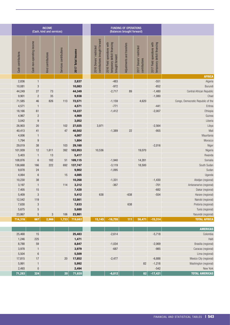|                                   |                                                           |                                          | <b>FUNDING OF OPERATIONS</b><br>(Balances brought forward) |                                                                              |                                                          |                   | <b>INCOME</b><br>(Cash, kind and services) |                    |                              |                    |
|-----------------------------------|-----------------------------------------------------------|------------------------------------------|------------------------------------------------------------|------------------------------------------------------------------------------|----------------------------------------------------------|-------------------|--------------------------------------------|--------------------|------------------------------|--------------------|
|                                   | 2017 Field operations with<br>temporary deficit financing | 2017 Donors' restricted<br>contributions | Adjustments and transfers                                  | 2016 Field operations with<br>temporary deficit financing<br>brought forward | 2016 Donors' restricted<br>contributions brought forward | 2017 Total Income | contributions<br>Services                  | Kind contributions | non-operating income<br>Cash | Cash contributions |
| <b>AFRICA</b>                     |                                                           |                                          |                                                            |                                                                              |                                                          |                   |                                            |                    |                              |                    |
| Algeria                           | $-551$                                                    |                                          |                                                            | $-483$                                                                       |                                                          | 2,837             |                                            |                    | $\overline{1}$               | 2,836              |
| Burundi                           | $-852$                                                    |                                          |                                                            | $-972$                                                                       |                                                          | 10,083            |                                            |                    | $\mathbf{3}$                 | 10,081             |
| Central African Republic          | $-1,480$                                                  |                                          | $89\,$                                                     | $-2,717$                                                                     |                                                          | 44,349            |                                            | $73\,$             | $27\,$                       | 44,249             |
|                                   | $-1,080$                                                  |                                          |                                                            |                                                                              |                                                          | 9,938             |                                            | $35\,$             | $\overline{c}$               | 9,901              |
| Congo, Democratic Republic of the |                                                           | 4,620                                    |                                                            | $-1,159$                                                                     |                                                          | 72,571            | 113                                        | 826                | 46                           | 71,585             |
| Eritrea                           | $-441$                                                    |                                          |                                                            | $-771$                                                                       |                                                          | 4,571             |                                            |                    | $\mathbf{1}$                 | 4,571              |
| Ethiopia                          | $-2,007$                                                  |                                          |                                                            | $-1,412$                                                                     |                                                          | 18,227            |                                            |                    | 61                           | 18,166             |
|                                   |                                                           |                                          |                                                            |                                                                              |                                                          | 4,969             |                                            |                    | $\overline{2}$               | 4,967              |
|                                   |                                                           |                                          |                                                            |                                                                              |                                                          | 3,052             |                                            |                    | 9                            | 3,042              |
|                                   | $-2,564$                                                  |                                          |                                                            |                                                                              | 3,971                                                    | 27,025            | $102$                                      |                    | $20\,$                       | 26,903             |
|                                   | $-955$                                                    |                                          | $22\,$                                                     | $-1,389$                                                                     |                                                          | 40,502            | 47                                         |                    | 41                           | 40,413             |
| Mauritania                        |                                                           |                                          |                                                            |                                                                              |                                                          | 4,007             |                                            |                    |                              | 4,006              |
| Morocco                           |                                                           |                                          |                                                            |                                                                              |                                                          | 1,804             |                                            |                    | 9                            | 1,794              |
|                                   | $-2,016$                                                  |                                          |                                                            |                                                                              |                                                          | 29,160            | 103                                        |                    | $38\,$                       | 29,019             |
|                                   |                                                           | 19,070                                   |                                                            |                                                                              | 10,536                                                   | 392 103,953       |                                            | 1,611              | 12                           | 101,939            |
| Rwanda                            |                                                           |                                          |                                                            |                                                                              |                                                          | 5,417             |                                            | 13                 |                              | 5,403              |
| Somalia                           |                                                           | 14,281                                   |                                                            | $-1,940$                                                                     |                                                          | 51 109,115        |                                            | 182                | $6\phantom{1}6$              | 108,876            |
| South Sudan                       |                                                           | 18,500                                   |                                                            | $-3,119$                                                                     |                                                          | 692 137,747       |                                            | 222                | 166                          | 136,668            |
|                                   |                                                           |                                          |                                                            | $-1,095$                                                                     |                                                          | 9,902             |                                            |                    | 24                           | 9,878              |
|                                   |                                                           |                                          |                                                            |                                                                              |                                                          | 4,085             | 15                                         |                    | $6\phantom{1}$               | 4,064              |
| Abidjan (regional)                | $-1,430$                                                  |                                          |                                                            | $-1,331$                                                                     |                                                          | 10,268            |                                            |                    | $38\,$                       | 10,230             |
| Antananarivo (regional)           | $-701$                                                    |                                          |                                                            | $-367$                                                                       |                                                          | 3,312             | 114                                        |                    | $\mathbf{1}$                 | 3,197              |
| Dakar (regional)                  | $-682$                                                    |                                          |                                                            |                                                                              |                                                          | 7,420             |                                            |                    | $15$                         | 7,405              |
| Harare (regional)                 | $-554$                                                    |                                          | $-638$                                                     |                                                                              | 638                                                      | 5,412             |                                            |                    | $\mathbf{3}$                 | 5,409              |
| Nairobi (regional)                |                                                           |                                          |                                                            |                                                                              |                                                          | 12,661            |                                            |                    | 119                          | 12,542             |
| Pretoria (regional)               |                                                           |                                          | 638                                                        |                                                                              |                                                          | 7,633             |                                            |                    | $\overline{3}$               | 7,630              |
| Tunis (regional)                  |                                                           |                                          |                                                            |                                                                              |                                                          | 5,680             |                                            |                    | $\overline{5}$               | 5,675              |
| Yaoundé (regional)                |                                                           |                                          |                                                            |                                                                              |                                                          | 23,981            | 106                                        | 3                  | $\sqrt{5}$                   | 23,867             |
| <b>TOTAL AFRICA</b>               | $-15,314$                                                 | 56,471                                   | 111                                                        | $-16,755$                                                                    | 15,145                                                   | 719,682           | 1,733                                      | 2,966              | 667                          | 714,316            |

| <b>AMERICAS</b>        |                 |          |              |                  |        |  |
|------------------------|-----------------|----------|--------------|------------------|--------|--|
| Colombia               | $-5,718$        | $-2,614$ | 25,483       | 15               | 25,468 |  |
| Haiti                  |                 |          | 1,471        | 225              | 1,246  |  |
| Brasilia (regional)    | $-2,069$        | $-1,034$ | 8,847        | 59               | 8,788  |  |
| Caracas (regional)     | $-985$          | $-687$   | 3,979        |                  | 3,978  |  |
| Lima (regional)        |                 |          | 5,509        | $6 \overline{6}$ | 5,504  |  |
| Mexico City (regional) | $-6,888$        | $-2,477$ | 20 17,852    | 17               | 17,815 |  |
| Washington (regional)  | $82 - 1,218$    |          | 5,992        |                  | 5,991  |  |
| New York               | $-542$          |          | 2,494        |                  | 2,493  |  |
| <b>TOTAL AMERICAS</b>  | $-17,421$<br>82 | $-6,812$ | 71,628<br>20 | 324              | 71,283 |  |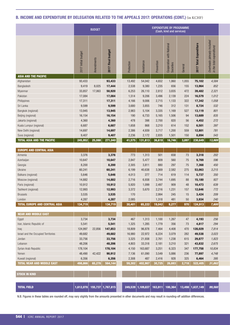# B. INCOME AND EXPENDITURE BY DELEGATION RELATED TO THE APPEALS 2017: OPERATIONS (CONT.) (in KCHF)

|                                      |                             | <b>BUDGET</b> |                                |            |                   | <b>EXPENDITURE BY PROGRAMME</b> | (Cash, kind and services)                 |                  |                    |                                                          |
|--------------------------------------|-----------------------------|---------------|--------------------------------|------------|-------------------|---------------------------------|-------------------------------------------|------------------|--------------------|----------------------------------------------------------|
|                                      | Initial budget<br>2017      |               | <b>budget</b><br>Final<br>2017 | Protection | Assistance        | Prevention                      | with National<br>Cooperation<br>SÐ<br>င္တ | General          | 2017 Total Expe    | Overheads (already included<br>in the total expenditure) |
| ASIA AND THE PACIFIC                 |                             |               |                                |            |                   |                                 |                                           |                  |                    |                                                          |
| Afghanistan                          | 93,433                      |               | 93,433                         | 13,492     | 54,042            | 4,652                           | 1,860                                     | 1,055            | 75,102             | 4,584                                                    |
| Bangladesh                           | 9,419                       | 8,025         | 17,444                         | 2,538      | 9,380             | 1,235                           | 656                                       | 155              | 13,964             | 852                                                      |
| Myanmar                              | 33,857                      | 17,063        | 50,920                         | 6,253      | 26,110            | 2,812                           | 3,835                                     | 472              | 39,482             | 2,321                                                    |
| Pakistan                             | 17,084                      |               | 17,084                         | 1,514      | 9,206             | 3,496                           | 2,139                                     | 224              | 16,579             | 1,012                                                    |
| Philippines                          | 17,311                      |               | 17,311                         | 4,166      | 9,006             | 2,715                           | 1,133                                     | 322              | 17,342             | 1,058                                                    |
| Sri Lanka                            | 9,599                       |               | 9,599                          | 3,680      | 3,855             | 746                             |                                           | 131              | 8,724              |                                                          |
|                                      |                             |               |                                |            |                   |                                 | 312                                       |                  |                    | 532                                                      |
| Bangkok (regional)                   | 13,945                      |               | 13,945                         | 2,983      | 5,104             | 3,335                           | 1,169                                     | 527              | 13,119             | 801                                                      |
| Beijing (regional)                   | 16,154                      |               | 16,154                         | 190        | 6,733             | 5,165                           | 1,506                                     | 94               | 13,689             | 835                                                      |
| Jakarta (regional)                   | 4,360                       |               | 4,360                          | 478        | 398               | 2,700                           | 820                                       | 56               | 4,452              | 272                                                      |
| Kuala Lumpur (regional)              | 6,687<br>14,697             |               | 6,687                          | 1,658      | 868               | 3,210                           | 614<br>1,200                              | 152<br>559       | 6,501              | 397                                                      |
| New Delhi (regional)                 |                             |               | 14,697                         | 2,386      | 4,939             | 3,717                           |                                           |                  | 12,801<br>8,894    | 781                                                      |
| Suva (regional)                      | 9,407<br>245,952            | 25,088        | 9,407                          | 2,236      | 2,172             | 2,835                           | 1,501<br>16,746                           | 150<br>3,897     |                    | 543                                                      |
| <b>TOTAL ASIA AND THE PACIFIC</b>    |                             |               | 271,040                        | 41,575     | 131,813           | 36,618                          |                                           |                  | 230,649            | 13,989                                                   |
| <b>EUROPE AND CENTRAL ASIA</b>       |                             |               |                                |            |                   |                                 |                                           |                  |                    |                                                          |
| Armenia                              | 3,376                       |               | 3,376                          | 773        | 1,313             | 501                             |                                           | 73               | 3,318              |                                                          |
|                                      |                             |               |                                |            |                   |                                 | 658                                       |                  |                    | 202                                                      |
| Azerbaijan                           | 10,647                      |               | 10,647                         | 2,847      | 5,477             | 809                             | 560                                       | 75               | 9,769              | 596                                                      |
| Georgia                              | 8,200                       |               | 8,200                          | 2,305      | 3,811             | 880                             | 297                                       | 75               | 7,368              | 450                                                      |
| Ukraine                              | 60,241                      |               | 60,241                         | 6,199      | 40,638            | 3,369                           | 2,582                                     | 275              | 53,063             | 3,215                                                    |
| Balkans (regional)                   | 5,646                       |               | 5,646                          | 4,013      | 277               | 714                             | 619                                       | 114              | 5,737              | 350                                                      |
| Moscow (regional)                    | 14,882                      |               | 14,882                         | 2,716      | 6,938             | 3,744                           | 1,695                                     | 88               | 15,180             | 927                                                      |
| Paris (regional)                     | 10,912                      |               | 10,912                         | 5,920      | 1,099             | 2,497                           | 909                                       | 48               | 10,473             | 639                                                      |
| Tashkent (regional)                  | 12,993                      |               | 12,993                         | 3,372      | 5,670             | 2,216                           | 1,231                                     | 157              | 12,646             | 772                                                      |
| <b>Brussels</b>                      | 3,535                       |               | 3,535                          | 170        |                   | 2,994                           | 245                                       | 15 <sup>15</sup> | 3,424              | 209                                                      |
| London                               | 4,287                       |               | 4,287                          | 2,085      |                   | 1,318                           | 481                                       | 50               | 3,934              | 240                                                      |
| <b>TOTAL EUROPE AND CENTRAL ASIA</b> | 134,719                     |               | 134,719                        | 30,401     | 65,222            | 19,042                          | 9,277                                     |                  | $970$ 124,913      | 7,600                                                    |
|                                      |                             |               |                                |            |                   |                                 |                                           |                  |                    |                                                          |
| NEAR AND MIDDLE EAST                 |                             |               |                                |            |                   |                                 |                                           |                  |                    |                                                          |
| Egypt                                | 3,734                       |               | 3,734                          | 467        | 1,313             | 1,100                           | 1,267                                     | 47               | 4,193              | $256\,$                                                  |
| Iran, Islamic Republic of            | 5,541                       |               | 5,541                          | 1,325      | 1,285             | 1,779                           | 356                                       | 73               | 4,817              | 294                                                      |
| Iraq                                 | 124,997                     | 22,856        | 147,853                        | 18,809     | 96,878            | 7,464                           | 4,408                                     | 470              | 128,029            | 7,814                                                    |
| Israel and the Occupied Territories  | 49,682                      |               | 49,682                         | 16,980     | 22,972            | 6,224                           | 3,079                                     | 282              | 49,538             | 3,023                                                    |
| Jordan                               | 33,756                      |               | 33,756                         | 3,325      | 21,938            | 2,761                           | 1,238                                     | 615              | 29,877             | 1,823                                                    |
| Lebanon                              | 48,206                      |               | 48,206                         | 4,803      | 33,318            | 2,181                           | 3,210                                     | 321              | 43,832             | 2,675                                                    |
| Syrian Arab Republic                 | 178,104                     |               | 178,104                        | 4,150      | 163,687           | 3,251                           | 6,323                                     | 347              | 177,758            | 10,834                                                   |
| Yemen                                | 48,490                      | 42,422        | 90,912                         | 7,136      | 61,090            | 3,549                           | 5,886                                     | 236              | 77,897             | 4,748                                                    |
| Kuwait (regional)                    | 6,356                       |               | 6,356                          | 2,308      | 487               | 2,416                           | 928                                       | 325              | 6,464              | 395                                                      |
| <b>TOTAL NEAR AND MIDDLE EAST</b>    | 498,866                     | 65,278        | 564,144                        |            | 59,302 402,967    | 30,725                          | 26,693                                    |                  | $2,718$ 522,405    | 31,862                                                   |
|                                      |                             |               |                                |            |                   |                                 |                                           |                  |                    |                                                          |
| <b>STOCK IN KIND</b>                 |                             |               |                                |            |                   |                                 |                                           |                  |                    |                                                          |
|                                      |                             |               |                                |            |                   |                                 |                                           |                  |                    |                                                          |
|                                      |                             |               |                                |            |                   |                                 |                                           |                  |                    |                                                          |
| <b>TOTAL FIELD</b>                   | 1,612,078 155,737 1,767,815 |               |                                |            | 249,539 1,109,837 | 163,911                         | 100,364                                   |                  | $13,498$ 1,637,149 | 99,560                                                   |
|                                      |                             |               |                                |            |                   |                                 |                                           |                  |                    |                                                          |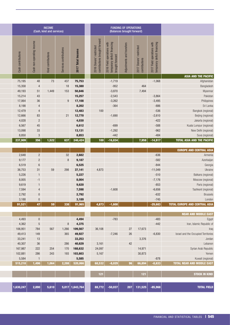|                                   |                                                           | (Balances brought forward)               | <b>FUNDING OF OPERATIONS</b> |                                                                                                   |                                                                          | <b>INCOME</b><br>(Cash, kind and services) |                                  |                       |                                               |                    |  |
|-----------------------------------|-----------------------------------------------------------|------------------------------------------|------------------------------|---------------------------------------------------------------------------------------------------|--------------------------------------------------------------------------|--------------------------------------------|----------------------------------|-----------------------|-----------------------------------------------|--------------------|--|
|                                   | 2017 Field operations with<br>temporary deficit financing | 2017 Donors' restricted<br>contributions | Adjustments and transfers    | 2016 Field operations with<br>temporary deficit financing<br>temporary deficit<br>brought forward | P<br>$\ddot{\ge}$<br>2016 Donors' restricted<br>contributions brought fo | <b>Total</b><br>2017                       | contributions<br><b>Services</b> | contributions<br>Kind | operating income<br>6m<br>$\frac{1}{3}$<br>යි | Cash contributions |  |
| <b>ASIA AND THE PACIFIC</b>       |                                                           |                                          |                              |                                                                                                   |                                                                          |                                            |                                  |                       |                                               |                    |  |
| Afghanistan                       | $-1,068$                                                  |                                          |                              | $-1,719$                                                                                          |                                                                          | 75,753                                     | 437                              | 73                    | 48                                            | 75,195             |  |
| Bangladesh                        |                                                           | 464                                      |                              | $-952$                                                                                            |                                                                          | 15,380                                     | 18                               |                       |                                               | 15,358             |  |
| Myanmar                           |                                                           | 7,494                                    |                              | $-3,870$                                                                                          |                                                                          | 50,846                                     | 153                              | 1,449                 | 51                                            | 49,193             |  |
| Pakistar                          | $-3,864$                                                  |                                          |                              | $-2,543$                                                                                          |                                                                          | 15,257                                     |                                  |                       | 43                                            | 15,214             |  |
| Philippines                       | $-3,495$                                                  |                                          |                              | $-3,262$                                                                                          |                                                                          | 17,108                                     | 9                                |                       | $36\,$                                        | 17,064             |  |
| Sri Lanka                         | $-886$                                                    |                                          |                              | $-364$                                                                                            |                                                                          | 8,202                                      |                                  |                       | $\overline{4}$                                | 8,198              |  |
| Bangkok (regional)                | $-536$                                                    |                                          |                              |                                                                                                   | 100                                                                      | 12,483                                     |                                  |                       | $\overline{4}$                                | 12,479             |  |
| Beijing (regional)                | $-2,610$                                                  |                                          |                              | $-1,690$                                                                                          |                                                                          | 12,770                                     | 21                               |                       | $83\,$                                        | 12,666             |  |
| Jakarta (regional)                | $-422$                                                    |                                          |                              |                                                                                                   |                                                                          | 4,030                                      |                                  |                       | $\overline{2}$                                | 4,028              |  |
| Kuala Lumpur (regional)           | $-588$                                                    |                                          |                              | $-699$                                                                                            |                                                                          | 6,612                                      |                                  |                       | 45                                            | 6,567              |  |
| New Delhi (regional)              | $-962$                                                    |                                          |                              | $-1,292$                                                                                          |                                                                          | 13,131                                     |                                  |                       | $33\,$                                        | 13,098             |  |
| Suva (regional)                   | $-484$                                                    |                                          |                              | $-442$                                                                                            |                                                                          | 8,853                                      |                                  |                       | 3 <sup>1</sup>                                | 8,850              |  |
| <b>TOTAL ASIA AND THE PACIFIC</b> | $-14,917$                                                 | 7,958                                    |                              | $\left. \textbf{16,834} \right $                                                                  | 100                                                                      | 240,424                                    | 637                              | 1,522                 | 356                                           | 237,909            |  |

| <b>NEAR AND MIDDLE EAST</b>                                   |           |        |                   |                |       |                |           |  |
|---------------------------------------------------------------|-----------|--------|-------------------|----------------|-------|----------------|-----------|--|
| $-483$                                                        | $-783$    |        | 4,494             |                |       | $\overline{0}$ | 4,493     |  |
| Iran, Islamic Republic of<br>$-442$                           |           |        | 4,375             | 8 <sup>1</sup> |       | 5              | 4,362     |  |
| 27<br>17,673                                                  |           | 36,108 | 109,567           | 1,266          | 567   | 784            | 106,951   |  |
| 26<br>Israel and the Occupied Territories<br>$-6,830$         | $-7,246$  |        | 49,927            | 365            |       | 149            | 49,413    |  |
| 3,376                                                         |           |        | 33,253            |                |       | 13             | 33,241    |  |
| 42                                                            |           | 3,161  | 40,629            | 286            |       | 36             | 40,307    |  |
| 14,971<br>Syrian Arab Republic                                |           | 24,097 | 170 168,632       |                | 254   | 222            | 167,987   |  |
| 30,873                                                        |           | 5,167  | 193 103,603       |                | 243   | 286            | 102,881   |  |
| $-878$                                                        |           |        | 5,585             |                |       |                | 5,584     |  |
| $-8,633$<br>96<br>66,894<br><b>TOTAL NEAR AND MIDDLE EAST</b> | $-8,029$  | 68,532 | 520,066           | 2,288          | 1,064 | 1,496          | 515,218   |  |
|                                                               |           |        |                   |                |       |                |           |  |
| 121<br><b>STOCK IN KIND</b>                                   |           | 121    |                   |                |       |                |           |  |
|                                                               |           |        |                   |                |       |                |           |  |
|                                                               |           |        |                   |                |       |                |           |  |
| 207<br>$131,525$ -85,968                                      | $-50,037$ | 88,772 | $5,017$ 1,643,764 |                | 5,610 | 2,890          | 1,630,247 |  |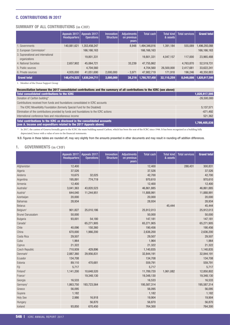# <span id="page-33-0"></span>C. CONTRIBUTIONS IN 2017

# SUMMARY OF ALL CONTRIBUTIONS (in CHF)

|                                                     | <b>Headquarters</b> | Appeals 2017: Appeals 2017:<br>Operations | <b>Innovation</b><br>Structure | Adjustments<br>on previous<br>years | Total cash    | <b>Total kind</b><br>& assets | <b>Total services</b> | <b>Grand total</b> |
|-----------------------------------------------------|---------------------|-------------------------------------------|--------------------------------|-------------------------------------|---------------|-------------------------------|-----------------------|--------------------|
| . Governments                                       | 140,881,621         | 1,353,456,247                             |                                | 8,948                               | 1,494,346,816 | 1,391,184                     | 555,089               | 1,496,293,088      |
| 2. European Commission <sup>1</sup>                 |                     | 166, 166, 163                             |                                |                                     | 166, 166, 163 |                               |                       | 166, 166, 163      |
| 3. Supranational and international<br>organizations |                     | 19,801,331                                |                                |                                     | 19,801,331    | 4,047,157                     | 117,000               | 23,965,488         |
| 4. National Societies                               | 2,657,902           | 45,064,721                                |                                | 33,239                              | 47,755,862    |                               | 4,763,870             | 52,519,731         |
| 5. Public sources                                   |                     | 4,704,560                                 |                                |                                     | 4,704,560     | 26,500,000                    | 2,417,681             | 33,622,241         |
| 6. Private sources                                  | 4,935,000           | 41,051,690                                | 2,000,000                      | $-3,971$                            | 47,982,719    | 171,918                       | 196,246               | 48,350,883         |
| <b>Grand total</b>                                  | 148,474,522         | 1,630,244,711                             | 2,000,000                      | 38,216                              | 1,780,757,450 | 32,110,259                    | 8,049,886             | 1,820,917,595      |

1. Member of the Donor Support Group

| Reconciliation between the 2017 consolidated contributions and the summary of all contributions to the ICRC (see above)                        |               |
|------------------------------------------------------------------------------------------------------------------------------------------------|---------------|
| Total consolidated contributions to the ICRC                                                                                                   | 1,820,917,595 |
| Donation of Carlton building*                                                                                                                  | $-26,500,000$ |
| Contributions received from funds and foundations consolidated in ICRC accounts                                                                |               |
| The ICRC MoveAbility Foundation (formerly Special Fund for the Disabled)                                                                       | 5,137,571     |
| Elimination of the contributions provided by funds and foundations to the ICRC actions                                                         | $-671.492$    |
| International conference fees and miscellaneous income                                                                                         | 521.362       |
| Total contributions to the ICRC as disclosed in the consolidated accounts<br>(see A. Income and expenditure related to the 2017 Appeals above) | 1,799,405,036 |

\* In 2017, the canton of Geneva formally gave to the ICRC the main building named Carlton, which has been the seat of the ICRC since 1946. It has been recognized as a building fully depreciated, hence with a value of zero in the financial statements.

N.B. Figures in these tables are rounded off, may vary slightly from the amounts presented in other documents and may result in rounding-off addition differences.

# 1. GOVERNMENTS (in CHF)

|                        | Appeals 2017:<br><b>Headquarters</b> | Appeals 2017:<br><b>Operations</b> | Innovation<br><b>Structure</b> | <b>Adjustments</b><br>on previous<br>years | <b>Total cash</b> | <b>Total kind</b><br>& assets | <b>Total services</b> | <b>Grand total</b> |
|------------------------|--------------------------------------|------------------------------------|--------------------------------|--------------------------------------------|-------------------|-------------------------------|-----------------------|--------------------|
| Afghanistan            | 12,400                               |                                    |                                |                                            | 12,400            |                               | 288,431               | 300,831            |
| Algeria                | 37,526                               |                                    |                                |                                            | 37,526            |                               |                       | 37,526             |
| Andorra                | 10,675                               | 32,025                             |                                |                                            | 42,700            |                               |                       | 42,700             |
| Argentina              | 195,891                              | 774,719                            |                                |                                            | 970,610           |                               |                       | 970,610            |
| Armenia                | 12,400                               |                                    |                                |                                            | 12,400            |                               |                       | 12,400             |
| Australia <sup>1</sup> | 3,041,363                            | 43,820,523                         |                                |                                            | 46,861,885        |                               |                       | 46,861,885         |
| Austria <sup>2</sup>   | 644,040                              | 11,244,951                         |                                |                                            | 11,888,991        |                               |                       | 11,888,991         |
| Azerbaijan             | 20,000                               |                                    |                                |                                            | 20,000            |                               |                       | 20,000             |
| <b>Bahamas</b>         | 28,934                               |                                    |                                |                                            | 28,934            |                               |                       | 28,934             |
| <b>Belarus</b>         |                                      |                                    |                                |                                            |                   | 45,444                        |                       | 45,444             |
| Belgium <sup>1</sup>   | 901,827                              | 25,010,186                         |                                |                                            | 25,912,013        |                               |                       | 25,912,013         |
| Brunei Darussalam      | 50,000                               |                                    |                                |                                            | 50,000            |                               |                       | 50,000             |
| Bulgaria               | 93,001                               | 54,180                             |                                |                                            | 147,181           |                               |                       | 147,181            |
| Canada <sup>1</sup>    |                                      | 65,271,905                         |                                |                                            | 65,271,905        |                               |                       | 65,271,905         |
| Chile                  | 40,096                               | 150,360                            |                                |                                            | 190,456           |                               |                       | 190,456            |
| China                  | 670,000                              | 1,966,200                          |                                |                                            | 2,636,200         |                               |                       | 2,636,200          |
| Costa Rica             | 29,507                               |                                    |                                |                                            | 29,507            |                               |                       | 29,507             |
| Cuba                   | 1,964                                |                                    |                                |                                            | 1,964             |                               |                       | 1,964              |
| Cyprus                 | 21,322                               |                                    |                                |                                            | 21,322            |                               |                       | 21,322             |
| Czech Republic         | 710,939                              | 429,896                            |                                |                                            | 1,140,835         |                               |                       | 1,140,835          |
| Denmark <sup>1</sup>   | 2,887,360                            | 29,956,831                         |                                |                                            | 32,844,191        |                               |                       | 32,844,191         |
| Ecuador                | 134,708                              |                                    |                                |                                            | 134,708           |                               |                       | 134,708            |
| Estonia                | 89,110                               | 470,681                            |                                |                                            | 559,791           |                               |                       | 559,791            |
| Fiji                   | 5,717                                |                                    |                                |                                            | 5,717             |                               |                       | 5,717              |
| Finland <sup>1</sup>   | 1,141,200                            | 10,648,520                         |                                |                                            | 11,789,720        | 1,061,082                     |                       | 12,850,802         |
| France <sup>1</sup>    |                                      | 19,348,130                         |                                |                                            | 19,348,130        |                               |                       | 19,348,130         |
| Georgia                | 16,533                               |                                    |                                |                                            | 16,533            |                               |                       | 16,533             |
| Germany <sup>1</sup>   | 1,863,750                            | 193,723,564                        |                                |                                            | 195,587,314       |                               |                       | 195,587,314        |
| Greece                 | 56,095                               |                                    |                                |                                            | 56,095            |                               |                       | 56,095             |
| Guyana                 | 1,182                                |                                    |                                |                                            | 1,182             |                               |                       | 1,182              |
| <b>Holy See</b>        | 2,986                                | 16,918                             |                                |                                            | 19,904            |                               |                       | 19,904             |
| Hungary                |                                      | 56,870                             |                                |                                            | 56,870            |                               |                       | 56,870             |
| Iceland                | 93,850                               | 670,450                            |                                |                                            | 764,300           |                               |                       | 764,300            |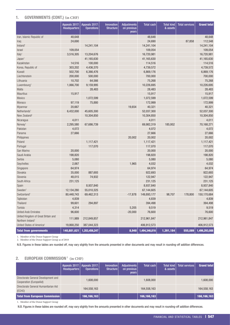# <span id="page-34-0"></span>1. GOVERNMENTS (CONT.) (in CHF)

|                                                                      | Appeals 2017:<br><b>Headquarters</b> | Appeals 2017:<br><b>Operations</b> | Innovation<br><b>Structure</b> | <b>Adjustments</b><br>on previous<br>years | <b>Total cash</b> | <b>Total kind</b><br>& assets | <b>Total services</b> | <b>Grand total</b> |
|----------------------------------------------------------------------|--------------------------------------|------------------------------------|--------------------------------|--------------------------------------------|-------------------|-------------------------------|-----------------------|--------------------|
| Iran, Islamic Republic of                                            | 48,648                               |                                    |                                |                                            | 48,648            |                               |                       | 48,648             |
| Iraq                                                                 | 24,690                               |                                    |                                |                                            | 24,690            |                               | 87,858                | 112,548            |
| Ireland <sup>1</sup>                                                 |                                      | 14,241,104                         |                                |                                            | 14,241,104        |                               |                       | 14,241,104         |
| <b>Israel</b>                                                        | 109,054                              |                                    |                                |                                            | 109,054           |                               |                       | 109,054            |
| Italy <sup>1</sup>                                                   | 3,516,305                            | 13,204,676                         |                                |                                            | 16,720,981        |                               |                       | 16,720,981         |
| Japan <sup>1</sup>                                                   |                                      | 41,165,630                         |                                |                                            | 41,165,630        |                               |                       | 41,165,630         |
| Kazakhstan                                                           | 14,516                               | 100,000                            |                                |                                            | 114,516           |                               |                       | 114,516            |
| Korea, Republic of                                                   | 303,202                              | 4,436,370                          |                                |                                            | 4,739,572         |                               |                       | 4,739,572          |
| Kuwait                                                               | 502,700                              | 6,366,476                          |                                |                                            | 6,869,176         |                               |                       | 6,869,176          |
| Liechtenstein                                                        | 200,000                              | 500,000                            |                                |                                            | 700,000           |                               |                       | 700,000            |
| Lithuania                                                            | 10,702                               | 64,566                             |                                |                                            | 75,268            |                               |                       | 75,268             |
| Luxembourg <sup>1</sup>                                              | 1,066,700                            | 9,159,995                          |                                |                                            | 10,226,695        |                               |                       | 10,226,695         |
| Malta                                                                |                                      | 28,483                             |                                |                                            | 28,483            |                               |                       | 28,483             |
| Mauritius                                                            | 15,917                               |                                    |                                |                                            | 15,917            |                               |                       | 15,917             |
| Mexico                                                               |                                      | 1,072,599                          |                                |                                            | 1,072,599         |                               |                       | 1,072,599          |
| Monaco                                                               | 97,119                               | 75,880                             |                                |                                            | 172,999           |                               |                       | 172,999            |
| Myanmar                                                              | 20,667                               |                                    |                                | 19,654                                     | 40,321            |                               |                       | 40,321             |
| Netherlands <sup>1</sup>                                             | 6,432,000                            | 45,605,300                         |                                |                                            | 52,037,300        |                               |                       | 52,037,300         |
| New Zealand <sup>2</sup>                                             |                                      | 10,304,850                         |                                |                                            | 10,304,850        |                               |                       | 10,304,850         |
| Nicaragua                                                            | 4,011                                |                                    |                                |                                            | 4,011             |                               |                       | 4,011              |
| Norway <sup>1</sup>                                                  | 2,295,580                            | 67,686,739                         |                                |                                            | 69,982,319        | 185,952                       |                       | 70,168,271         |
| Pakistan                                                             | 4,072                                |                                    |                                |                                            | 4,072             |                               |                       | 4,072              |
| Panama                                                               | 27,666                               |                                    |                                |                                            | 27,666            |                               |                       | 27,666             |
| Philippines                                                          |                                      |                                    |                                | 20,002                                     | 20,002            |                               |                       | 20,002             |
| Poland                                                               |                                      | 1,117,421                          |                                |                                            | 1,117,421         |                               |                       | 1,117,421          |
| Portugal                                                             |                                      | 117,070                            |                                |                                            | 117,070           |                               |                       | 117,070            |
| San Marino                                                           | 20,000                               |                                    |                                |                                            | 20,000            |                               |                       | 20,000             |
| Saudi Arabia                                                         | 198,820                              |                                    |                                |                                            | 198,820           |                               |                       | 198,820            |
| Serbia                                                               | 5,080                                |                                    |                                |                                            | 5,080             |                               |                       | 5,080              |
| Seychelles                                                           | 2,067                                |                                    |                                | 1,965                                      | 4,032             |                               |                       | 4,032              |
| Singapore                                                            | 64,974                               |                                    |                                |                                            | 64,974            |                               |                       | 64,974             |
| Slovakia                                                             | 35,000                               | 887,693                            |                                |                                            | 922,693           |                               |                       | 922,693            |
| Slovenia                                                             | 48,015                               | 74,932                             |                                |                                            | 122,947           |                               |                       | 122,947            |
| South Africa                                                         | 231,125                              |                                    |                                |                                            | 231,125           |                               |                       | 231,125            |
| Spain                                                                |                                      | 8,937,840                          |                                |                                            | 8,937,840         |                               |                       | 8,937,840          |
| Sweden <sup>1</sup>                                                  | 12,134,280                           | 55,010,325                         |                                |                                            | 67,144,605        |                               |                       | 67,144,605         |
| Switzerland <sup>1</sup>                                             | 80,448,743                           | 69,462,313                         |                                | $-17,878$                                  | 149,893,177       | 98,707                        | 178,800               | 150,170,684        |
| Tajikistan                                                           | 4,839                                |                                    |                                |                                            | 4,839             |                               |                       | 4,839              |
| Thailand                                                             | 99,601                               | 294,897                            |                                |                                            | 394,498           |                               |                       | 394,498            |
| Tunisia                                                              | 4,314                                |                                    |                                | 5,205                                      | 9,519             |                               |                       | 9,519              |
| <b>United Arab Emirates</b>                                          | 96,600                               |                                    |                                | $-20,000$                                  | 76,600            |                               |                       | 76,600             |
| United Kingdom of Great Britain and<br>Northern Ireland <sup>1</sup> | 111,989                              | 212,849,857                        |                                |                                            | 212,961,847       |                               |                       | 212,961,847        |
| United States of America <sup>1</sup>                                | 19,868,250                           | 387,044,323                        |                                |                                            | 406,912,573       |                               |                       | 406,912,573        |
| <b>Total from governments</b>                                        | 140,881,621                          | 1,353,456,247                      |                                | 8,948                                      | 1,494,346,816     | 1,391,184                     | 555,089               | 1,496,293,088      |

1. Member of the Donor Support Group

2. Member of the Donor Support Group as of 2018

N.B. Figures in these tables are rounded off, may vary slightly from the amounts presented in other documents and may result in rounding-off addition differences.

# 2. EUROPEAN COMMISSION<sup>1</sup> (in CHF)

|                                                                | Headquarters | Appeals 2017: Appeals 2017:<br>Operations | Innovation<br>Structure | Adjustments<br>on previous<br>years | Total cash  | <b>Total kind</b><br>& assets | Total services | <b>Grand total</b> |
|----------------------------------------------------------------|--------------|-------------------------------------------|-------------------------|-------------------------------------|-------------|-------------------------------|----------------|--------------------|
| Directorate General Development and<br>Cooperation (EuropeAid) |              | 1.608.000                                 |                         |                                     | 1,608,000   |                               |                | 1,608,000          |
| Directorate General Humanitarian Aid<br>(ECHO)                 |              | 164,558,163                               |                         |                                     | 164,558,163 |                               |                | 164,558,163        |
| Total from European Commission                                 |              | 166, 166, 163                             |                         |                                     | 166,166,163 |                               |                | 166,166,163        |

1. Member of the Donor Support Group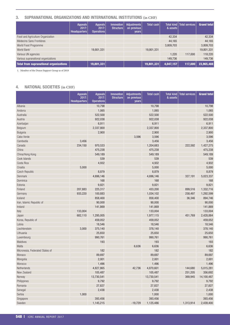# <span id="page-35-0"></span>3. SUPRANATIONAL ORGANIZATIONS AND INTERNATIONAL INSTITUTIONS (in CHF)

|                                        | Appeals<br>2017:<br><b>Headquarters</b> | Appeals<br>2017:<br>Operations | <b>Innovation</b><br>Structure | Adjustments<br>on previous<br>years | <b>Total cash</b> | & assets  | Total kind   Total services | <b>Grand total</b> |
|----------------------------------------|-----------------------------------------|--------------------------------|--------------------------------|-------------------------------------|-------------------|-----------|-----------------------------|--------------------|
| Food and Agriculture Organization      |                                         |                                |                                |                                     |                   | 42,334    |                             | 42,334             |
| Médecins Sans Frontières               |                                         |                                |                                |                                     |                   | 44.165    |                             | 44,165             |
| World Food Programme                   |                                         |                                |                                |                                     |                   | 3,809,703 |                             | 3,809,703          |
| World Bank <sup>1</sup>                |                                         | 19,801,331                     |                                |                                     | 19,801,331        |           |                             | 19,801,331         |
| Various UN agencies                    |                                         |                                |                                |                                     |                   | 1,220     | 117,000                     | 118,220            |
| Various supranational organizations    |                                         |                                |                                |                                     |                   | 149.736   |                             | 149,736            |
| Total from supranational organizations |                                         | 19,801,331                     |                                |                                     | 19,801,331        | 4,047,157 | 117,000                     | 23,965,488         |

1. Member of the Donor Support Group as of 2018

# 4. NATIONAL SOCIETIES (in CHF)

|                                 | <b>Appeals</b><br>$\frac{2017}{2}$<br><b>Headquarters</b> | <b>Appeals</b><br>2017:<br><b>Operations</b> | Innovation<br><b>Structure</b> | <b>Adjustments</b><br>on previous<br>years | <b>Total cash</b> | <b>Total kind</b><br>& assets | <b>Total services</b> | <b>Grand total</b> |
|---------------------------------|-----------------------------------------------------------|----------------------------------------------|--------------------------------|--------------------------------------------|-------------------|-------------------------------|-----------------------|--------------------|
| Albania                         |                                                           | 10,798                                       |                                |                                            | 10,798            |                               |                       | 10,798             |
| Andorra                         |                                                           | 1,065                                        |                                |                                            | 1,065             |                               |                       | 1,065              |
| Australia                       |                                                           | 522,500                                      |                                |                                            | 522,500           |                               |                       | 522,500            |
| Austria                         |                                                           | 922,038                                      |                                |                                            | 922,038           |                               |                       | 922,038            |
| Azerbaijan                      |                                                           | 6,911                                        |                                |                                            | 6,911             |                               |                       | 6,911              |
| Belgium                         |                                                           | 2,337,800                                    |                                |                                            | 2,337,800         |                               |                       | 2,337,800          |
| Bulgaria                        |                                                           | 2,900                                        |                                |                                            | 2,900             |                               |                       | 2,900              |
| Cabo Verde                      |                                                           |                                              |                                | 3,596                                      | 3,596             |                               |                       | 3,596              |
| Cambodia                        | 3,456                                                     |                                              |                                |                                            | 3,456             |                               |                       | 3,456              |
| Canada                          | 234,150                                                   | 970,533                                      |                                |                                            | 1,204,683         |                               | 222,592               | 1,427,275          |
| China                           |                                                           | 475,238                                      |                                |                                            | 475,238           |                               |                       | 475,238            |
| China/Hong Kong                 |                                                           | 549,189                                      |                                |                                            | 549,189           |                               |                       | 549,189            |
| Cook Islands                    |                                                           | 539                                          |                                |                                            | 539               |                               |                       | 539                |
| Costa Rica                      |                                                           | 4,932                                        |                                |                                            | 4,932             |                               |                       | 4,932              |
| Croatia                         | 5,000                                                     |                                              |                                |                                            | 5,000             |                               |                       | 5,000              |
| Czech Republic                  |                                                           | 8,879                                        |                                |                                            | 8,879             |                               |                       | 8,879              |
| Denmark                         |                                                           | 4,696,146                                    |                                |                                            | 4,696,146         |                               | 327,191               | 5,023,337          |
| Dominica                        |                                                           | 168                                          |                                |                                            | 168               |                               |                       | 168                |
| Estonia                         |                                                           | 9,821                                        |                                |                                            | 9,821             |                               |                       | 9,821              |
| Finland                         | 207,883                                                   | 225,317                                      |                                |                                            | 433,200           |                               | 899,516               | 1,332,716          |
| Germany                         | 933,220                                                   | 100,883                                      |                                |                                            | 1,034,102         |                               | 258,497               | 1,292,599          |
| Iceland                         |                                                           | 858,400                                      |                                |                                            | 858,400           |                               | 36,346                | 894,746            |
| Iran, Islamic Republic of       |                                                           | 90,000                                       |                                |                                            | 90,000            |                               |                       | 90,000             |
| Ireland                         |                                                           | 141,869                                      |                                |                                            | 141,869           |                               |                       | 141,869            |
| Italy                           | 133,004                                                   |                                              |                                |                                            | 133,004           |                               |                       | 133,004            |
| Japan                           | 682,110                                                   | 1,295,005                                    |                                |                                            | 1,977,115         |                               | 451,769               | 2,428,884          |
| Korea, Republic of              |                                                           | 459,052                                      |                                |                                            | 459,052           |                               |                       | 459,052            |
| Latvia                          |                                                           | 18,546                                       |                                |                                            | 18,546            |                               |                       | 18,546             |
| Liechtenstein                   | 3,000                                                     | 375,140                                      |                                |                                            | 378,140           |                               |                       | 378,140            |
| Lithuania                       |                                                           | 25,650                                       |                                |                                            | 25,650            |                               |                       | 25,650             |
| Luxembourg                      |                                                           | 990,761                                      |                                |                                            | 990,761           |                               |                       | 990,761            |
| Maldives                        |                                                           | 193                                          |                                |                                            | 193               |                               |                       | 193                |
| Malta                           |                                                           |                                              |                                | 6,636                                      | 6,636             |                               |                       | 6,636              |
| Micronesia, Federated States of |                                                           | 182                                          |                                |                                            | 182               |                               |                       | 182                |
| Monaco                          |                                                           | 89,697                                       |                                |                                            | 89,697            |                               |                       | 89,697             |
| Mongolia                        |                                                           | 2,001                                        |                                |                                            | 2,001             |                               |                       | 2,001              |
| Morocco                         |                                                           | 1,496                                        |                                |                                            | 1,496             |                               |                       | 1,496              |
| Netherlands                     |                                                           | 4,827,865                                    |                                | 42,736                                     | 4,870,601         |                               | 144,680               | 5,015,281          |
| New Zealand                     |                                                           | 105,487                                      |                                |                                            | 105,487           |                               | 251,205               | 356,692            |
| Norway                          |                                                           | 13,730,541                                   |                                |                                            | 13,730,541        |                               | 369,945               | 14,100,487         |
| Philippines                     |                                                           | 9,792                                        |                                |                                            | 9,792             |                               |                       | 9,792              |
| Romania                         |                                                           | 27,827                                       |                                |                                            | 27,827            |                               |                       | 27,827             |
| Senegal                         |                                                           | 2,438                                        |                                |                                            | 2,438             |                               |                       | 2,438              |
| Serbia                          | 1,000                                                     |                                              |                                |                                            | 1,000             |                               |                       | 1,000              |
| Singapore                       |                                                           | 393,456                                      |                                |                                            | 393,456           |                               |                       | 393,456            |
| Sweden                          |                                                           | 1,145,215                                    |                                | $-19,729$                                  | 1,125,486         |                               | 1,313,914             | 2,439,400          |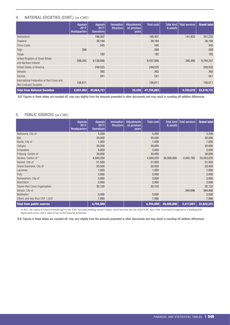# <span id="page-36-0"></span>4. NATIONAL SOCIETIES (CONT.) (in CHF)

|                                                                            | <b>Appeals</b><br>2017:<br><b>Headquarters</b> | <b>Appeals</b><br>2017:<br>Operations | <b>Innovation</b><br><b>Structure</b> | Adjustments<br>on previous<br>years | Total cash | Total kind<br>& assets | <b>Total services</b> | <b>Grand total</b> |
|----------------------------------------------------------------------------|------------------------------------------------|---------------------------------------|---------------------------------------|-------------------------------------|------------|------------------------|-----------------------|--------------------|
| Switzerland                                                                |                                                | 199,407                               |                                       |                                     | 199,407    |                        | 141,825               | 341,232            |
| Thailand                                                                   |                                                | 38,194                                |                                       |                                     | 38,194     |                        |                       | 38,194             |
| Timor-Leste                                                                |                                                | 545                                   |                                       |                                     | 545        |                        |                       | 545                |
| Togo                                                                       | 268                                            |                                       |                                       |                                     | 268        |                        |                       | 268                |
| Tonga                                                                      |                                                | 182                                   |                                       |                                     | 182        |                        |                       | 182                |
| United Kingdom of Great Britain<br>and Northern Ireland                    | 298,200                                        | 9,139,666                             |                                       |                                     | 9,437,866  |                        | 346,390               | 9,784,257          |
| United States of America                                                   |                                                | 249,525                               |                                       |                                     | 249,525    |                        |                       | 249,525            |
| Vanuatu                                                                    |                                                | 392                                   |                                       |                                     | 392        |                        |                       | 392                |
| Zambia                                                                     |                                                | 541                                   |                                       |                                     | 541        |                        |                       | 541                |
| International Federation of Red Cross and<br><b>Red Crescent Societies</b> | 156,611                                        |                                       |                                       |                                     | 156,611    |                        |                       | 156,611            |
| <b>Total from National Societies</b>                                       | 2,657,902                                      | 45,064,721                            |                                       | 33,239                              | 47,755,862 |                        | 4,763,870             | 52,519,731         |

N.B. Figures in these tables are rounded off, may vary slightly from the amounts presented in other documents and may result in rounding-off addition differences.

#### 5. PUBLIC SOURCES (in CHF)

|                                  | <b>Appeals</b><br>2017: | Appeals<br>2017:  | <b>Innovation</b><br><b>Structure</b> | <b>Adjustments</b><br>on previous | Total cash | & assets   | Total kind   Total services | <b>Grand total</b> |
|----------------------------------|-------------------------|-------------------|---------------------------------------|-----------------------------------|------------|------------|-----------------------------|--------------------|
|                                  | <b>Headquarters</b>     | <b>Operations</b> |                                       | years                             |            |            |                             |                    |
| Bellinzona, City of              |                         | 5,200             |                                       |                                   | 5,200      |            |                             | 5,200              |
| <b>Biel</b>                      |                         | 20,000            |                                       |                                   | 20,000     |            |                             | 20,000             |
| Buchs, City of                   |                         | 1,000             |                                       |                                   | 1,000      |            |                             | 1,000              |
| Cologny                          |                         | 20,000            |                                       |                                   | 20,000     |            |                             | 20,000             |
| Echandens                        |                         | 5,000             |                                       |                                   | 5,000      |            |                             | 5,000              |
| Fribourg, Canton of              |                         | 30,000            |                                       |                                   | 30,000     |            |                             | 30,000             |
| Geneva, Canton of *              |                         | 4,500,250         |                                       |                                   | 4,500,250  | 26,500,000 | 2,052,785                   | 33,053,035         |
| Geneva, City of                  |                         | 51,500            |                                       |                                   | 51,500     |            |                             | 51,500             |
| Grand-Saconnex, City of          |                         | 20,500            |                                       |                                   | 20,500     |            |                             | 20,500             |
| Laconnex                         |                         | 1,000             |                                       |                                   | 1,000      |            |                             | 1,000              |
| Pully                            |                         | 2,000             |                                       |                                   | 2,000      |            |                             | 2,000              |
| Romanshorn, City of              |                         | 3,000             |                                       |                                   | 3,000      |            |                             | 3,000              |
| Rüschlikon                       |                         | 2,000             |                                       |                                   | 2,000      |            |                             | 2,000              |
| Taiwan Red Cross Organisation    |                         | 30,120            |                                       |                                   | 30,120     |            |                             | 30,120             |
| Versoix, City of                 |                         |                   |                                       |                                   |            |            | 364,896                     | 364,896            |
| Wallisellen                      |                         | 5,000             |                                       |                                   | 5,000      |            |                             | 5,000              |
| Others and less than CHF 1,000   |                         | 7,990             |                                       |                                   | 7,990      |            |                             | 7,990              |
| <b>Total from public sources</b> |                         | 4,704,560         |                                       |                                   | 4,704,560  | 26,500,000 | 2,417,681                   | 33,622,241         |

\* In 2017, the canton of Geneva formally gave to the ICRC the main building named Carlton, which has been the seat of the ICRC since 1946. It has been recognized as a building fully depreciated, hence with a value of zero in the financial statements.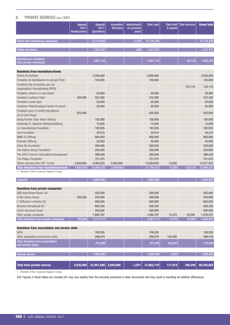# <span id="page-37-0"></span>6. PRIVATE SOURCES (in CHF)

|                                                                           | <b>Appeals</b><br>2017:<br><b>Headquarters</b> | <b>Appeals</b><br>2017:<br><b>Operations</b> | Innovation<br><b>Structure</b> | <b>Adjustments</b><br>on previous<br>vears | <b>Total cash</b> | <b>Total kind</b><br>& assets | <b>Total services</b> | <b>Grand total</b> |
|---------------------------------------------------------------------------|------------------------------------------------|----------------------------------------------|--------------------------------|--------------------------------------------|-------------------|-------------------------------|-----------------------|--------------------|
| Direct mail fundraising campaigns                                         |                                                | 13,773,524                                   |                                | $-3.285$                                   | 13,770,239        |                               |                       | 13,770,239         |
| <b>Online donations</b>                                                   |                                                | 1,318,387                                    |                                | $-686$                                     | 1,317,701         |                               |                       | 1,317,701          |
| <b>Spontaneous donations</b><br>from private individuals                  |                                                | 1,807,153                                    |                                |                                            | 1,807,153         |                               | 38,130                | 1,845,283          |
| <b>Donations from foundations/funds</b>                                   |                                                |                                              |                                |                                            |                   |                               |                       |                    |
| Chaîne Du Bonheur                                                         |                                                | 2,000,000                                    |                                |                                            | 2,000,000         |                               |                       | 2,000,000          |
| Fondation de bienfaisance du groupe Pictet                                |                                                | 150,000                                      |                                |                                            | 150,000           |                               |                       | 150,000            |
| Fondation des immeubles pour les<br>organisations internationales (FIPOI) |                                                |                                              |                                |                                            |                   |                               | 133,116               | 133,116            |
| Fondation Johann et Luzia Grässli                                         |                                                | 20,000                                       |                                |                                            | 20,000            |                               |                       | 20,000             |
| Fondation Lombard Odier <sup>1</sup>                                      | 250,000                                        | 322,392                                      |                                |                                            | 572,392           |                               |                       | 572,392            |
| Fondation Lumen Spei                                                      |                                                | 50,000                                       |                                |                                            | 50,000            |                               |                       | 50,000             |
| Fondation Philanthropique Famille Firmenich                               |                                                | 50,000                                       |                                |                                            | 50,000            |                               |                       | 50,000             |
| Fondation pour le Comité international<br>de la Croix Rouge               | 835,000                                        |                                              |                                |                                            | 835,000           |                               |                       | 835,000            |
| Georg Fischer Clean Water Stiftung                                        |                                                | 100,000                                      |                                |                                            | 100,000           |                               |                       | 100,000            |
| Kantonale St. Gallische Winkelriedstiftung                                |                                                | 15,000                                       |                                |                                            | 15,000            |                               |                       | 15,000             |
| La Caixa Banking Foundation                                               |                                                | 182,955                                      |                                |                                            | 182,955           |                               |                       | 182,955            |
| <b>Link Foundation</b>                                                    |                                                | 34,510                                       |                                |                                            | 34,510            |                               |                       | 34,510             |
| MINE-EX Stiftung                                                          |                                                | 800,000                                      |                                |                                            | 800,000           |                               |                       | 800,000            |
| Promotor Stiftung                                                         |                                                | 20,000                                       |                                |                                            | 20,000            |                               |                       | 20,000             |
| Swiss Re Foundation <sup>1</sup>                                          |                                                | 500,000                                      |                                |                                            | 500,000           |                               |                       | 500,000            |
| The Adecco Group Foundation <sup>1</sup>                                  |                                                | 250,000                                      |                                |                                            | 250,000           |                               |                       | 250,000            |
| The OPEC Fund for International Development                               |                                                | 389,440                                      |                                |                                            | 389,440           |                               |                       | 389,440            |
| The Philips Foundation <sup>1</sup>                                       |                                                | 721,075                                      |                                |                                            | 721,075           |                               |                       | 721,075            |
| Others and less than CHF 10,000                                           | 3,600,000                                      | 9,464,003                                    | 2,000,000                      |                                            | 15,064,003        | 13,020                        |                       | 15,077,023         |
| <b>Total donations from foundations/funds</b>                             | 4,685,000                                      | 15,069,375                                   | 2,000,000                      |                                            | 21,754,375        | 13,020                        | 133,116               | 21,900,511         |
| 1. Member of the Corporate Support Group                                  |                                                |                                              |                                |                                            |                   |                               |                       |                    |

| Legacies                                                      |           | 2,692,685  |           |          | 2,692,685  |         |         | 2,692,685  |
|---------------------------------------------------------------|-----------|------------|-----------|----------|------------|---------|---------|------------|
|                                                               |           |            |           |          |            |         |         |            |
| <b>Donations from private companies</b>                       |           |            |           |          |            |         |         |            |
| ABB Asea Brown Boveri Ltd <sup>1</sup>                        |           | 500,000    |           |          | 500,000    |         |         | 500,000    |
| Crédit Suisse Group <sup>1</sup>                              | 250,000   | 250,000    |           |          | 500,000    |         |         | 500,000    |
| F. Hoffmann La Roche Ltd <sup>1</sup>                         |           | 600,000    |           |          | 600,000    |         |         | 600,000    |
| Novartis International AG <sup>1</sup>                        |           | 626,330    |           |          | 626,330    |         |         | 626,330    |
| Zurich Insurance Group <sup>1</sup>                           |           | 500,000    |           |          | 500,000    |         |         | 500,000    |
| Other private companies                                       |           | 1,640,787  |           |          | 1,640,787  | 13,470  | 25,000  | 1,679,257  |
| Total donations from private companies                        | 250,000   | 4,117,117  |           |          | 4,367,117  | 13,470  | 25,000  | 4,405,587  |
|                                                               |           |            |           |          |            |         |         |            |
| <b>Donations from associations and service clubs</b>          |           |            |           |          |            |         |         |            |
| <b>UEFA</b>                                                   |           | 106,530    |           |          | 106,530    |         |         | 106,530    |
| Other associations and service clubs                          |           | 266,919    |           |          | 266,919    | 142,500 |         | 409,419    |
| <b>Total donations from associations</b><br>and service clubs |           | 373,449    |           |          | 373,449    | 142,500 |         | 515,949    |
|                                                               |           |            |           |          |            |         |         |            |
| <b>Various donors</b>                                         |           | 1,900,000  |           |          | 1,900,000  | 2,928   |         | 1,902,928  |
|                                                               |           |            |           |          |            |         |         |            |
| <b>Total from private sources</b>                             | 4,935,000 | 41,051,690 | 2,000,000 | $-3,971$ | 47,982,719 | 171,918 | 196,246 | 48,350,883 |
| $1 - M$ and $M$ of the Company County of Count                |           |            |           |          |            |         |         |            |

1. Member of the Corporate Support Group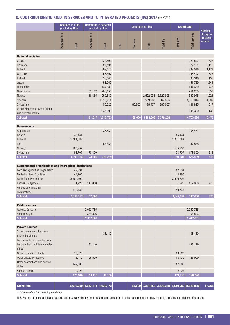# <span id="page-38-0"></span>D. CONTRIBUTIONS IN KIND, IN SERVICES AND TO INTEGRATED PROJECTS (IPs) 2017 (in CHF)

| Donations in kind<br>(excluding IPs) |       | Donations in services<br>(excluding IPs) |       | Donations for IPs   |              |      |              | <b>Grand total</b> | <b>Number</b>     |                                     |
|--------------------------------------|-------|------------------------------------------|-------|---------------------|--------------|------|--------------|--------------------|-------------------|-------------------------------------|
| တ<br>눕<br><b>Headquar</b>            | Field | Headquarters                             | Field | 2<br>$\overline{v}$ | vices<br>Ser | Cash | iPs<br>Total | kind<br>Total      | services<br>Total | of days of<br>employee<br>l service |

#### National societies

| Canada                          |  |         | 222,592           |        |                            |           | 222,592   | 627    |
|---------------------------------|--|---------|-------------------|--------|----------------------------|-----------|-----------|--------|
| Denmark                         |  |         | 327,191           |        |                            |           | 327,191   | 1,119  |
| Finland                         |  |         | 899,516           |        |                            |           | 899,516   | 3,173  |
| Germany                         |  |         | 258,497           |        |                            |           | 258,497   | 776    |
| Iceland                         |  |         | 36,346            |        |                            |           | 36,346    | 150    |
| Japan                           |  |         | 451,769           |        |                            |           | 451,769   | 1,541  |
| <b>Netherlands</b>              |  |         | 144,680           |        |                            |           | 144,680   | 475    |
| New Zealand                     |  | 51,152  | 200,053           |        |                            |           | 251,205   | 857    |
| Norway                          |  | 110,365 | 259,580           |        | 2,522,995                  | 2,522,995 | 369,945   | 1,221  |
| Sweden                          |  |         | 1,313,914         |        | 569,266                    | 569,266   | 1,313,914 | 4,889  |
| Switzerland                     |  |         | 55,225            | 86,600 | 199,407                    | 286,007   | 141,825   | 517    |
| United Kingdom of Great Britain |  |         | 346,390           |        |                            |           | 346,390   | 1,132  |
| and Northern Ireland            |  |         |                   |        |                            |           |           |        |
| Subtotal                        |  |         | 161,517 4,515,753 |        | 86,600 3,291,668 3,378,268 |           | 4,763,870 | 16,477 |

| <b>Governments</b>       |           |         |         |  |  |           |         |     |
|--------------------------|-----------|---------|---------|--|--|-----------|---------|-----|
| Afghanistan              |           |         | 288,431 |  |  |           | 288,431 |     |
| <b>Belarus</b>           | 45,444    |         |         |  |  | 45,444    |         |     |
| Finland <sup>1</sup>     | 1,061,082 |         |         |  |  | 1,061,082 |         |     |
| Iraq                     |           |         | 87,858  |  |  |           | 87,858  |     |
| Norway <sup>1</sup>      | 185,952   |         |         |  |  | 185,952   |         |     |
| Switzerland <sup>1</sup> | 98,707    | 178,800 |         |  |  | 98,707    | 178,800 | 516 |
| Subtotal                 | 1,391,184 | 178,800 | 376,289 |  |  | 1,391,184 | 555,089 | 516 |

| <b>Supranational organizations and international institutions</b> |           |         |  |  |           |         |     |
|-------------------------------------------------------------------|-----------|---------|--|--|-----------|---------|-----|
| Food and Agriculture Organization                                 | 42.334    |         |  |  | 42.334    |         |     |
| Médecins Sans Frontières                                          | 44.165    |         |  |  | 44.165    |         |     |
| World Food Programme                                              | 3,809,703 |         |  |  | 3,809,703 |         |     |
| Various UN agencies                                               | 1.220     | 117,000 |  |  | 1.220     | 117.000 | 275 |
| Various supranational<br>organizations                            | 149.736   |         |  |  | 149.736   |         |     |
| Subtotal                                                          | 4,047,157 | 117,000 |  |  | 4,047,157 | 117,000 | 275 |

| <b>Public sources</b> |                    |  |           |
|-----------------------|--------------------|--|-----------|
| Geneva, Canton of     | 2,052,785          |  | 2,052,785 |
| Versoix, City of      | 364,896            |  | 364,896   |
| Subtotal              | $\sqrt{2,417,681}$ |  | 2,417,681 |

| <b>Private sources</b>                                                       |         |                                 |        |  |                                                  |         |         |        |
|------------------------------------------------------------------------------|---------|---------------------------------|--------|--|--------------------------------------------------|---------|---------|--------|
| Spontaneous donations from<br>private individuals                            |         |                                 | 38,130 |  |                                                  |         | 38,130  |        |
| Fondation des immeubles pour<br>les organisations internationales<br>(FIPOI) |         | 133,116                         |        |  |                                                  |         | 133,116 |        |
| Other foundations, funds                                                     | 13,020  |                                 |        |  |                                                  | 13,020  |         |        |
| Other private companies                                                      | 13,470  | 25,000                          |        |  |                                                  | 13,470  | 25,000  |        |
| Other associations and service<br>clubs                                      | 142,500 |                                 |        |  |                                                  | 142,500 |         |        |
| Various donors                                                               | 2,928   |                                 |        |  |                                                  | 2,928   |         |        |
| Subtotal                                                                     | 171,918 | 158,116                         | 38,130 |  |                                                  | 171,918 | 196,246 |        |
|                                                                              |         |                                 |        |  |                                                  |         |         |        |
| <b>Grand total</b>                                                           |         | $5,610,259$ 3,033,114 4,930,172 |        |  | $86,600$ 3,291,668 3,378,268 5,610,259 8,049,886 |         |         | 17,268 |

1. Member of the Corporate Support Group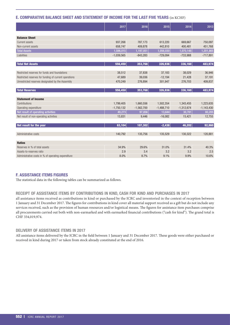# <span id="page-39-0"></span>E. COMPARATIVE BALANCE SHEET AND STATEMENT OF INCOME FOR THE LAST FIVE YEARS (in KCHF)

|                                                       | 2017         | 2016         | 2015         | 2014         | 2013                   |
|-------------------------------------------------------|--------------|--------------|--------------|--------------|------------------------|
|                                                       |              |              |              |              |                        |
| <b>Balance Sheet</b>                                  |              |              |              |              |                        |
| Current assets                                        | 937,268      | 787,173      | 613,220      | 669,667      | 750,097                |
| Non-current assets                                    | 658.747      | 409.878      | 442.810      | 400.481      | 451,768                |
| <b>Total Assets</b>                                   | 1,596,015    | 1,197,051    | 1,056,030    | 1,070,148    | $\overline{1,201,865}$ |
| Liabilities                                           | $-1,039,565$ | $-843,283$   | $-729,094$   | $-733,988$   | $-717,891$             |
| <b>Total Net Assets</b>                               | 556,450      | 353,768      | 326,936      | 336,160      | 483,974                |
| Restricted reserves for funds and foundations         | 38,512       | 37,838       | 37,183       | 38,029       | 36,946                 |
| Restricted reserves for funding of current operations | 47,689       | 39,036       | $-12,194$    | 21,428       | 37,191                 |
| Unrestricted reserves designated by the Assembly      | 470,249      | 276,894      | 301,947      | 276,703      | 409,837                |
|                                                       |              |              |              |              |                        |
| <b>Total Reserves</b>                                 | 556,450      | 353,768      | 326,936      | 336,160      | 483,974                |
| <b>Statement of Income</b>                            |              |              |              |              |                        |
| Contributions                                         | 1,799,405    | 1,660,556    | 1,502,354    | 1,343,455    | 1,223,635              |
| Operating expenditure                                 | $-1,750,132$ | $-1,562,700$ | $-1,488,710$ | $-1,312,674$ | $-1,143,430$           |
| Net result of operating activities                    | 49,273       | 97,856       | 13.644       | 30,781       | 80,205                 |
| Net result of non-operating activities                | 13,831       | 9,446        | $-16,082$    | 15,421       | 12,755                 |
| Net result for the year                               | 63,104       | 107,302      | $-2,438$     | 46,202       | 92,960                 |
| Administrative costs                                  | 140,792      | 135,756      | 135,529      | 130,322      | 120,881                |
| <b>Ratios</b>                                         |              |              |              |              |                        |
| Reserves in % of total assets                         | 34.9%        | 29.6%        | 31.0%        | 31.4%        | 40.3%                  |
| Assets-to-reserves ratio                              | 2.9          | 3.4          | 3.2          | 3.2          | 2.5                    |
| Administrative costs in % of operating expenditure    | 8.0%         | 8.7%         | 9.1%         | 9.9%         | 10.6%                  |

# F. ASSISTANCE ITEMS FIGURES

The statistical data in the following tables can be summarized as follows.

#### RECEIPT OF ASSISTANCE ITEMS BY CONTRIBUTIONS IN KIND, CASH FOR KIND AND PURCHASES IN 2017

all assistance items received as contributions in kind or purchased by the ICRC and inventoried in the context of reception between 1 January and 31 December 2017. The figures for contributions in kind cover all material support received as a gift but do not include any services received, such as the provision of human resources and/or logistical means. The figures for assistance item purchases comprise all procurements carried out both with non-earmarked and with earmarked financial contributions ("cash for kind"). The grand total is CHF 334,019,974.

#### DELIVERY OF ASSISTANCE ITEMS IN 2017

All assistance items delivered by the ICRC in the field between 1 January and 31 December 2017. These goods were either purchased or received in kind during 2017 or taken from stock already constituted at the end of 2016.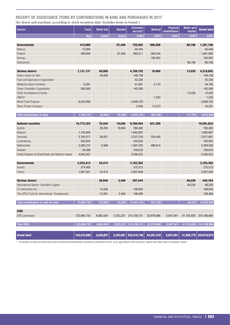# RECEIPT OF ASSISTANCE ITEMS BY CONTRIBUTIONS IN KIND AND PURCHASES IN 2017 (by donor and purchase, according to stock reception date. Includes items in transit.)

| <b>Donors</b>                                        | Food        | <b>Relief kits</b> | <b>Blanket</b> | <b>Economic</b><br>security* | <b>Medical</b> | <b>Physical</b><br>rehabilitation | <b>Water and</b><br>habitat | <b>Grand total</b>     |
|------------------------------------------------------|-------------|--------------------|----------------|------------------------------|----------------|-----------------------------------|-----------------------------|------------------------|
|                                                      | (Kg)        | (each)             | (each)         | (CHF)                        | (CHF)          | (CHF)                             | (CHF)                       | (CHF)                  |
|                                                      |             |                    |                |                              |                |                                   |                             |                        |
| <b>Governments</b>                                   | 412,000     |                    | 67,440         | 725,955                      | 566,506        |                                   | 98,706                      | 1,391,166              |
| <b>Belarus</b>                                       | 12,000      |                    |                | 45,444                       |                |                                   |                             | 45,444                 |
| Finland                                              | 400,000     |                    | 67,440         | 680,511                      | 380,554        |                                   |                             | 1,061,065              |
| Norway                                               |             |                    |                |                              | 185,952        |                                   |                             | 185,952                |
| Switzerland                                          |             |                    |                |                              |                |                                   | 98,706                      | 98,706                 |
| <b>Various donors</b>                                | 7,131,131   | 40,000             |                | 4,189,192                    | 16,680         |                                   | 13,020                      | 4,218,892              |
| Action contre la Faim                                |             | 40,000             |                | 149,736                      |                |                                   |                             | 149,736                |
| Food and Agriculture Organization                    |             |                    |                | 42,334                       |                |                                   |                             | 42,334                 |
| Médecins Sans Frontières                             | 6,281       |                    |                | 41,991                       | 2,174          |                                   |                             | 44,165                 |
| Oman Charitable Organisation                         | 500,000     |                    |                | 142,500                      |                |                                   |                             | 142,500                |
| Other Foundations & Funds                            |             |                    |                |                              |                |                                   | 13,020                      | 13,020                 |
| <b>UNICEF</b>                                        |             |                    |                |                              | 1,233          |                                   |                             | 1,233                  |
| World Food Program                                   | 6,624,850   |                    |                | 3,809,703                    |                |                                   |                             | 3,809,703              |
| Other Private Company                                |             |                    |                | 2,928                        | 13,273         |                                   |                             | 16,201                 |
|                                                      |             |                    |                |                              |                |                                   |                             |                        |
| Total contributions in kind                          | 7,543,131   | 40,000             | 67,440         | 4,915,147                    | 583,185        |                                   | 111,726                     | 5,610,058              |
|                                                      |             |                    |                |                              |                |                                   |                             |                        |
| <b>National societies</b>                            | 10,772,322  | 70,444             | 19,840         | 9,760,564                    | 831,259        |                                   |                             | 10,591,823             |
| Austria                                              |             | 28,255             | 19,840         | 780,463                      |                |                                   |                             | 780,463                |
| Belgium                                              | 1,742,063   |                    |                | 1,692,697                    |                |                                   |                             | 1,692,697              |
| Denmark                                              | 2,165,317   | 36,621             |                | 2,537,216                    | 334,445        |                                   |                             | 2,871,661              |
| Luxembourg                                           | 203,824     |                    |                | 105,824                      |                |                                   |                             | 105,824                |
| Netherlands                                          | 2,582,212   | 5,568              |                | 1,997,225                    | 496,814        |                                   |                             | 2,494,039              |
| Sweden                                               | 34,399      |                    |                | 100,616                      |                |                                   |                             | 100,616                |
| United Kingdom of Great Britain and Northern Ireland | 4,044,507   |                    |                | 2,546,523                    |                |                                   |                             | 2,546,523              |
| <b>Governments</b>                                   | 2,232,413   | 24,414             |                | 3,183,362                    |                |                                   |                             | 3,183,362              |
| Austria                                              | 274,493     |                    |                | 275,513                      |                |                                   |                             | 275,513                |
| France                                               | 1,957,921   | 24,414             |                | 2,907,849                    |                |                                   |                             | 2,907,849              |
|                                                      |             |                    |                |                              |                |                                   |                             |                        |
| <b>Various donors</b>                                |             | 28,945             | 3,440          | 397,544                      |                |                                   | 48,220                      | 445,764                |
| International Islamic Charitable Organiz             |             |                    |                |                              |                |                                   | 48,220                      | 48,220                 |
| LG Electronics Inc.                                  |             | 15,554             |                | 199,055                      |                |                                   |                             | 199,055                |
| The OPEC Fund for International Development          |             | 13,391             | 3,440          | 198,489                      |                |                                   |                             | 198,489                |
| Total contributions in cash for kind                 | 13,004,735  | 123,803            | 23,280         | 13,341,470                   | 831,259        |                                   | 48,220                      | 14,220,948             |
| <b>ICRC</b>                                          |             |                    |                |                              |                |                                   |                             |                        |
| ICRC purchases                                       | 122,864,733 | 4,062,024          |                | 2,253,231 214,159,131        | 52,976,966     | 5,947,041                         |                             | 41,105,830 314,188,968 |
|                                                      |             |                    |                |                              |                |                                   |                             |                        |
| <b>Total ICRC</b>                                    | 122,864,733 | 4,062,024          |                | 2,253,231 214,159,131        | 52,976,966     | 5,947,041                         | 41,105,830                  | 314,188,968            |
|                                                      |             |                    |                |                              |                |                                   |                             |                        |
| <b>Grand total</b>                                   | 143,412,599 | 4,225,827          | 2,343,951      | 232,415,748                  | 54,391,410     | 5,947,041                         | 41,265,776                  | 334,019,974            |

\* Economic security includes food and essential household items (sometimes provided in kits), seed, agricultural and veterinary inputs and other micro-economic inputs.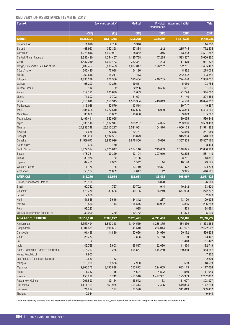# DELIVERY OF ASSISTANCE ITEMS IN 2017

| Context                                |                | Economic security* | <b>Medical</b> | Physical<br>rehabilitation | <b>Water and habitat</b> | <b>Total</b> |
|----------------------------------------|----------------|--------------------|----------------|----------------------------|--------------------------|--------------|
|                                        | (CHF)          | (Kg)               | (CHF)          | (CHF)                      | (CHF)                    | (CHF)        |
| <b>AFRICA</b>                          | 86,751,930     | 84,119,582         | 13,939,581     | 2,028,104                  | 11,715,721               | 114,435,336  |
| <b>Burkina Faso</b>                    | 11,010         | 2,768              | 3,940          |                            |                          | 14,950       |
| Burundi                                | 468,963        | 352,358            | 87,884         | 242                        | 215,745                  | 772,834      |
| Cameroon                               | 4,278,846      | 4,969,931          | 168,852        | 346                        | 143,813                  | 4,591,857    |
| Central African Republic               | 2,883,490      | 1,244,487          | 1,125,788      | 47,275                     | 1,593,807                | 5,650,360    |
| Chad                                   | 1,437,249      | 1,019,483          | 382,351        | 293                        | 111,479                  | 1,931,372    |
| Congo, Democratic Republic of the      | 5,489,457      | 3,036,493          | 1,007,047      | 176,232                    | 792,731                  | 7,465,467    |
| Côte d'Ivoire                          | 205,425        | 77,038             | 64,196         |                            | 8,382                    | 278,003      |
| Eritrea                                | 260,546        | 15,211             | 473            |                            | 232,322                  | 493,341      |
| Ethiopia                               | 1,890,238      | 671,580            | 323,454        | 449,705                    | 274,640                  | 2,938,037    |
| Guinea                                 | 98,293         | 10,236             | 19,511         |                            | 5,950                    | 123,754      |
| Guinea-Bissau                          | 112            | $\overline{2}$     | 22,266         | 38,566                     | 651                      | 61,595       |
| Kenya                                  | 319,123        | 200,639            | 3,083          |                            | 21,794                   | 344,000      |
| Liberia                                | 71,807         | 9,792              | 61,621         |                            | 71,140                   | 204,568      |
| Libya                                  | 8,616,648      | 3,153,345          | 1,523,384      | 419,819                    | 134,506                  | 10,694,357   |
| Madagascar                             | 116,036        | 42,579             | 13,514         |                            | 19,717                   | 149,267      |
| Mali                                   | 3,884,628      | 4,277,540          | 847,695        | 138,029                    | 623,854                  | 5,494,206    |
| Mauritania                             | 85,868         | 10,032             | 10.056         |                            | 9,843                    | 105,767      |
| Mozambique                             | 1,497,411      | 552,095            |                |                            | 39,035                   | 1,536,446    |
| Niger                                  | 8,838,140      | 15,197,947         | 383,237        | 54,095                     | 233,966                  | 9,509,438    |
| Nigeria                                | 24,938,348     | 28,715,217         | 2,521,981      | 104,870                    | 4,006,163                | 31,571,362   |
| Rwanda                                 | 77,658         | 27,848             | 20,781         |                            | 153,550                  | 251,989      |
| Senegal                                | 180,262        | 1,392,587          | 13,873         |                            | 315,934                  | 510,069      |
| Somalia                                | 11,586,873     | 9,945,926          | 2,876,856      | 5,626                      | 1,387,805                | 15,857,160   |
| South Africa                           | 3,434          | 170                |                |                            |                          | 3,434        |
| South Sudan                            | 8,877,534      | 9,075,047          | 2,364,110      | 215,669                    | 1,148,895                | 12,606,208   |
| Sudan                                  | 178,731        | 39,329             | 22,194         | 307,910                    | 72,275                   | 581,110      |
| Tunisia                                | 30,974         | 52                 | 9,156          |                            | 3,761                    | 43,891       |
| Uganda                                 | 67,473         | 7,983              | 1,542          | 14                         | 10,146                   | 79,175       |
| Western Sahara                         | 1,176          | 35                 | 53,719         | 69,371                     | 472                      | 124,738      |
| Zimbabwe                               | 356,177        | 71,832             | 7,017          | 42                         | 83,345                   | 446,581      |
| <b>AMERICAS</b>                        | 812,276        | 85,674             | 381,661        | 88,492                     | 868,997                  | 2,151,426    |
| Bolivia, Plurinational State of        | 23,160         |                    |                | 3,020                      |                          | 26,180       |
| <b>Brazil</b>                          | 60,732         | 727                | 50,702         | 1,944                      | 40,242                   | 153,620      |
| Colombia                               | 478,770        | 80,836             | 49,785         | 66,249                     | 677,933                  | 1,272,737    |
| Ecuador                                | 2,879          |                    |                |                            |                          | 2,879        |
| Haiti                                  | 41,656         | 3,616              | 24,842         | 287                        | 43,120                   | 109,905      |
| Mexico                                 | 79,856         | 114                | 104,575        | 16,992                     | 94,865                   | 296,288      |
| Peru                                   | 92,223         | $\mathbf{1}$       | 995            |                            | 1,463                    | 94,681       |
| Venezuela, Bolivarian Republic of      | 33,000         | 380                | 150,762        |                            | 11,374                   | 195,136      |
| <b>ASIA AND THE PACIFIC</b>            | 10,135,128     | 7,908,227          | 7,073,491      | 4,033,488                  | 4,650,165                | 25,892,272   |
| Afghanistan                            | 3,357,494      | 1,899,318          | 5,104,559      | 1,286,375                  | 1,484,836                | 11,233,264   |
| Bangladesh                             | 1,904,581      | 2,191,697          | 41,540         | 254,014                    | 421,927                  | 2,622,062    |
| Cambodia                               | 91,486         | 14,830             | 150,696        | 164,980                    | 129,172                  | 536,334      |
| China                                  | 26,772         | $\mathbf{1}$       | 3,828          | 37,758                     | 109                      | 68,467       |
| Fiji                                   | $\overline{2}$ |                    |                |                            | 181,440                  | 181,442      |
| India                                  | 42,768         | 6,603              | 36,517         | 92,080                     | 11,354                   | 182,719      |
| Korea, Democratic People's Republic of | 215,263        | 265                | 508,857        | 444,269                    | 789,868                  | 1,958,257    |
| Korea, Republic of                     | 7,902          |                    |                |                            |                          | 7,902        |
| Lao People's Democratic Republic       | 2,639          | 33                 |                |                            |                          | 2,639        |
| Malaysia                               | 10,096         | 1,586              | 7,950          |                            | 553                      | 18,599       |
| Myanmar                                | 2,908,376      | 3,186,838          | 350,872        | 224,665                    | 633,113                  | 4,117,026    |
| Nepal                                  | 1,357          | 15                 | 4,604          | 4,502                      | 580                      | 11,043       |
| Pakistan                               | 155,832        | 5,742              | 453,516        | 1,497,351                  | 125,303                  | 2,232,002    |
| Papua New Guinea                       | 261,690        | 37,144             | 35,542         | 68                         | 11,027                   | 308,327      |
| Philippines                            | 1,114,109      | 563,958            | 351,414        | 27,426                     | 549,864                  | 2,042,813    |
| Sri Lanka                              | 24,817         | 197                | 23,596         |                            | 311,019                  | 359,432      |
| Thailand                               | 9,944          |                    |                |                            |                          | 9,944        |
|                                        |                |                    |                |                            |                          |              |

\* Economic security includes food and essential household items (sometimes provided in kits), seed, agricultural and veterinary inputs and other micro-economic inputs.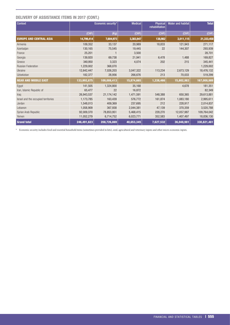# DELIVERY OF ASSISTANCE ITEMS IN 2017 (CONT.)

| <b>Context</b>                      |             | Economic security* | <b>Medical</b> | <b>Physical</b><br>rehabilitation | <b>Water and habitat</b> | <b>Total</b> |
|-------------------------------------|-------------|--------------------|----------------|-----------------------------------|--------------------------|--------------|
|                                     | (CHF)       | (Kg)               | (CHF)          | (CHF)                             | (CHF)                    | (CHF)        |
| <b>EUROPE AND CENTRAL ASIA</b>      | 14,799,414  | 7,604,973          | 3,383,947      | 138,982                           | 3,011,115                | 21,333,458   |
| Armenia                             | 109,352     | 33,137             | 20,989         | 18,833                            | 121,943                  | 271,117      |
| Azerbaijan                          | 130,165     | 75,545             | 19,445         | 22                                | 144,307                  | 293,939      |
| France                              | 25,201      |                    | 3,500          |                                   |                          | 28,701       |
| Georgia                             | 139,920     | 69,738             | 21,941         | 6,478                             | 1,488                    | 169,827      |
| Greece                              | 340,950     | 3,323              | 4,074          | 202                               | 215                      | 345,441      |
| <b>Russian Federation</b>           | 1,229,002   | 368,070            |                |                                   |                          | 1,229,002    |
| Ukraine                             | 12,642,447  | 7,026,203          | 3,047,322      | 113,234                           | 2,673,129                | 18,476,132   |
| Uzbekistan                          | 182,377     | 28,956             | 266,676        | 213                               | 70,033                   | 519,299      |
| <b>Near and Middle East</b>         | 133,992,875 | 109,008,413        | 15,874,665     | 1,338,466                         | 15,802,983               | 167,008,989  |
| Egypt                               | 141,505     | 1,324,800          | 35,168         |                                   | 4,678                    | 181,351      |
| Iran, Islamic Republic of           | 65.477      | 22                 | 16,872         |                                   |                          | 82,349       |
| Iraq                                | 26,943,537  | 21,174,142         | 1,471,591      | 548,388                           | 650,365                  | 29,613,881   |
| Israel and the occupied territories | 1,173,785   | 163,439            | 576,772        | 161,874                           | 1,083,180                | 2,995,611    |
| Jordan                              | 1,548,013   | 409,369            | 237,695        | 212                               | 228,917                  | 2,014,837    |
| Lebanon                             | 1,058,909   | 367,938            | 2,044,381      | 47,139                            | 370,359                  | 3,520,788    |
| Syrian Arab Republic                | 92,009,370  | 78,853,951         | 5,468,415      | 228,270                           | 12,057,987               | 109,764,042  |
| Yemen                               | 11,052,279  | 6,714,752          | 6,023,771      | 352,583                           | 1,407,497                | 18,836,130   |
| <b>Grand total</b>                  | 246,491,623 | 208,726,869        | 40,653,345     | 7,627,532                         | 36,048,981               | 330,821,481  |

\* Economic security includes food and essential household items (sometimes provided in kits), seed, agricultural and veterinary inputs and other micro-economic inputs.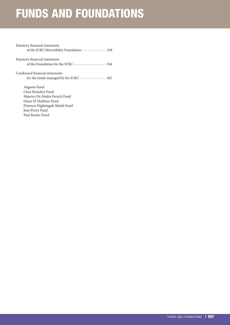# FUNDS AND FOUNDATIONS

| Statutory financial statements         |
|----------------------------------------|
| Statutory financial statements         |
|                                        |
| Condensed financial statements         |
| for the funds managed by the ICRC  567 |
| Augusta Fund                           |
| Clare Benedict Fund                    |
| Maurice De Madre French Fund           |
| Omar El Mukhtar Fund                   |

[Florence Nightingale Medal Fund](#page-54-0)

[Jean Pictet Fund](#page-54-0)

[Paul Reuter Fund](#page-54-0)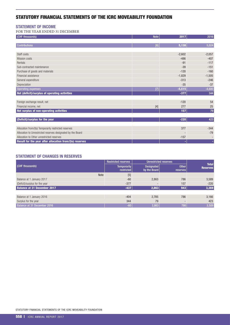# <span id="page-45-0"></span>STATUTORY FINANCIAL STATEMENTS OF THE ICRC MOVEABILITY FOUNDATION

## STATEMENT OF INCOME

FOR THE YEAR ENDED 31 DECEMBER

| (CHF thousands)                                             | <b>Note</b> | 2017     | 2016     |
|-------------------------------------------------------------|-------------|----------|----------|
| <b>Contributions</b>                                        | [6]         | 5,138    | 5,024    |
|                                                             |             |          |          |
| Staff costs                                                 |             | $-2,602$ | $-2,057$ |
| <b>Mission costs</b>                                        |             | $-486$   | $-407$   |
| Rentals                                                     |             | $-91$    | $-117$   |
| Sub-contracted maintenance                                  |             | $-39$    | $-151$   |
| Purchase of goods and materials                             |             | $-120$   | $-160$   |
| Financial assistance                                        |             | $-1,829$ | $-1,505$ |
| General expenditure                                         |             | $-313$   | $-246$   |
| Depreciation                                                |             | $-35$    | $-37$    |
| <b>Operating expenses</b>                                   | 7           | $-5,515$ | $-4,680$ |
| Net (deficit)/surplus of operating activities               |             | $-377$   | 344      |
|                                                             |             |          |          |
| Foreign exchange result, net                                |             | $-120$   | 54       |
| Financial income, net                                       | $[4]$       | 277      | 25       |
| Net surplus of non-operating activities                     |             | 157      | 79       |
|                                                             |             |          |          |
| (Deficit)/surplus for the year                              |             | $-220$   | 423      |
|                                                             |             |          |          |
| Allocation from/(to) Temporarily restricted reserves        |             | 377      | $-344$   |
| Allocation to Unrestricted reserves designated by the Board |             |          | $-79$    |
| Allocation to Other unrestricted reserves                   |             | $-157$   |          |
| Result for the year after allocation from/(to) reserves     |             |          | ٠        |

# STATEMENT OF CHANGES IN RESERVES

|                                    | <b>Restricted reserves</b> |                            | <b>Unrestricted reserves</b>    |                                 |
|------------------------------------|----------------------------|----------------------------|---------------------------------|---------------------------------|
| <b>(CHF thousands)</b>             | Temporarily<br>restricted  | Designated<br>by the Board | <b>Other</b><br><b>reserves</b> | <b>Total</b><br><b>Reserves</b> |
| Note                               | $[5]$                      |                            |                                 |                                 |
| Balance at 1 January 2017          | $-60$                      | 2,863                      | 786                             | 3,589                           |
| (Deficit)/surplus for the year     | $-377$                     |                            | 157                             | $-220$                          |
| <b>Balance at 31 December 2017</b> | $-437$                     | 2,863                      | 943                             | 3,369                           |
|                                    |                            |                            |                                 |                                 |
| Balance at 1 January 2016          | $-404$                     | 2.785                      | 786                             | 3,166                           |
| Surplus for the year               | 344                        | 79                         |                                 | 423                             |
| Balance at 31 December 2016        | $-60$                      | 2,863                      | 786                             | 3,589                           |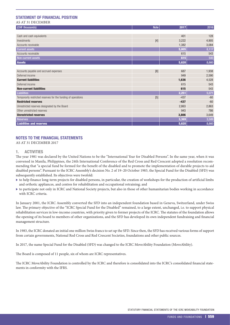# STATEMENT OF FINANCIAL POSITION

#### AS AT 31 DECEMBER

| (CHF thousands)                                               | <b>Note</b> | 2017   | 2016  |
|---------------------------------------------------------------|-------------|--------|-------|
|                                                               |             |        |       |
| Cash and cash equivalents                                     |             | 401    | 128   |
| Investments                                                   | $[4]$       | 3,222  | 4,905 |
| Accounts receivable                                           |             | 1,382  | 3,084 |
| <b>Current assets</b>                                         |             | 5,005  | 8,117 |
| Accounts receivable                                           |             | 615    | 543   |
| Non-current assets                                            |             | 615    | 543   |
| <b>Assets</b>                                                 |             | 5,620  | 8,660 |
|                                                               |             |        |       |
| Accounts payable and accrued expenses                         | [8]         | 687    | 1,938 |
| Deferred income                                               |             | 949    | 2,590 |
| <b>Current liabilities</b>                                    |             | 1,636  | 4,528 |
| Deferred income                                               |             | 615    | 543   |
| <b>Non-current liabilities</b>                                |             | 615    | 543   |
| <b>Liabilities</b>                                            |             | 2,251  | 5,071 |
| Temporarily restricted reserves for the funding of operations | [5]         | $-437$ | $-60$ |
| <b>Restricted reserves</b>                                    |             | $-437$ | $-60$ |
| Unrestricted reserves designated by the Board                 |             | 2,863  | 2,863 |
| Other unrestricted reserves                                   |             | 943    | 786   |
| <b>Unrestricted reserves</b>                                  |             | 3,806  | 3,649 |
| <b>Reserves</b>                                               |             | 3,369  | 3,589 |
| <b>Liabilities and reserves</b>                               |             | 5,620  | 8,660 |

# NOTES TO THE FINANCIAL STATEMENTS

AS AT 31 DECEMBER 2017

#### 1. ACTIVITIES

The year 1981 was declared by the United Nations to be the "International Year for Disabled Persons". In the same year, when it was convened in Manila, Philippines, the 24th International Conference of the Red Cross and Red Crescent adopted a resolution recommending that "a special fund be formed for the benefit of the disabled and to promote the implementation of durable projects to aid disabled persons". Pursuant to the ICRC Assembly's decision No. 2 of 19–20 October 1983, the Special Fund for the Disabled (SFD) was subsequently established. Its objectives were twofold:

- $\triangleright$  to help finance long-term projects for disabled persons, in particular, the creation of workshops for the production of artificial limbs and orthotic appliances, and centres for rehabilitation and occupational retraining; and
- $\triangleright$  to participate not only in ICRC and National Society projects, but also in those of other humanitarian bodies working in accordance with ICRC criteria.

In January 2001, the ICRC Assembly converted the SFD into an independent foundation based in Geneva, Switzerland, under Swiss law. The primary objective of the "ICRC Special Fund for the Disabled" remained, to a large extent, unchanged, i.e. to support physical rehabilitation services in low-income countries, with priority given to former projects of the ICRC. The statutes of the foundation allows the opening of its board to members of other organizations, and the SFD has developed its own independent fundraising and financial management structure.

In 1983, the ICRC donated an initial one million Swiss francs to set up the SFD. Since then, the SFD has received various forms of support from certain governments, National Red Cross and Red Crescent Societies, foundations and other public sources.

In 2017, the name Special Fund for the Disabled (SFD) was changed to the ICRC MoveAbility Foundation (MoveAbility).

The Board is composed of 11 people, six of whom are ICRC representatives.

The ICRC MoveAbility Foundation is controlled by the ICRC and therefore is consolidated into the ICRC's consolidated financial statements in conformity with the IFRS.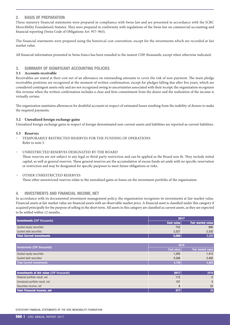### 2. BASIS OF PREPARATION

These statutory financial statements were prepared in compliance with Swiss law and are presented in accordance with the ICRC MoveAbility Foundation's Statutes. They were prepared in conformity with regulations of the Swiss law on commercial accounting and financial reporting (Swiss Code of Obligations Art. 957–963).

The financial statements were prepared using the historical cost convention, except for the investments which are recorded at fair market value.

All financial information presented in Swiss francs has been rounded to the nearest CHF thousands, except when otherwise indicated.

#### 3. SUMMARY OF SIGNIFICANT ACCOUNTING POLICIES

#### **3.1 Accounts receivable**

Receivables are stated at their cost net of an allowance on outstanding amounts to cover the risk of non-payment. The main pledge receivables positions are recognized at the moment of written confirmation, except for pledges falling due after five years, which are considered contingent assets only and are not recognized owing to uncertainties associated with their receipt; the organization recognizes this revenue when the written confirmation includes a clear and firm commitment from the donor and the realization of the income is virtually certain.

The organization maintains allowances for doubtful accounts in respect of estimated losses resulting from the inability of donors to make the required payments.

#### **3.2 Unrealized foreign exchange gains**

Unrealized foreign exchange gains in respect of foreign denominated non-current assets and liabilities are reported as current liabilities.

#### **3.3 Reserves**

- Ȥ TEMPORARILY RESTRICTED RESERVES FOR THE FUNDING OF OPERATIONS Refer to note 5.
- Ȥ UNRESTRICTED RESERVES DESIGNATED BY THE BOARD

These reserves are not subject to any legal or third-party restriction and can be applied as the Board sees fit. They include initial capital, as well as general reserves. These general reserves are the accumulation of excess funds set aside with no specific reservation or restriction and may be designated for specific purposes to meet future obligations or risks.

#### OTHER UNRESTRICTED RESERVES

These other unrestricted reserves relate to the unrealized gains or losses on the investment portfolio of the organization.

#### 4. INVESTMENTS AND FINANCIAL INCOME, NET

In accordance with its documented investment management policy, the organization recognizes its investments at fair market value. Financial assets at fair market value are financial assets with an observable market price. A financial asset is classified under this category if acquired principally for the purpose of selling in the short term. All assets in this category are classified as current assets, as they are expected to be settled within 12 months.

| <b>Investments (CHF thousands)</b> | 2017       |                          |
|------------------------------------|------------|--------------------------|
|                                    | Cost value | <b>Fair market value</b> |
| Quoted equity securities           | 753        | 890                      |
| Quoted debt securities             | 2,327      | 2,332                    |
| Total Current investments          | 3,080      | 3,222                    |

| Investments (CHF thousands) | 2016       |                          |
|-----------------------------|------------|--------------------------|
|                             | Cost value | <b>Fair market value</b> |
| Quoted equity securities    | 1,293      | .413                     |
| Quoted debt securities      | 3.506      | 3,492                    |
| Total Current investments   | 4,799      | 4,905                    |

| Investments at fair value (CHF thousands) | 2017 | 2016 |
|-------------------------------------------|------|------|
| Realized portfolio result, net            | 112  |      |
| Unrealized portfolio result, net          | 157  |      |
| Securities income, net                    |      | 22   |
| Total Financial income, net               |      | 251  |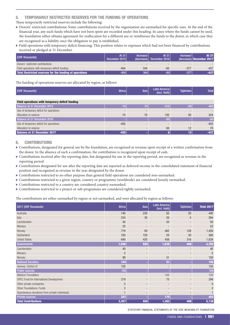### 5. TEMPORARILY RESTRICTED RESERVES FOR THE FUNDING OF OPERATIONS

These temporarily restricted reserves include the following:

- Donors' restricted contributions: Some contributions received by the organization are earmarked for specific uses. At the end of the financial year, any such funds which have not been spent are recorded under this heading. In cases where the funds cannot be used, the foundation either obtains agreement for reallocation for a different use or reimburses the funds to the donor, in which case they are recognized as a liability once the obligation to pay is established.
- $\blacktriangleright$  Field operations with temporary deficit financing: This position relates to expenses which had not been financed by contributions received or pledged at 31 December.

| (CHF thousands)                                         | At 31<br>December 2015 | Increase/<br>(decrease) | At 31<br>December 2016 | Increase/ | At 31<br>$-decrease)$ December 2017 |
|---------------------------------------------------------|------------------------|-------------------------|------------------------|-----------|-------------------------------------|
| Donors' restricted contributions                        |                        |                         |                        |           |                                     |
| Field operations with temporary deficit funding         | $-404$                 | 344                     | $-60$                  | $-377$    | $-437$                              |
| Total Restricted reserves for the funding of operations | $-404$                 | 344                     | $-60$                  |           | $-437$                              |

The funding of operations reserves are allocated by region, as follows:

| (CHF thousands) | Africa | Asia | Latin America<br>(incl. Haiti) | Tajikistan, | <b>Total</b> |
|-----------------|--------|------|--------------------------------|-------------|--------------|
|                 |        |      |                                |             |              |

| Field operations with temporary deficit funding |        |    |      |     |        |
|-------------------------------------------------|--------|----|------|-----|--------|
| Balance at 31 December 2015                     |        |    |      | -50 | $-404$ |
| Use of temporary deficit for operations         |        |    |      |     |        |
| Allocation to reserve                           | 74     | 70 | 150  | 50  | 344    |
| Balance at 31 December 2016                     |        |    | 4604 |     | $-60$  |
| Use of temporary deficit for operations         | $-455$ |    |      |     | $-455$ |
| Allocation to reserve                           |        |    | 66   | 12  | 78     |
| <b>Balance at 31 December 2017</b>              | $-455$ |    |      | 12  | $-437$ |

#### 6. CONTRIBUTIONS

- $\triangleright$  Contributions, designated for general use by the foundation, are recognized as revenue upon receipt of a written confirmation from the donor. In the absence of such a confirmation, the contribution is recognized upon receipt of cash.
- Contributions received after the reporting date, but designated for use in the reporting period, are recognized as revenue in the reporting period.
- $\blacktriangleright$  Contributions designated for use after the reporting date are reported as deferred income in the consolidated statement of financial position and recognized as revenue in the year designated by the donor.
- $\blacktriangleright$  Contributions restricted to no other purpose than general field operations are considered non-earmarked.
- $\blacktriangleright$  Contributions restricted to a given region, country or programme (worldwide) are considered loosely earmarked.
- $\blacktriangleright$  Contributions restricted to a country are considered country-earmarked.
- $\blacktriangleright$  Contributions restricted to a project or sub-programme are considered tightly earmarked.

The contributions are either earmarked by region or not earmarked, and were allocated by region as follows:

| 2017 (CHF thousands)                           | <b>Africa</b>  | Asia                     | <b>Latin America</b><br>(incl. Haiti) | <b>Tajikistan</b> | <b>Total 2017</b> |
|------------------------------------------------|----------------|--------------------------|---------------------------------------|-------------------|-------------------|
| Australia                                      | 140            | 230                      | 50                                    | 20                | 440               |
| Italy                                          | 224            | 30                       | 26                                    | $\overline{4}$    | 284               |
| Liechtenstein                                  | 30             |                          | 20                                    |                   | 50                |
| Monaco                                         | 23             |                          |                                       |                   | 23                |
| Norway                                         | 779            | 90                       | 462                                   | 128               | 1,459             |
| Switzerland                                    | 100            | 150                      | 20                                    | 30                | 300               |
| <b>United States</b>                           | 640            | 420                      | 458                                   | 316               | 1,834             |
| <b>Governments</b>                             | 1,936          | 920                      | 1,036                                 | 498               | 4,390             |
| Liechtenstein                                  | 40             |                          |                                       |                   | 40                |
| Monaco                                         | 5              | $\qquad \qquad$          |                                       | -                 | 5                 |
| Norway                                         | 99             |                          | 51                                    | -                 | 150               |
| <b>National Societies</b>                      | 144            |                          | 51                                    |                   | 195               |
| Geneva, Canton of                              | 150            |                          |                                       |                   | 150               |
| <b>Public sources</b>                          | 150            |                          |                                       |                   | 150               |
| <b>Medicor Foundation</b>                      |                | $\overline{\phantom{a}}$ | 100                                   |                   | 100               |
| OPEC Fund for International Development        | 219            | $\overline{\phantom{a}}$ | 75                                    | ٠                 | 294               |
| Other private companies                        | 5              | $\overline{\phantom{a}}$ |                                       | -                 | 5                 |
| Other Foundations, Funds                       | $\overline{2}$ |                          |                                       |                   | $\overline{2}$    |
| Spontaneous donations from private individuals |                |                          |                                       |                   |                   |
| <b>Private sources</b>                         | 227            |                          | 175                                   |                   | 402               |
| <b>Total Contributions</b>                     | 2,457          | 920                      | 1,262                                 | 498               | 5,138             |

STATUTORY FINANCIAL STATEMENTS OF THE ICRC MOVEABILITY FOUNDATION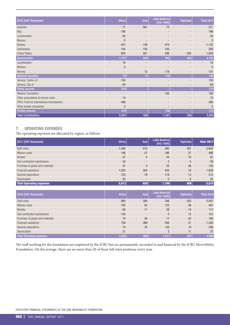| 2016 (CHF thousands)                    | <b>Africa</b> | Asia                     | <b>Latin America</b><br>(incl. Haiti) | Tajikistan               | <b>Total 2016</b> |
|-----------------------------------------|---------------|--------------------------|---------------------------------------|--------------------------|-------------------|
| Australia                               | 71            | 367                      | 73                                    |                          | 511               |
| Italy                                   | 196           |                          |                                       |                          | 196               |
| Liechtenstein                           | 50            | $\overline{\phantom{a}}$ | $\overline{\phantom{a}}$              |                          | 50                |
| Monaco                                  | 5             | $\overline{\phantom{a}}$ | $\overline{\phantom{a}}$              |                          | 5                 |
| Norway                                  | 501           | 158                      | 473                                   |                          | 1,132             |
| Switzerland                             | 100           | 100                      | 100                                   |                          | 300               |
| <b>United States</b>                    | 804           | 301                      | 296                                   | 558                      | 1,959             |
| <b>Governments</b>                      | 1,727         | 926                      | 942                                   | 558                      | 4,153             |
| Liechtenstein                           | 10            | $\overline{a}$           |                                       |                          | 10                |
| Monaco                                  | 5             |                          |                                       |                          | 5                 |
| Norway                                  |               | 12                       | 119                                   | $\overline{\phantom{a}}$ | 131               |
| <b>National Societies</b>               | 15            | 12                       | 119                                   |                          | 146               |
| Geneva, Canton of                       | 150           | $\overline{\phantom{a}}$ |                                       |                          | 150               |
| Geneva, City of                         | 60            | -                        |                                       |                          | 60                |
| <b>Public sources</b>                   | 210           |                          |                                       |                          | 210               |
| <b>Medicor Foundation</b>               |               |                          | 100                                   |                          | 100               |
| Other associations & service clubs      | 10            | $\overline{\phantom{a}}$ |                                       |                          | 10                |
| OPEC Fund for International Development | 400           | $\overline{\phantom{a}}$ | $\overline{\phantom{a}}$              | $\overline{\phantom{a}}$ | 400               |
| Other private companies                 | 5             | $\overline{\phantom{a}}$ |                                       |                          | 5                 |
| <b>Private sources</b>                  | 415           |                          | 100                                   |                          | 515               |
| <b>Total Contributions</b>              | 2,367         | 938                      | 1,161                                 | 558                      | 5,024             |

# 7. OPERATING EXPENSES

The operating expenses are allocated by region, as follows:

| 2017 (CHF thousands)            | Africa | Asia                     | Latin America<br>(incl. Haiti) | <b>Tajikistan</b> | <b>Total 2017</b> |
|---------------------------------|--------|--------------------------|--------------------------------|-------------------|-------------------|
| Staff costs                     | 1,440  | 410                      | 395                            | 357               | 2,602             |
| Mission costs                   | 196    | 57                       | 196                            | 37                | 486               |
| Rentals                         | 37     | 5                        | 34                             | 15                | 91                |
| Sub-contracted maintenance      | 34     | $\overline{\phantom{a}}$ | 3                              | $2^{\circ}$       | 39                |
| Purchase of goods and materials | 47     | 5                        | 22                             | 46                | 120               |
| Financial assistance            | 1,032  | 364                      | 423                            | 10                | 1,829             |
| General expenditure             | 103    | 79                       | 118                            | 13                | 313               |
| Depreciation                    | 24     | $\overline{\phantom{0}}$ | 5                              | $6\phantom{1}$    | 35                |
| <b>Total Operating expenses</b> | 2,913  | 920                      | 1,196                          | 486               | 5,515             |
|                                 |        |                          |                                |                   |                   |

| 2016 (CHF thousands)            | <b>Africa</b> | Asia | Latin America<br>(incl. Haiti) | <b>Tajikistan</b> | <b>Total 2016</b> |
|---------------------------------|---------------|------|--------------------------------|-------------------|-------------------|
| Staff costs                     | 985           | 369  | 348                            | 355               | 2,057             |
| Mission costs                   | 185           | 62   | 122                            | 38                | 407               |
| Rentals                         | 60            | 11   | 28                             | 18                | 117               |
| Sub-contracted maintenance      | 134           | -    | 5                              | 12                | 151               |
| Purchase of goods and materials | 75            | 26   | 17                             | 42                | 160               |
| Financial assistance            | 759           | 369  | 356                            | 21                | 1,505             |
| General expenditure             | 74            | 32   | 130                            | 10                | 246               |
| Depreciation                    | 21            |      | 5                              | 11                | 37                |
| Total Operating expenses        | 2,293         | 869  | 1,011                          | 507               | 4,680             |

The staff working for the foundation are employed by the ICRC but are permanently seconded to and financed by the ICRC MoveAbility Foundation. On the average, there are no more than 20 of these full-time positions every year.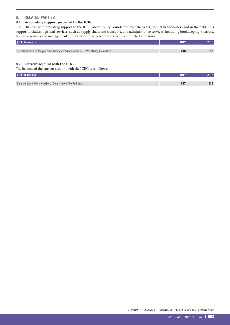#### 8. RELATED PARTIES

# **8.1 Accounting support provided by the ICRC**

The ICRC has been providing support to the ICRC MoveAbility Foundation over the years, both at headquarters and in the field. This support includes logistical services, such as supply chain and transport, and administrative services, including bookkeeping, treasury, human resources and management. The value of these pro bono services is estimated as follows:

| (CHF thousands)                                                                      |     |     |
|--------------------------------------------------------------------------------------|-----|-----|
|                                                                                      |     |     |
| Estimated value of the pro bono services provided to the ICRC MoveAbility Foundation | 708 | 658 |

#### **8.2 Current account with the ICRC**

The balance of the current account with the ICRC is as follows:

| (CHF thousands)                                             |     | 2016  |
|-------------------------------------------------------------|-----|-------|
|                                                             |     |       |
| Balance due to the International Committee of the Red Cross | 687 | ''938 |

STATUTORY FINANCIAL STATEMENTS OF THE ICRC MOVEABILITY FOUNDATION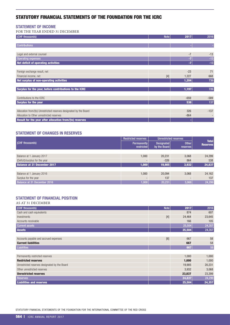# <span id="page-51-0"></span>STATUTORY FINANCIAL STATEMENTS OF THE FOUNDATION FOR THE ICRC

#### STATEMENT OF INCOME

FOR THE YEAR ENDED 31 DECEMBER

| (CHF thousands)                                                    | <b>Note</b> | 2017   | 2016   |
|--------------------------------------------------------------------|-------------|--------|--------|
|                                                                    |             |        |        |
| <b>Contributions</b>                                               |             |        |        |
|                                                                    |             |        |        |
| Legal and external counsel                                         |             | $-7$   | $-13$  |
| <b>Operating expenses</b>                                          |             | -7     | $-13$  |
| Net deficit of operating activities                                |             | $-7$   | $-13$  |
|                                                                    |             |        |        |
| Foreign exchange result, net                                       |             | $-23$  | 71     |
| Financial income, net                                              | $[4]$       | 1,227  | 668    |
| Net surplus of non-operating activities                            |             | 1,204  | 739    |
|                                                                    |             |        |        |
| Surplus for the year, before contributions to the ICRC             |             | 1,197  | 726    |
|                                                                    |             |        |        |
| Contributions to the ICRC                                          |             | $-659$ | $-589$ |
| <b>Surplus for the year</b>                                        |             | 538    | 137    |
|                                                                    |             |        |        |
| Allocation from/(to) Unrestricted reserves designated by the Board |             | 326    | $-137$ |
| Allocation to Other unrestricted reserves                          |             | $-864$ |        |
| Result for the year after allocation from/(to) reserves            |             |        |        |

# STATEMENT OF CHANGES IN RESERVES

|                                | <b>Restricted reserves</b>       | <b>Unrestricted reserves</b> | <b>Total</b>                    |                 |
|--------------------------------|----------------------------------|------------------------------|---------------------------------|-----------------|
| <b>(CHF thousands)</b>         | <b>Permanently</b><br>restricted | Designated<br>by the Board   | <b>Other</b><br><b>reserves</b> | <b>Reserves</b> |
|                                |                                  |                              |                                 |                 |
| Balance at 1 January 2017      | 1,000                            | 20,231                       | 3.068                           | 24,299          |
| (Deficit)/surplus for the year |                                  | $-326$                       | 864                             | 538             |
| Balance at 31 December 2017    | 1,000                            | 19,905                       | 3,932                           | 24,837          |
|                                |                                  |                              |                                 |                 |
| Balance at 1 January 2016      | 1,000                            | 20,094                       | 3,068                           | 24,162          |
| Surplus for the year           |                                  | 137                          |                                 | 137             |
| Balance at 31 December 2016    | 1,000                            | 20,231                       | 3,068                           | 24,299          |

#### STATEMENT OF FINANCIAL POSITION AS AT 31 DECEMBER

| AS AT 31 DECEMBER                             |             |        |        |
|-----------------------------------------------|-------------|--------|--------|
| (CHF thousands)                               | <b>Note</b> | 2017   | 2016   |
| Cash and cash equivalents                     |             | 874    | 607    |
| Investments                                   | $[4]$       | 24,464 | 23,645 |
| Accounts receivable                           |             | 166    | 105    |
| <b>Current assets</b>                         |             | 25,504 | 24,357 |
| <b>Assets</b>                                 |             | 25,504 | 24,357 |
|                                               |             |        |        |
| Accounts payable and accrued expenses         | [6]         | 667    | 58     |
| <b>Current liabilities</b>                    |             | 667    | 58     |
| <b>Liabilities</b>                            |             | 667    | 58     |
|                                               |             |        |        |
| Permanently restricted reserves               |             | 1,000  | 1,000  |
| <b>Restricted reserves</b>                    |             | 1,000  | 1,000  |
| Unrestricted reserves designated by the Board |             | 19,905 | 20,231 |
| Other unrestricted reserves                   |             | 3,932  | 3,068  |
| <b>Unrestricted reserves</b>                  |             | 23,837 | 23,299 |
| <b>Reserves</b>                               |             | 24,837 | 24,299 |
| <b>Liabilities and reserves</b>               |             | 25,504 | 24,357 |

STATUTORY FINANCIAL STATEMENTS OF THE FOUNDATION FOR THE INTERNATIONAL COMMITTEE OF THE RED CROSS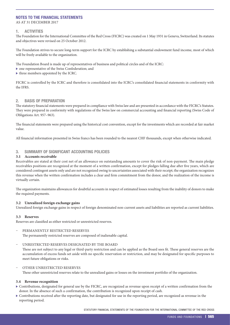#### NOTES TO THE FINANCIAL STATEMENTS

AS AT 31 DECEMBER 2017

#### 1. ACTIVITIES

The Foundation for the International Committee of the Red Cross (FICRC) was created on 1 May 1931 in Geneva, Switzerland. Its statutes and objectives were revised on 25 October 2012.

The Foundation strives to secure long-term support for the ICRC by establishing a substantial endowment fund income, most of which will be freely available to the organization.

The Foundation Board is made up of representatives of business and political circles and of the ICRC:

- $\triangleright$  one representative of the Swiss Confederation; and
- $\blacktriangleright$  three members appointed by the ICRC.

FICRC is controlled by the ICRC and therefore is consolidated into the ICRC's consolidated financial statements in conformity with the IFRS.

#### 2. BASIS OF PREPARATION

The statutory financial statements were prepared in compliance with Swiss law and are presented in accordance with the FICRC's Statutes. They were prepared in conformity with regulations of the Swiss law on commercial accounting and financial reporting (Swiss Code of Obligations Art. 957–963).

The financial statements were prepared using the historical cost convention, except for the investments which are recorded at fair market value.

All financial information presented in Swiss francs has been rounded to the nearest CHF thousands, except when otherwise indicated.

#### 3. SUMMARY OF SIGNIFICANT ACCOUNTING POLICIES

#### **3.1 Accounts receivable**

Receivables are stated at their cost net of an allowance on outstanding amounts to cover the risk of non-payment. The main pledge receivables positions are recognized at the moment of a written confirmation, except for pledges falling due after five years, which are considered contingent assets only and are not recognized owing to uncertainties associated with their receipt; the organization recognizes this revenue when the written confirmation includes a clear and firm commitment from the donor, and the realization of the income is virtually certain.

The organization maintains allowances for doubtful accounts in respect of estimated losses resulting from the inability of donors to make the required payments.

#### **3.2 Unrealized foreign exchange gains**

Unrealized foreign exchange gains in respect of foreign denominated non-current assets and liabilities are reported as current liabilities.

#### **3.3 Reserves**

Reserves are classified as either restricted or unrestricted reserves.

#### PERMANENTLY RESTRICTED RESERVES

The permanently restricted reserves are composed of inalienable capital.

#### Ȥ UNRESTRICTED RESERVES DESIGNATED BY THE BOARD

These are not subject to any legal or third-party restriction and can be applied as the Board sees fit. These general reserves are the accumulation of excess funds set aside with no specific reservation or restriction, and may be designated for specific purposes to meet future obligations or risks.

#### OTHER UNRESTRICTED RESERVES

These other unrestricted reserves relate to the unrealized gains or losses on the investment portfolio of the organization.

#### **3.4 Revenue recognition**

- $\triangleright$  Contributions, designated for general use by the FICRC, are recognized as revenue upon receipt of a written confirmation from the donor. In the absence of such a confirmation, the contribution is recognized upon receipt of cash.
- $\triangleright$  Contributions received after the reporting date, but designated for use in the reporting period, are recognized as revenue in the reporting period.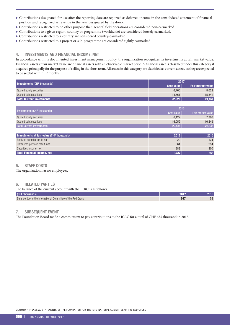- $\triangleright$  Contributions designated for use after the reporting date are reported as deferred income in the consolidated statement of financial position and recognized as revenue in the year designated by the donor.
- $\triangleright$  Contributions restricted to no other purpose than general field operations are considered non-earmarked.
- $\triangleright$  Contributions to a given region, country or programme (worldwide) are considered loosely earmarked.
- $\triangleright$  Contributions restricted to a country are considered country-earmarked.
- $\triangleright$  Contributions restricted to a project or sub-programme are considered tightly earmarked.

#### 4. INVESTMENTS AND FINANCIAL INCOME, NET

In accordance with its documented investment management policy, the organization recognizes its investments at fair market value. Financial assets at fair market value are financial assets with an observable market price. A financial asset is classified under this category if acquired principally for the purpose of selling in the short term. All assets in this category are classified as current assets, as they are expected to be settled within 12 months.

|                                    | 2017       |                          |  |  |  |
|------------------------------------|------------|--------------------------|--|--|--|
| <b>Investments (CHF thousands)</b> | Cost value | <b>Fair market value</b> |  |  |  |
| Quoted equity securities           | 6.765      | 8.623                    |  |  |  |
| Quoted debt securities             | 15.761     | 15.841                   |  |  |  |
| Total Current investments          | 22,526     | 24,464                   |  |  |  |

| Investments (CHF thousands)      | 2016       |                          |  |  |  |
|----------------------------------|------------|--------------------------|--|--|--|
|                                  | Cost value | <b>Fair market value</b> |  |  |  |
| Quoted equity securities         | 6,422      | 7,396                    |  |  |  |
| Quoted debt securities           | 16.059     | 16,249                   |  |  |  |
| <b>Total Current investments</b> | 22,481     | 23,645                   |  |  |  |

| Investments at fair value (CHF thousands) | 2017  | 2016 |
|-------------------------------------------|-------|------|
| Realized portfolio result, net            | $-20$ | 134  |
| Unrealized portfolio result, net          | 864   | 234  |
| Securities income, net                    | 383   | 300  |
| Total Financial income, net               | 1,227 | 668  |

#### 5. STAFF COSTS

The organization has no employees.

#### 6. RELATED PARTIES

| The balance of the current account with the ICRC is as follows: |     |       |
|-----------------------------------------------------------------|-----|-------|
| (CHF thousands)                                                 |     | 2016' |
| Balance due to the International Committee of the Red Cross     | 667 | 58    |

#### 7. SUBSEQUENT EVENT

The Foundation Board made a commitment to pay contributions to the ICRC for a total of CHF 635 thousand in 2018.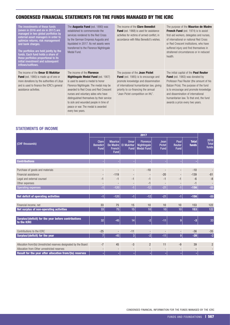# <span id="page-54-0"></span>CONDENSED FINANCIAL STATEMENTS FOR THE FUNDS MANAGED BY THE ICRC

| The investments of these funds<br>(seven in 2016 and six in 2017) are<br>managed in two global portfolios by<br>external asset managers in order to<br>optimize returns, risk management<br>and bank charges.<br>The portfolios are held jointly by the<br>funds. Each fund holds a share of<br>these portfolios proportional to its<br>initial investment and subsequent<br>inflows/outflows. | The <b>Augusta Fund</b> (est. 1890) was<br>established to commemorate the<br>services rendered to the Red Cross<br>by the German Empress Augusta and<br>liquidated in 2017. Its net assets were<br>transferred to the Florence Nightingale<br>Medal Fund.                                  | The income of the <b>Clare Benedict</b><br><b>Fund</b> (est. 1968) is used for assistance<br>activities for victims of armed conflict, in<br>accordance with Miss Benedict's wishes.                                                          | The purpose of the <b>Maurice de Madre</b><br><b>French Fund</b> (est. 1974) is to assist<br>first-aid workers, delegates and nurses,<br>of international or national Red Cross<br>or Red Crescent institutions, who have<br>suffered injury and find themselves in<br>straitened circumstances or in reduced<br>health. |
|------------------------------------------------------------------------------------------------------------------------------------------------------------------------------------------------------------------------------------------------------------------------------------------------------------------------------------------------------------------------------------------------|--------------------------------------------------------------------------------------------------------------------------------------------------------------------------------------------------------------------------------------------------------------------------------------------|-----------------------------------------------------------------------------------------------------------------------------------------------------------------------------------------------------------------------------------------------|--------------------------------------------------------------------------------------------------------------------------------------------------------------------------------------------------------------------------------------------------------------------------------------------------------------------------|
| The income of the <b>Omar El Mukhtar</b><br><b>Fund</b> (est. 1980) is made up of one or<br>more donations by the authorities of Libya<br>and is used to finance the ICRC's general<br>assistance activities.                                                                                                                                                                                  | The income of the <b>Florence</b><br><b>Nightingale Medal Fund (est. 1907)</b><br>is used to award a medal to honor<br>Florence Nightingale. The medal may be<br>awarded to Red Cross and Red Crescent<br>nurses and voluntary aides who have<br>distinguished themselves by their service | The purpose of the Jean Pictet<br><b>Fund</b> (est. 1985) is to encourage and<br>promote knowledge and dissemination<br>of international humanitarian law, giving<br>priority to co-financing the annual<br>"Jean Pictet competition on IHL". | The initial capital of the <b>Paul Reuter</b><br><b>Fund</b> (est. 1983) was donated by<br>Professor Paul Reuter (the amount of his<br>Balzan Prize). The purpose of the fund<br>is to encourage and promote knowledge<br>and dissemination of international<br>humanitarian law. To that end, the fund                  |

to sick and wounded people in time of peace or war. The medal is awarded

every two years.

capital of the **Paul Reuter** . 1983) was donated by Paul Reuter (the amount of his ze). The purpose of the fund irage and promote knowledge nination of international humanitarian law. To that end, the fund awards a prize every two years.

# STATEMENTS OF INCOME

| 2017                                                               |                                                |                                                            |                                                 |                                                     |                                      |                               |                       |                               |
|--------------------------------------------------------------------|------------------------------------------------|------------------------------------------------------------|-------------------------------------------------|-----------------------------------------------------|--------------------------------------|-------------------------------|-----------------------|-------------------------------|
| (CHF thousands)                                                    | <b>Clare</b><br><b>Benedict</b><br><b>Fund</b> | <b>Maurice</b><br>De Madre<br><b>French</b><br><b>Fund</b> | <b>Omar</b><br><b>El Mukhtar</b><br><b>Fund</b> | <b>Florence</b><br>Nightingale<br><b>Medal Fund</b> | Jean<br><b>Pictet</b><br><b>Fund</b> | Paul<br>Reuter<br><b>Fund</b> | <b>Total</b><br>funds | 2016<br><b>Total</b><br>funds |
| <b>Contributions</b>                                               |                                                |                                                            |                                                 |                                                     |                                      |                               |                       | ÷.                            |
|                                                                    |                                                |                                                            |                                                 |                                                     |                                      |                               |                       |                               |
| Purchase of goods and materials                                    | $\overline{\phantom{a}}$                       | $\overline{\phantom{a}}$                                   | $\overline{\phantom{m}}$                        | $-10$                                               | $\overline{\phantom{a}}$             |                               | $-10$                 |                               |
| Financial assistance                                               | $\overline{\phantom{a}}$                       | $-119$                                                     | $\overline{\phantom{a}}$                        | $\overline{\phantom{a}}$                            | $-20$                                | $\overline{\phantom{a}}$      | $-139$                | $-81$                         |
| Legal and external counsel                                         | $-1$                                           | $-1$                                                       | $-1$                                            | $-1$                                                | $-1$                                 | $-1$                          | $-6$                  | $-8$                          |
| Other expenses                                                     | $\overline{\phantom{a}}$                       | $\overline{\phantom{a}}$                                   | $\overline{\phantom{a}}$                        | $-1$                                                | $\overline{\phantom{a}}$             | $\overline{\phantom{a}}$      | $-1$                  | $\overline{\phantom{a}}$      |
| <b>Operating expenses</b>                                          | $-1$                                           | $-120$                                                     | $-1$                                            | $-12$                                               | $-21$                                | $-1$                          | $-156$                | $-89$                         |
|                                                                    |                                                |                                                            |                                                 |                                                     |                                      |                               |                       |                               |
| Net deficit of operating activities                                | $-1$                                           | $-120$                                                     | $-1$                                            | $-12$                                               | $-21$                                | $-1$                          | $-156$                | $-89$                         |
|                                                                    |                                                |                                                            |                                                 |                                                     |                                      |                               |                       |                               |
| Financial income, net                                              | 33                                             | 75                                                         | 15                                              | 10                                                  | 10                                   | 10                            | 153                   | 122                           |
| Net surplus of non-operating activities                            | 33                                             | 75                                                         | 15                                              | 10                                                  | 10                                   | 10                            | 153                   | 122                           |
| Surplus/(deficit) for the year before contributions<br>to the ICRC | 32                                             | $-45$                                                      | 14                                              | $-2$                                                | $-11$                                | $\overline{9}$                | $-3$                  | 33                            |
| Contributions to the ICRC                                          | $-25$                                          | $\overline{\phantom{a}}$                                   | $-11$                                           | $\overline{\phantom{a}}$                            | $\overline{\phantom{a}}$             | $\overline{\phantom{a}}$      | $-36$                 | $-35$                         |
| Surplus/(deficit) for the year                                     | $\overline{7}$                                 | $-45$                                                      | 3                                               | $-2$                                                | $-11$                                | $\overline{9}$                | $-39$                 | $-2$                          |
|                                                                    |                                                |                                                            |                                                 |                                                     |                                      |                               |                       |                               |
| Allocation from/(to) Unrestricted reserves designated by the Board | $-7$                                           | 45                                                         | $-3$                                            | $\overline{2}$                                      | 11                                   | $-9$                          | 39                    | $\overline{2}$                |
| Allocation from Other unrestricted reserves                        | $\overline{\phantom{a}}$                       | $\overline{\phantom{a}}$                                   | $\overline{\phantom{a}}$                        | $\overline{\phantom{a}}$                            | $\overline{\phantom{a}}$             | $\overline{\phantom{a}}$      | ٠                     | ۰                             |
| Result for the year after allocation from/(to) reserves            | ٠                                              | ٠                                                          | ٠                                               | ٠                                                   | ٠                                    |                               | ٠                     | ٠                             |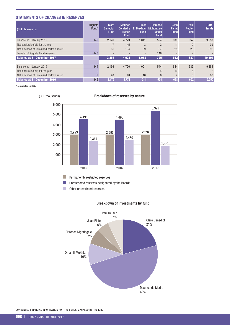# STATEMENTS OF CHANGES IN RESERVES

| (CHF thousands)                               | Augusta<br>Fund* | <b>Clare</b><br><b>Benedict</b><br><b>Fund</b> | <b>Maurice</b><br>De Madre<br><b>French</b><br><b>Fund</b> | <b>Omar</b><br><b>El Mukhtar</b><br><b>Fund</b> | <b>Florence</b><br>Nightingale<br><b>Medal</b><br><b>Fund</b> | Jean<br>Pictet<br>Fund | Paul<br>Reuter<br><b>Fund</b> | <b>Total</b><br>funds |
|-----------------------------------------------|------------------|------------------------------------------------|------------------------------------------------------------|-------------------------------------------------|---------------------------------------------------------------|------------------------|-------------------------------|-----------------------|
| Balance at 1 January 2017                     | 146              | 2.176                                          | 4.773                                                      | 1,011                                           | 554                                                           | 638                    | 652                           | 9,950                 |
| Net surplus/(deficit) for the year            |                  | $\overline{7}$                                 | $-45$                                                      | 3                                               | $-2$                                                          | $-11$                  | 9                             | $-39$                 |
| Net allocation of unrealized portfolio result |                  | 85                                             | 194                                                        | 39                                              | 27                                                            | 25                     | 26                            | 396                   |
| Transfer of Augusta Fund reserves             | $-146$           |                                                |                                                            | $\overline{\phantom{a}}$                        | 146                                                           |                        |                               |                       |
| <b>Balance at 31 December 2017</b>            |                  | 2,268                                          | 4,922                                                      | 1,053                                           | 725                                                           | 652                    | 687                           | 10,307                |
|                                               |                  |                                                |                                                            |                                                 |                                                               |                        |                               |                       |
| Balance at 1 January 2016                     | 144              | 2.156                                          | 4.726                                                      | 1.001                                           | 544                                                           | 644                    | 639                           | 9,854                 |
| Net surplus/(deficit) for the year            |                  |                                                | $-1$                                                       | $\overline{\phantom{a}}$                        | $\overline{4}$                                                | $-10$                  | $5\overline{)}$               | $-2$                  |
| Net allocation of unrealized portfolio result | $\mathcal{P}$    | 20                                             | 48                                                         | 10                                              | 6                                                             | 4                      | 8                             | 98                    |
| <b>Balance at 31 December 2016</b>            | 146              | 2,176                                          | 4,773                                                      | 1,011                                           | 554                                                           | 638                    | 652                           | 9,950                 |

 $^{\ast}$  Liquidated in 2017



(CHF thousands) **Breakdown of reserves by nature** 

Permanently restricted reserves  $\mathcal{L}_{\mathcal{A}}$ 

**College** Unrestricted reserves designated by the Boards

T. Other unrestricted reserves

#### Breakdown of investments by fund



cOndensed Financial inFORMatiOn FOR tHe FUnds ManaGed bY tHe icRc